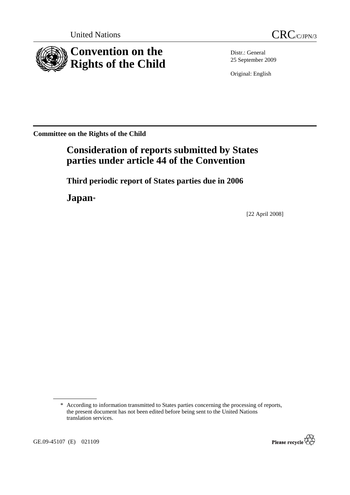



Distr.: General 25 September 2009

Original: English

**Committee on the Rights of the Child** 

# **Consideration of reports submitted by States parties under article 44 of the Convention**

 **Third periodic report of States parties due in 2006** 

 **Japan**\*

[22 April 2008]

<sup>\*</sup> According to information transmitted to States parties concerning the processing of reports, the present document has not been edited before being sent to the United Nations translation services.



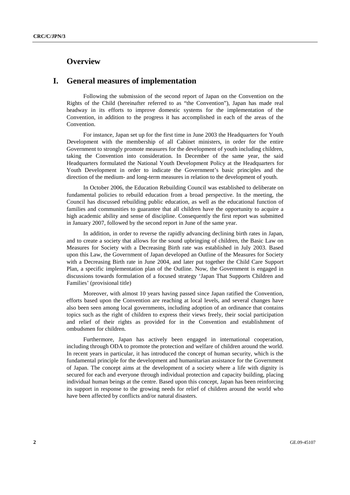## **Overview**

## **I. General measures of implementation**

 Following the submission of the second report of Japan on the Convention on the Rights of the Child (hereinafter referred to as "the Convention"), Japan has made real headway in its efforts to improve domestic systems for the implementation of the Convention, in addition to the progress it has accomplished in each of the areas of the Convention.

 For instance, Japan set up for the first time in June 2003 the Headquarters for Youth Development with the membership of all Cabinet ministers, in order for the entire Government to strongly promote measures for the development of youth including children, taking the Convention into consideration. In December of the same year, the said Headquarters formulated the National Youth Development Policy at the Headquarters for Youth Development in order to indicate the Government's basic principles and the direction of the medium- and long-term measures in relation to the development of youth.

 In October 2006, the Education Rebuilding Council was established to deliberate on fundamental policies to rebuild education from a broad perspective. In the meeting, the Council has discussed rebuilding public education, as well as the educational function of families and communities to guarantee that all children have the opportunity to acquire a high academic ability and sense of discipline. Consequently the first report was submitted in January 2007, followed by the second report in June of the same year.

 In addition, in order to reverse the rapidly advancing declining birth rates in Japan, and to create a society that allows for the sound upbringing of children, the Basic Law on Measures for Society with a Decreasing Birth rate was established in July 2003. Based upon this Law, the Government of Japan developed an Outline of the Measures for Society with a Decreasing Birth rate in June 2004, and later put together the Child Care Support Plan, a specific implementation plan of the Outline. Now, the Government is engaged in discussions towards formulation of a focused strategy 'Japan That Supports Children and Families' (provisional title)

 Moreover, with almost 10 years having passed since Japan ratified the Convention, efforts based upon the Convention are reaching at local levels, and several changes have also been seen among local governments, including adoption of an ordinance that contains topics such as the right of children to express their views freely, their social participation and relief of their rights as provided for in the Convention and establishment of ombudsmen for children.

 Furthermore, Japan has actively been engaged in international cooperation, including through ODA to promote the protection and welfare of children around the world. In recent years in particular, it has introduced the concept of human security, which is the fundamental principle for the development and humanitarian assistance for the Government of Japan. The concept aims at the development of a society where a life with dignity is secured for each and everyone through individual protection and capacity building, placing individual human beings at the centre. Based upon this concept, Japan has been reinforcing its support in response to the growing needs for relief of children around the world who have been affected by conflicts and/or natural disasters.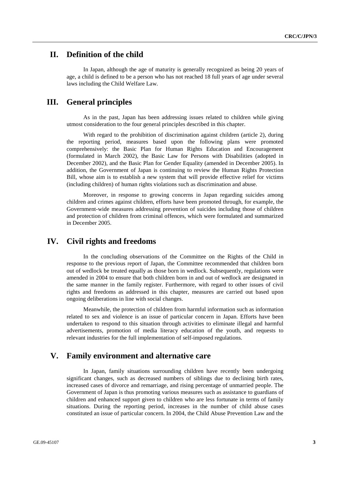## **II. Definition of the child**

 In Japan, although the age of maturity is generally recognized as being 20 years of age, a child is defined to be a person who has not reached 18 full years of age under several laws including the Child Welfare Law.

## **III. General principles**

 As in the past, Japan has been addressing issues related to children while giving utmost consideration to the four general principles described in this chapter.

With regard to the prohibition of discrimination against children (article 2), during the reporting period, measures based upon the following plans were promoted comprehensively: the Basic Plan for Human Rights Education and Encouragement (formulated in March 2002), the Basic Law for Persons with Disabilities (adopted in December 2002), and the Basic Plan for Gender Equality (amended in December 2005). In addition, the Government of Japan is continuing to review the Human Rights Protection Bill, whose aim is to establish a new system that will provide effective relief for victims (including children) of human rights violations such as discrimination and abuse.

 Moreover, in response to growing concerns in Japan regarding suicides among children and crimes against children, efforts have been promoted through, for example, the Government-wide measures addressing prevention of suicides including those of children and protection of children from criminal offences, which were formulated and summarized in December 2005.

## **IV. Civil rights and freedoms**

 In the concluding observations of the Committee on the Rights of the Child in response to the previous report of Japan, the Committee recommended that children born out of wedlock be treated equally as those born in wedlock. Subsequently, regulations were amended in 2004 to ensure that both children born in and out of wedlock are designated in the same manner in the family register. Furthermore, with regard to other issues of civil rights and freedoms as addressed in this chapter, measures are carried out based upon ongoing deliberations in line with social changes.

 Meanwhile, the protection of children from harmful information such as information related to sex and violence is an issue of particular concern in Japan. Efforts have been undertaken to respond to this situation through activities to eliminate illegal and harmful advertisements, promotion of media literacy education of the youth, and requests to relevant industries for the full implementation of self-imposed regulations.

### **V. Family environment and alternative care**

 In Japan, family situations surrounding children have recently been undergoing significant changes, such as decreased numbers of siblings due to declining birth rates, increased cases of divorce and remarriage, and rising percentage of unmarried people. The Government of Japan is thus promoting various measures such as assistance to guardians of children and enhanced support given to children who are less fortunate in terms of family situations. During the reporting period, increases in the number of child abuse cases constituted an issue of particular concern. In 2004, the Child Abuse Prevention Law and the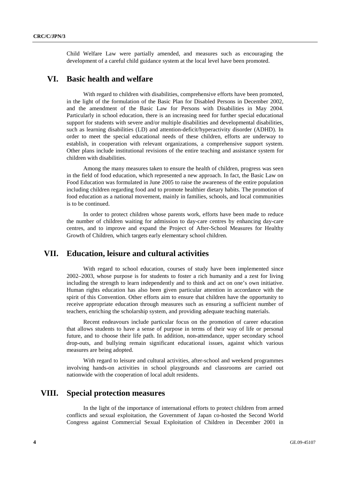Child Welfare Law were partially amended, and measures such as encouraging the development of a careful child guidance system at the local level have been promoted.

### **VI. Basic health and welfare**

 With regard to children with disabilities, comprehensive efforts have been promoted, in the light of the formulation of the Basic Plan for Disabled Persons in December 2002, and the amendment of the Basic Law for Persons with Disabilities in May 2004. Particularly in school education, there is an increasing need for further special educational support for students with severe and/or multiple disabilities and developmental disabilities, such as learning disabilities (LD) and attention-deficit/hyperactivity disorder (ADHD). In order to meet the special educational needs of these children, efforts are underway to establish, in cooperation with relevant organizations, a comprehensive support system. Other plans include institutional revisions of the entire teaching and assistance system for children with disabilities.

 Among the many measures taken to ensure the health of children, progress was seen in the field of food education, which represented a new approach. In fact, the Basic Law on Food Education was formulated in June 2005 to raise the awareness of the entire population including children regarding food and to promote healthier dietary habits. The promotion of food education as a national movement, mainly in families, schools, and local communities is to be continued.

 In order to protect children whose parents work, efforts have been made to reduce the number of children waiting for admission to day-care centres by enhancing day-care centres, and to improve and expand the Project of After-School Measures for Healthy Growth of Children, which targets early elementary school children.

## **VII. Education, leisure and cultural activities**

 With regard to school education, courses of study have been implemented since 2002–2003, whose purpose is for students to foster a rich humanity and a zest for living including the strength to learn independently and to think and act on one's own initiative. Human rights education has also been given particular attention in accordance with the spirit of this Convention. Other efforts aim to ensure that children have the opportunity to receive appropriate education through measures such as ensuring a sufficient number of teachers, enriching the scholarship system, and providing adequate teaching materials.

 Recent endeavours include particular focus on the promotion of career education that allows students to have a sense of purpose in terms of their way of life or personal future, and to choose their life path. In addition, non-attendance, upper secondary school drop-outs, and bullying remain significant educational issues, against which various measures are being adopted.

 With regard to leisure and cultural activities, after-school and weekend programmes involving hands-on activities in school playgrounds and classrooms are carried out nationwide with the cooperation of local adult residents.

### **VIII. Special protection measures**

 In the light of the importance of international efforts to protect children from armed conflicts and sexual exploitation, the Government of Japan co-hosted the Second World Congress against Commercial Sexual Exploitation of Children in December 2001 in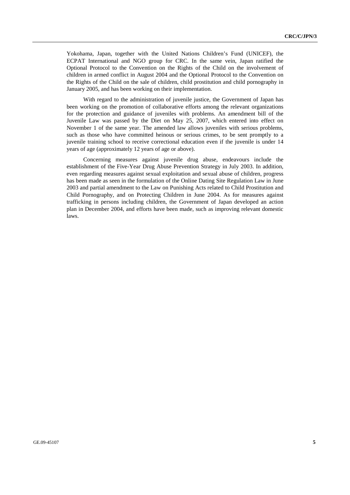Yokohama, Japan, together with the United Nations Children's Fund (UNICEF), the ECPAT International and NGO group for CRC. In the same vein, Japan ratified the Optional Protocol to the Convention on the Rights of the Child on the involvement of children in armed conflict in August 2004 and the Optional Protocol to the Convention on the Rights of the Child on the sale of children, child prostitution and child pornography in January 2005, and has been working on their implementation.

 With regard to the administration of juvenile justice, the Government of Japan has been working on the promotion of collaborative efforts among the relevant organizations for the protection and guidance of juveniles with problems. An amendment bill of the Juvenile Law was passed by the Diet on May 25, 2007, which entered into effect on November 1 of the same year. The amended law allows juveniles with serious problems, such as those who have committed heinous or serious crimes, to be sent promptly to a juvenile training school to receive correctional education even if the juvenile is under 14 years of age (approximately 12 years of age or above).

 Concerning measures against juvenile drug abuse, endeavours include the establishment of the Five-Year Drug Abuse Prevention Strategy in July 2003. In addition, even regarding measures against sexual exploitation and sexual abuse of children, progress has been made as seen in the formulation of the Online Dating Site Regulation Law in June 2003 and partial amendment to the Law on Punishing Acts related to Child Prostitution and Child Pornography, and on Protecting Children in June 2004. As for measures against trafficking in persons including children, the Government of Japan developed an action plan in December 2004, and efforts have been made, such as improving relevant domestic laws.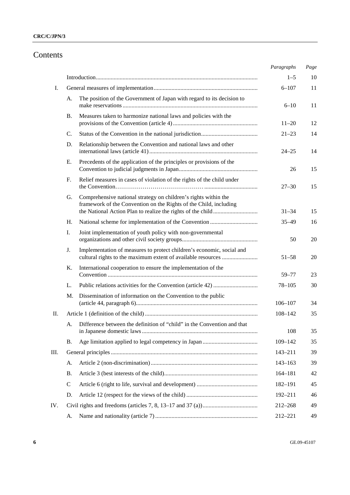# Contents

|     |           |                                                                                                                                       | Paragraphs  | Page |
|-----|-----------|---------------------------------------------------------------------------------------------------------------------------------------|-------------|------|
|     |           |                                                                                                                                       | $1 - 5$     | 10   |
| I.  |           |                                                                                                                                       | $6 - 107$   | 11   |
|     | A.        | The position of the Government of Japan with regard to its decision to                                                                | $6 - 10$    | 11   |
|     | <b>B.</b> | Measures taken to harmonize national laws and policies with the                                                                       | $11 - 20$   | 12   |
|     | C.        |                                                                                                                                       | $21 - 23$   | 14   |
|     | D.        | Relationship between the Convention and national laws and other                                                                       | $24 - 25$   | 14   |
|     | Ε.        | Precedents of the application of the principles or provisions of the                                                                  | 26          | 15   |
|     | F.        | Relief measures in cases of violation of the rights of the child under                                                                | $27 - 30$   | 15   |
|     | G.        | Comprehensive national strategy on children's rights within the<br>framework of the Convention on the Rights of the Child, including  | $31 - 34$   | 15   |
|     | H.        |                                                                                                                                       | $35 - 49$   | 16   |
|     | I.        | Joint implementation of youth policy with non-governmental                                                                            | 50          | 20   |
|     | J.        | Implementation of measures to protect children's economic, social and<br>cultural rights to the maximum extent of available resources | $51 - 58$   | 20   |
|     | Κ.        | International cooperation to ensure the implementation of the                                                                         | 59-77       | 23   |
|     | L.        |                                                                                                                                       | $78 - 105$  | 30   |
|     | M.        | Dissemination of information on the Convention to the public                                                                          | $106 - 107$ | 34   |
| П.  |           |                                                                                                                                       | $108 - 142$ | 35   |
|     | A.        | Difference between the definition of "child" in the Convention and that                                                               | 108         | 35   |
|     | Β.        |                                                                                                                                       | 109-142     | 35   |
| Ш.  |           |                                                                                                                                       | $143 - 211$ | 39   |
|     | А.        |                                                                                                                                       | $143 - 163$ | 39   |
|     | Β.        |                                                                                                                                       | $164 - 181$ | 42   |
|     | C         |                                                                                                                                       | 182-191     | 45   |
|     | D.        |                                                                                                                                       | 192-211     | 46   |
| IV. |           |                                                                                                                                       | 212-268     | 49   |
|     | A.        |                                                                                                                                       | 212-221     | 49   |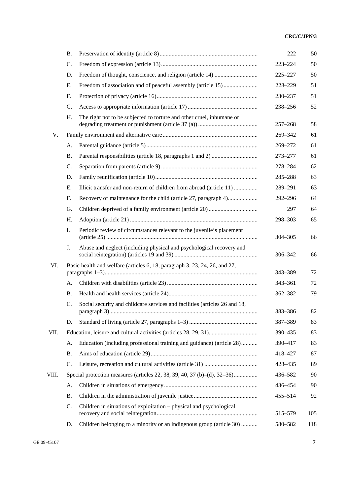|       | <b>B.</b> |                                                                            | 222         | 50  |
|-------|-----------|----------------------------------------------------------------------------|-------------|-----|
|       | C.        |                                                                            | $223 - 224$ | 50  |
|       | D.        |                                                                            | 225-227     | 50  |
|       | Е.        |                                                                            | 228-229     | 51  |
|       | F.        |                                                                            | 230-237     | 51  |
|       | G.        |                                                                            | 238-256     | 52  |
|       | H.        | The right not to be subjected to torture and other cruel, inhumane or      | $257 - 268$ | 58  |
| V.    |           |                                                                            | 269-342     | 61  |
|       | А.        |                                                                            | 269-272     | 61  |
|       | <b>B.</b> |                                                                            | 273-277     | 61  |
|       | C.        |                                                                            | 278-284     | 62  |
|       | D.        |                                                                            | 285-288     | 63  |
|       | Ε.        | Illicit transfer and non-return of children from abroad (article 11)       | 289-291     | 63  |
|       | F.        |                                                                            | 292-296     | 64  |
|       | G.        |                                                                            | 297         | 64  |
|       | Η.        |                                                                            | 298-303     | 65  |
|       | Ι.        | Periodic review of circumstances relevant to the juvenile's placement      | $304 - 305$ | 66  |
|       | J.        | Abuse and neglect (including physical and psychological recovery and       | 306-342     | 66  |
| VI.   |           | Basic health and welfare (articles 6, 18, paragraph 3, 23, 24, 26, and 27, | 343-389     | 72  |
|       | А.        |                                                                            | 343-361     | 72  |
|       | <b>B.</b> |                                                                            | 362-382     | 79  |
|       | C.        | Social security and childcare services and facilities (articles 26 and 18, | 383-386     | 82  |
|       | D.        |                                                                            | 387-389     | 83  |
| VII.  |           |                                                                            | 390-435     | 83  |
|       | А.        | Education (including professional training and guidance) (article 28)      | 390-417     | 83  |
|       | Β.        |                                                                            | 418-427     | 87  |
|       | C.        |                                                                            | 428-435     | 89  |
| VIII. |           | Special protection measures (articles 22, 38, 39, 40, 37 (b)–(d), 32–36)   | 436-582     | 90  |
|       | А.        |                                                                            | 436-454     | 90  |
|       | Β.        |                                                                            | $455 - 514$ | 92  |
|       | C.        | Children in situations of exploitation - physical and psychological        | 515-579     | 105 |
|       | D.        | Children belonging to a minority or an indigenous group (article 30)       | 580-582     | 118 |
|       |           |                                                                            |             |     |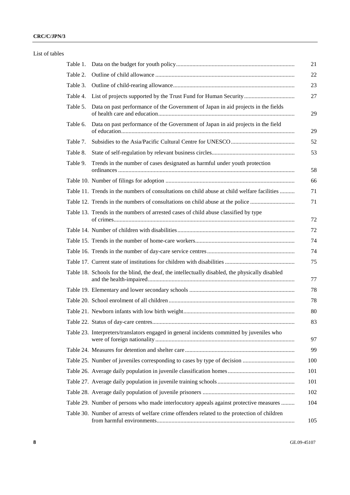| List of tables |          |                                                                                                 |
|----------------|----------|-------------------------------------------------------------------------------------------------|
|                | Table 1. |                                                                                                 |
|                | Table 2. |                                                                                                 |
|                | Table 3. |                                                                                                 |
|                |          |                                                                                                 |
|                | Table 5. | Data on past performance of the Government of Japan in aid projects in the fields               |
|                | Table 6. | Data on past performance of the Government of Japan in aid projects in the field                |
|                | Table 7. |                                                                                                 |
|                | Table 8. |                                                                                                 |
|                | Table 9. | Trends in the number of cases designated as harmful under youth protection                      |
|                |          |                                                                                                 |
|                |          | Table 11. Trends in the numbers of consultations on child abuse at child welfare facilities     |
|                |          | Table 12. Trends in the numbers of consultations on child abuse at the police                   |
|                |          | Table 13. Trends in the numbers of arrested cases of child abuse classified by type             |
|                |          |                                                                                                 |
|                |          |                                                                                                 |
|                |          |                                                                                                 |
|                |          |                                                                                                 |
|                |          | Table 18. Schools for the blind, the deaf, the intellectually disabled, the physically disabled |
|                |          |                                                                                                 |
|                |          |                                                                                                 |
|                |          |                                                                                                 |
|                |          |                                                                                                 |
|                |          | Table 23. Interpreters/translators engaged in general incidents committed by juveniles who      |
|                |          |                                                                                                 |
|                |          |                                                                                                 |
|                |          |                                                                                                 |
|                |          |                                                                                                 |
|                |          |                                                                                                 |
|                |          | Table 29. Number of persons who made interlocutory appeals against protective measures          |
|                |          | Table 30. Number of arrests of welfare crime offenders related to the protection of children    |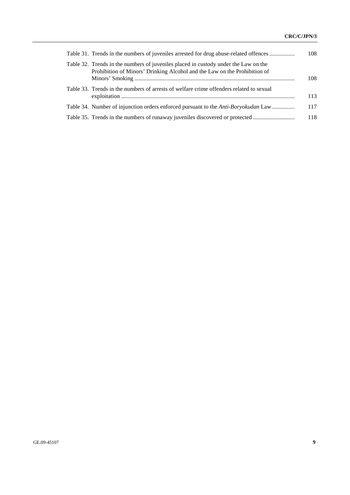| Table 31. Trends in the numbers of juveniles arrested for drug abuse-related offences                                                                            | 108 |
|------------------------------------------------------------------------------------------------------------------------------------------------------------------|-----|
| Table 32. Trends in the numbers of juveniles placed in custody under the Law on the<br>Prohibition of Minors' Drinking Alcohol and the Law on the Prohibition of | 108 |
| Table 33. Trends in the numbers of arrests of welfare crime offenders related to sexual                                                                          | 113 |
| Table 34. Number of injunction orders enforced pursuant to the <i>Anti-Boryokudan</i> Law                                                                        | 117 |
| Table 35. Trends in the numbers of runaway juveniles discovered or protected                                                                                     | 118 |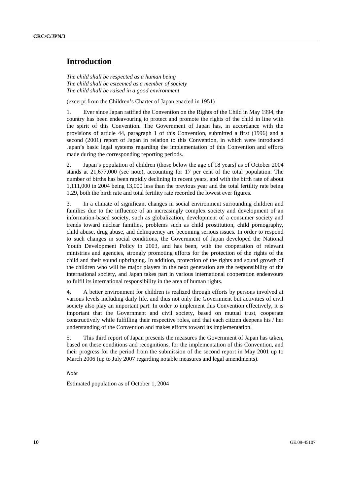## **Introduction**

*The child shall be respected as a human being The child shall be esteemed as a member of society The child shall be raised in a good environment* 

(excerpt from the Children's Charter of Japan enacted in 1951)

1. Ever since Japan ratified the Convention on the Rights of the Child in May 1994, the country has been endeavouring to protect and promote the rights of the child in line with the spirit of this Convention. The Government of Japan has, in accordance with the provisions of article 44, paragraph 1 of this Convention, submitted a first (1996) and a second (2001) report of Japan in relation to this Convention, in which were introduced Japan's basic legal systems regarding the implementation of this Convention and efforts made during the corresponding reporting periods.

2. Japan's population of children (those below the age of 18 years) as of October 2004 stands at 21,677,000 (see note), accounting for 17 per cent of the total population. The number of births has been rapidly declining in recent years, and with the birth rate of about 1,111,000 in 2004 being 13,000 less than the previous year and the total fertility rate being 1.29, both the birth rate and total fertility rate recorded the lowest ever figures.

3. In a climate of significant changes in social environment surrounding children and families due to the influence of an increasingly complex society and development of an information-based society, such as globalization, development of a consumer society and trends toward nuclear families, problems such as child prostitution, child pornography, child abuse, drug abuse, and delinquency are becoming serious issues. In order to respond to such changes in social conditions, the Government of Japan developed the National Youth Development Policy in 2003, and has been, with the cooperation of relevant ministries and agencies, strongly promoting efforts for the protection of the rights of the child and their sound upbringing. In addition, protection of the rights and sound growth of the children who will be major players in the next generation are the responsibility of the international society, and Japan takes part in various international cooperation endeavours to fulfil its international responsibility in the area of human rights.

4. A better environment for children is realized through efforts by persons involved at various levels including daily life, and thus not only the Government but activities of civil society also play an important part. In order to implement this Convention effectively, it is important that the Government and civil society, based on mutual trust, cooperate constructively while fulfilling their respective roles, and that each citizen deepens his / her understanding of the Convention and makes efforts toward its implementation.

5. This third report of Japan presents the measures the Government of Japan has taken, based on these conditions and recognitions, for the implementation of this Convention, and their progress for the period from the submission of the second report in May 2001 up to March 2006 (up to July 2007 regarding notable measures and legal amendments).

 *Note* 

Estimated population as of October 1, 2004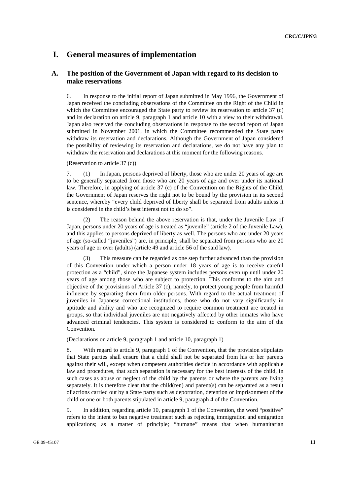## **I. General measures of implementation**

### **A. The position of the Government of Japan with regard to its decision to make reservations**

6. In response to the initial report of Japan submitted in May 1996, the Government of Japan received the concluding observations of the Committee on the Right of the Child in which the Committee encouraged the State party to review its reservation to article 37 (c) and its declaration on article 9, paragraph 1 and article 10 with a view to their withdrawal. Japan also received the concluding observations in response to the second report of Japan submitted in November 2001, in which the Committee recommended the State party withdraw its reservation and declarations. Although the Government of Japan considered the possibility of reviewing its reservation and declarations, we do not have any plan to withdraw the reservation and declarations at this moment for the following reasons.

(Reservation to article 37 (c))

7. (1) In Japan, persons deprived of liberty, those who are under 20 years of age are to be generally separated from those who are 20 years of age and over under its national law. Therefore, in applying of article 37 (c) of the Convention on the Rights of the Child, the Government of Japan reserves the right not to be bound by the provision in its second sentence, whereby "every child deprived of liberty shall be separated from adults unless it is considered in the child's best interest not to do so".

 (2) The reason behind the above reservation is that, under the Juvenile Law of Japan, persons under 20 years of age is treated as "juvenile" (article 2 of the Juvenile Law), and this applies to persons deprived of liberty as well. The persons who are under 20 years of age (so-called "juveniles") are, in principle, shall be separated from persons who are 20 years of age or over (adults) (article 49 and article 56 of the said law).

 (3) This measure can be regarded as one step further advanced than the provision of this Convention under which a person under 18 years of age is to receive careful protection as a "child", since the Japanese system includes persons even up until under 20 years of age among those who are subject to protection. This conforms to the aim and objective of the provisions of Article 37 (c), namely, to protect young people from harmful influence by separating them from older persons. With regard to the actual treatment of juveniles in Japanese correctional institutions, those who do not vary significantly in aptitude and ability and who are recognized to require common treatment are treated in groups, so that individual juveniles are not negatively affected by other inmates who have advanced criminal tendencies. This system is considered to conform to the aim of the Convention.

(Declarations on article 9, paragraph 1 and article 10, paragraph 1)

8. With regard to article 9, paragraph 1 of the Convention, that the provision stipulates that State parties shall ensure that a child shall not be separated from his or her parents against their will, except when competent authorities decide in accordance with applicable law and procedures, that such separation is necessary for the best interests of the child, in such cases as abuse or neglect of the child by the parents or where the parents are living separately. It is therefore clear that the child(ren) and parent(s) can be separated as a result of actions carried out by a State party such as deportation, detention or imprisonment of the child or one or both parents stipulated in article 9, paragraph 4 of the Convention.

9. In addition, regarding article 10, paragraph 1 of the Convention, the word "positive" refers to the intent to ban negative treatment such as rejecting immigration and emigration applications; as a matter of principle; "humane" means that when humanitarian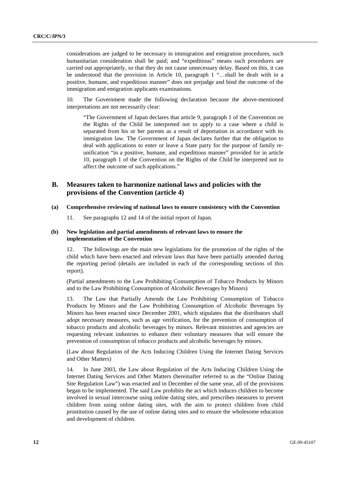considerations are judged to be necessary in immigration and emigration procedures, such humanitarian consideration shall be paid; and "expeditious" means such procedures are carried out appropriately, so that they do not cause unnecessary delay. Based on this, it can be understood that the provision in Article 10, paragraph 1 "...shall be dealt with in a positive, humane, and expeditious manner" does not prejudge and bind the outcome of the immigration and emigration applicants examinations.

10. The Government made the following declaration because the above-mentioned interpretations are not necessarily clear:

"The Government of Japan declares that article 9, paragraph 1 of the Convention on the Rights of the Child be interpreted not to apply to a case where a child is separated from his or her parents as a result of deportation in accordance with its immigration law. The Government of Japan declares further that the obligation to deal with applications to enter or leave a State party for the purpose of family reunification "in a positive, humane, and expeditious manner" provided for in article 10, paragraph 1 of the Convention on the Rights of the Child be interpreted not to affect the outcome of such applications."

### **B. Measures taken to harmonize national laws and policies with the provisions of the Convention (article 4)**

#### **(a) Comprehensive reviewing of national laws to ensure consistency with the Convention**

11. See paragraphs 12 and 14 of the initial report of Japan.

#### **(b) New legislation and partial amendments of relevant laws to ensure the implementation of the Convention**

12. The followings are the main new legislations for the promotion of the rights of the child which have been enacted and relevant laws that have been partially amended during the reporting period (details are included in each of the corresponding sections of this report).

(Partial amendments to the Law Prohibiting Consumption of Tobacco Products by Minors and to the Law Prohibiting Consumption of Alcoholic Beverages by Minors)

13. The Law that Partially Amends the Law Prohibiting Consumption of Tobacco Products by Minors and the Law Prohibiting Consumption of Alcoholic Beverages by Minors has been enacted since December 2001, which stipulates that the distributors shall adopt necessary measures, such as age verification, for the prevention of consumption of tobacco products and alcoholic beverages by minors. Relevant ministries and agencies are requesting relevant industries to enhance their voluntary measures that will ensure the prevention of consumption of tobacco products and alcoholic beverages by minors.

(Law about Regulation of the Acts Inducing Children Using the Internet Dating Services and Other Matters)

14. In June 2003, the Law about Regulation of the Acts Inducing Children Using the Internet Dating Services and Other Matters (hereinafter referred to as the "Online Dating Site Regulation Law") was enacted and in December of the same year, all of the provisions began to be implemented. The said Law prohibits the act which induces children to become involved in sexual intercourse using online dating sites, and prescribes measures to prevent children from using online dating sites, with the aim to protect children from child prostitution caused by the use of online dating sites and to ensure the wholesome education and development of children.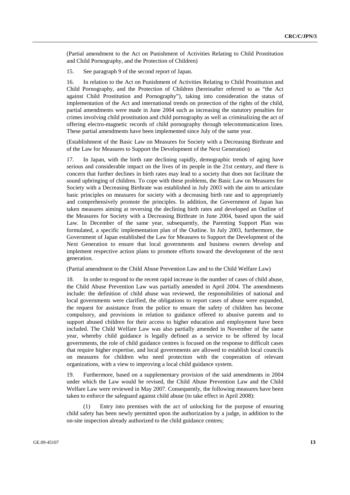(Partial amendment to the Act on Punishment of Activities Relating to Child Prostitution and Child Pornography, and the Protection of Children)

15. See paragraph 9 of the second report of Japan.

16. In relation to the Act on Punishment of Activities Relating to Child Prostitution and Child Pornography, and the Protection of Children (hereinafter referred to as "the Act against Child Prostitution and Pornography"), taking into consideration the status of implementation of the Act and international trends on protection of the rights of the child, partial amendments were made in June 2004 such as increasing the statutory penalties for crimes involving child prostitution and child pornography as well as criminalizing the act of offering electro-magnetic records of child pornography through telecommunication lines. These partial amendments have been implemented since July of the same year.

(Establishment of the Basic Law on Measures for Society with a Decreasing Birthrate and of the Law for Measures to Support the Development of the Next Generation)

17. In Japan, with the birth rate declining rapidly, demographic trends of aging have serious and considerable impact on the lives of its people in the 21st century, and there is concern that further declines in birth rates may lead to a society that does not facilitate the sound upbringing of children. To cope with these problems, the Basic Law on Measures for Society with a Decreasing Birthrate was established in July 2003 with the aim to articulate basic principles on measures for society with a decreasing birth rate and to appropriately and comprehensively promote the principles. In addition, the Government of Japan has taken measures aiming at reversing the declining birth rates and developed an Outline of the Measures for Society with a Decreasing Birthrate in June 2004, based upon the said Law. In December of the same year, subsequently, the Parenting Support Plan was formulated, a specific implementation plan of the Outline. In July 2003, furthermore, the Government of Japan established the Law for Measures to Support the Development of the Next Generation to ensure that local governments and business owners develop and implement respective action plans to promote efforts toward the development of the next generation.

(Partial amendment to the Child Abuse Prevention Law and to the Child Welfare Law)

18. In order to respond to the recent rapid increase in the number of cases of child abuse, the Child Abuse Prevention Law was partially amended in April 2004. The amendments include: the definition of child abuse was reviewed, the responsibilities of national and local governments were clarified, the obligations to report cases of abuse were expanded, the request for assistance from the police to ensure the safety of children has become compulsory, and provisions in relation to guidance offered to abusive parents and to support abused children for their access to higher education and employment have been included. The Child Welfare Law was also partially amended in November of the same year, whereby child guidance is legally defined as a service to be offered by local governments, the role of child guidance centres is focused on the response to difficult cases that require higher expertise, and local governments are allowed to establish local councils on measures for children who need protection with the cooperation of relevant organizations, with a view to improving a local child guidance system.

19. Furthermore, based on a supplementary provision of the said amendments in 2004 under which the Law would be revised, the Child Abuse Prevention Law and the Child Welfare Law were reviewed in May 2007. Consequently, the following measures have been taken to enforce the safeguard against child abuse (to take effect in April 2008):

 (1) Entry into premises with the act of unlocking for the purpose of ensuring child safety has been newly permitted upon the authorization by a judge, in addition to the on-site inspection already authorized to the child guidance centres;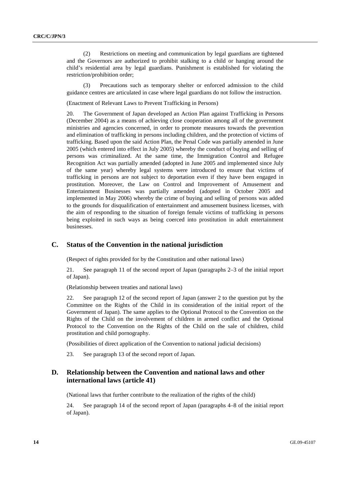(2) Restrictions on meeting and communication by legal guardians are tightened and the Governors are authorized to prohibit stalking to a child or hanging around the child's residential area by legal guardians. Punishment is established for violating the restriction/prohibition order;

 (3) Precautions such as temporary shelter or enforced admission to the child guidance centres are articulated in case where legal guardians do not follow the instruction.

(Enactment of Relevant Laws to Prevent Trafficking in Persons)

20. The Government of Japan developed an Action Plan against Trafficking in Persons (December 2004) as a means of achieving close cooperation among all of the government ministries and agencies concerned, in order to promote measures towards the prevention and elimination of trafficking in persons including children, and the protection of victims of trafficking. Based upon the said Action Plan, the Penal Code was partially amended in June 2005 (which entered into effect in July 2005) whereby the conduct of buying and selling of persons was criminalized. At the same time, the Immigration Control and Refugee Recognition Act was partially amended (adopted in June 2005 and implemented since July of the same year) whereby legal systems were introduced to ensure that victims of trafficking in persons are not subject to deportation even if they have been engaged in prostitution. Moreover, the Law on Control and Improvement of Amusement and Entertainment Businesses was partially amended (adopted in October 2005 and implemented in May 2006) whereby the crime of buying and selling of persons was added to the grounds for disqualification of entertainment and amusement business licenses, with the aim of responding to the situation of foreign female victims of trafficking in persons being exploited in such ways as being coerced into prostitution in adult entertainment businesses.

### **C. Status of the Convention in the national jurisdiction**

(Respect of rights provided for by the Constitution and other national laws)

21. See paragraph 11 of the second report of Japan (paragraphs 2–3 of the initial report of Japan).

(Relationship between treaties and national laws)

22. See paragraph 12 of the second report of Japan (answer 2 to the question put by the Committee on the Rights of the Child in its consideration of the initial report of the Government of Japan). The same applies to the Optional Protocol to the Convention on the Rights of the Child on the involvement of children in armed conflict and the Optional Protocol to the Convention on the Rights of the Child on the sale of children, child prostitution and child pornography.

(Possibilities of direct application of the Convention to national judicial decisions)

23. See paragraph 13 of the second report of Japan.

### **D. Relationship between the Convention and national laws and other international laws (article 41)**

(National laws that further contribute to the realization of the rights of the child)

24. See paragraph 14 of the second report of Japan (paragraphs 4–8 of the initial report of Japan).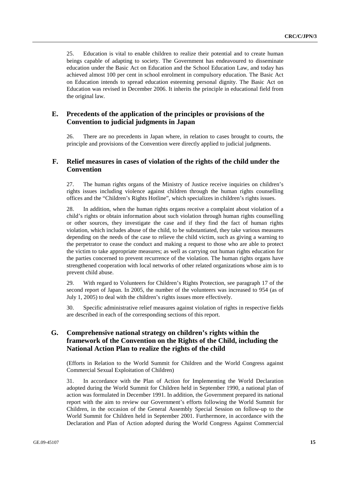25. Education is vital to enable children to realize their potential and to create human beings capable of adapting to society. The Government has endeavoured to disseminate education under the Basic Act on Education and the School Education Law, and today has achieved almost 100 per cent in school enrolment in compulsory education. The Basic Act on Education intends to spread education esteeming personal dignity. The Basic Act on Education was revised in December 2006. It inherits the principle in educational field from the original law.

### **E. Precedents of the application of the principles or provisions of the Convention to judicial judgments in Japan**

26. There are no precedents in Japan where, in relation to cases brought to courts, the principle and provisions of the Convention were directly applied to judicial judgments.

### **F. Relief measures in cases of violation of the rights of the child under the Convention**

27. The human rights organs of the Ministry of Justice receive inquiries on children's rights issues including violence against children through the human rights counselling offices and the "Children's Rights Hotline", which specializes in children's rights issues.

28. In addition, when the human rights organs receive a complaint about violation of a child's rights or obtain information about such violation through human rights counselling or other sources, they investigate the case and if they find the fact of human rights violation, which includes abuse of the child, to be substantiated, they take various measures depending on the needs of the case to relieve the child victim, such as giving a warning to the perpetrator to cease the conduct and making a request to those who are able to protect the victim to take appropriate measures; as well as carrying out human rights education for the parties concerned to prevent recurrence of the violation. The human rights organs have strengthened cooperation with local networks of other related organizations whose aim is to prevent child abuse.

29. With regard to Volunteers for Children's Rights Protection, see paragraph 17 of the second report of Japan. In 2005, the number of the volunteers was increased to 954 (as of July 1, 2005) to deal with the children's rights issues more effectively.

30. Specific administrative relief measures against violation of rights in respective fields are described in each of the corresponding sections of this report.

### **G. Comprehensive national strategy on children's rights within the framework of the Convention on the Rights of the Child, including the National Action Plan to realize the rights of the child**

(Efforts in Relation to the World Summit for Children and the World Congress against Commercial Sexual Exploitation of Children)

31. In accordance with the Plan of Action for Implementing the World Declaration adopted during the World Summit for Children held in September 1990, a national plan of action was formulated in December 1991. In addition, the Government prepared its national report with the aim to review our Government's efforts following the World Summit for Children, in the occasion of the General Assembly Special Session on follow-up to the World Summit for Children held in September 2001. Furthermore, in accordance with the Declaration and Plan of Action adopted during the World Congress Against Commercial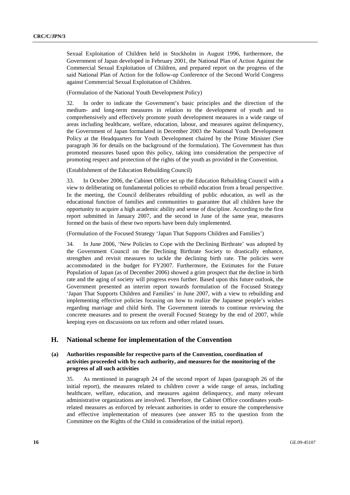Sexual Exploitation of Children held in Stockholm in August 1996, furthermore, the Government of Japan developed in February 2001, the National Plan of Action Against the Commercial Sexual Exploitation of Children, and prepared report on the progress of the said National Plan of Action for the follow-up Conference of the Second World Congress against Commercial Sexual Exploitation of Children.

(Formulation of the National Youth Development Policy)

32. In order to indicate the Government's basic principles and the direction of the medium- and long-term measures in relation to the development of youth and to comprehensively and effectively promote youth development measures in a wide range of areas including healthcare, welfare, education, labour, and measures against delinquency, the Government of Japan formulated in December 2003 the National Youth Development Policy at the Headquarters for Youth Development chaired by the Prime Minister (See paragraph 36 for details on the background of the formulation). The Government has thus promoted measures based upon this policy, taking into consideration the perspective of promoting respect and protection of the rights of the youth as provided in the Convention.

(Establishment of the Education Rebuilding Council)

33. In October 2006, the Cabinet Office set up the Education Rebuilding Council with a view to deliberating on fundamental policies to rebuild education from a broad perspective. In the meeting, the Council deliberates rebuilding of public education, as well as the educational function of families and communities to guarantee that all children have the opportunity to acquire a high academic ability and sense of discipline. According to the first report submitted in January 2007, and the second in June of the same year, measures formed on the basis of these two reports have been duly implemented.

(Formulation of the Focused Strategy 'Japan That Supports Children and Families')

34. In June 2006, 'New Policies to Cope with the Declining Birthrate' was adopted by the Government Council on the Declining Birthrate Society to drastically enhance, strengthen and revisit measures to tackle the declining birth rate. The policies were accommodated in the budget for FY2007. Furthermore, the Estimates for the Future Population of Japan (as of December 2006) showed a grim prospect that the decline in birth rate and the aging of society will progress even further. Based upon this future outlook, the Government presented an interim report towards formulation of the Focused Strategy 'Japan That Supports Children and Families' in June 2007, with a view to rebuilding and implementing effective policies focusing on how to realize the Japanese people's wishes regarding marriage and child birth. The Government intends to continue reviewing the concrete measures and to present the overall Focused Strategy by the end of 2007, while keeping eyes on discussions on tax reform and other related issues.

### **H. National scheme for implementation of the Convention**

### **(a) Authorities responsible for respective parts of the Convention, coordination of activities proceeded with by each authority, and measures for the monitoring of the progress of all such activities**

35. As mentioned in paragraph 24 of the second report of Japan (paragraph 26 of the initial report), the measures related to children cover a wide range of areas, including healthcare, welfare, education, and measures against delinquency, and many relevant administrative organizations are involved. Therefore, the Cabinet Office coordinates youthrelated measures as enforced by relevant authorities in order to ensure the comprehensive and effective implementation of measures (see answer B5 to the question from the Committee on the Rights of the Child in consideration of the initial report).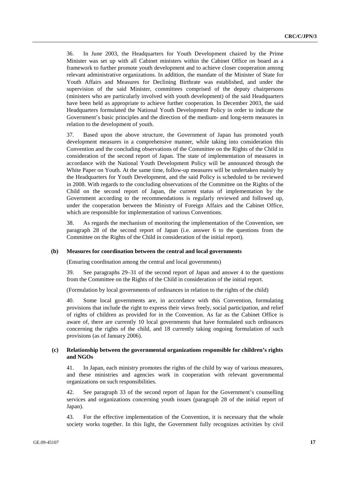36. In June 2003, the Headquarters for Youth Development chaired by the Prime Minister was set up with all Cabinet ministers within the Cabinet Office on board as a framework to further promote youth development and to achieve closer cooperation among relevant administrative organizations. In addition, the mandate of the Minister of State for Youth Affairs and Measures for Declining Birthrate was established, and under the supervision of the said Minister, committees comprised of the deputy chairpersons (ministers who are particularly involved with youth development) of the said Headquarters have been held as appropriate to achieve further cooperation. In December 2003, the said Headquarters formulated the National Youth Development Policy in order to indicate the Government's basic principles and the direction of the medium- and long-term measures in relation to the development of youth.

37. Based upon the above structure, the Government of Japan has promoted youth development measures in a comprehensive manner, while taking into consideration this Convention and the concluding observations of the Committee on the Rights of the Child in consideration of the second report of Japan. The state of implementation of measures in accordance with the National Youth Development Policy will be announced through the White Paper on Youth. At the same time, follow-up measures will be undertaken mainly by the Headquarters for Youth Development, and the said Policy is scheduled to be reviewed in 2008. With regards to the concluding observations of the Committee on the Rights of the Child on the second report of Japan, the current status of implementation by the Government according to the recommendations is regularly reviewed and followed up, under the cooperation between the Ministry of Foreign Affairs and the Cabinet Office, which are responsible for implementation of various Conventions.

38. As regards the mechanism of monitoring the implementation of the Convention, see paragraph 28 of the second report of Japan (i.e. answer 6 to the questions from the Committee on the Rights of the Child in consideration of the initial report).

#### **(b) Measures for coordination between the central and local governments**

(Ensuring coordination among the central and local governments)

39. See paragraphs 29–31 of the second report of Japan and answer 4 to the questions from the Committee on the Rights of the Child in consideration of the initial report.

(Formulation by local governments of ordinances in relation to the rights of the child)

40. Some local governments are, in accordance with this Convention, formulating provisions that include the right to express their views freely, social participation, and relief of rights of children as provided for in the Convention. As far as the Cabinet Office is aware of, there are currently 10 local governments that have formulated such ordinances concerning the rights of the child, and 18 currently taking ongoing formulation of such provisions (as of January 2006).

### **(c) Relationship between the governmental organizations responsible for children's rights and NGOs**

41. In Japan, each ministry promotes the rights of the child by way of various measures, and these ministries and agencies work in cooperation with relevant governmental organizations on such responsibilities.

42. See paragraph 33 of the second report of Japan for the Government's counselling services and organizations concerning youth issues (paragraph 28 of the initial report of Japan).

43. For the effective implementation of the Convention, it is necessary that the whole society works together. In this light, the Government fully recognizes activities by civil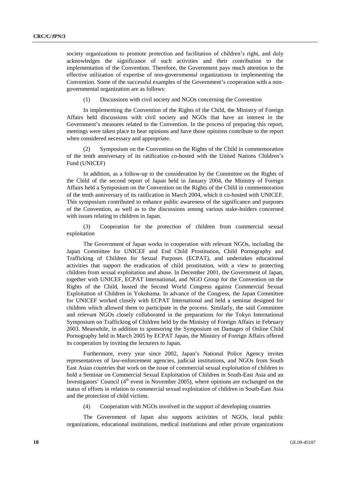society organizations to promote protection and facilitation of children's right, and duly acknowledges the significance of such activities and their contribution to the implementation of the Convention. Therefore, the Government pays much attention to the effective utilization of expertise of non-governmental organizations in implementing the Convention. Some of the successful examples of the Government's cooperation with a nongovernmental organization are as follows:

(1) Discussions with civil society and NGOs concerning the Convention

 In implementing the Convention of the Rights of the Child, the Ministry of Foreign Affairs held discussions with civil society and NGOs that have an interest in the Government's measures related to the Convention. In the process of preparing this report, meetings were taken place to hear opinions and have those opinions contribute to the report when considered necessary and appropriate.

 (2) Symposium on the Convention on the Rights of the Child in commemoration of the tenth anniversary of its ratification co-hosted with the United Nations Children's Fund (UNICEF)

 In addition, as a follow-up to the consideration by the Committee on the Rights of the Child of the second report of Japan held in January 2004, the Ministry of Foreign Affairs held a Symposium on the Convention on the Rights of the Child in commemoration of the tenth anniversary of its ratification in March 2004, which it co-hosted with UNICEF. This symposium contributed to enhance public awareness of the significance and purposes of the Convention, as well as to the discussions among various stake-holders concerned with issues relating to children in Japan.

 (3) Cooperation for the protection of children from commercial sexual exploitation

 The Government of Japan works in cooperation with relevant NGOs, including the Japan Committee for UNICEF and End Child Prostitution, Child Pornography and Trafficking of Children for Sexual Purposes (ECPAT), and undertakes educational activities that support the eradication of child prostitution, with a view to protecting children from sexual exploitation and abuse. In December 2001, the Government of Japan, together with UNICEF, ECPAT International, and NGO Group for the Convention on the Rights of the Child, hosted the Second World Congress against Commercial Sexual Exploitation of Children in Yokohama. In advance of the Congress, the Japan Committee for UNICEF worked closely with ECPAT International and held a seminar designed for children which allowed them to participate in the process. Similarly, the said Committee and relevant NGOs closely collaborated in the preparations for the Tokyo International Symposium on Trafficking of Children held by the Ministry of Foreign Affairs in February 2003. Meanwhile, in addition to sponsoring the Symposium on Damages of Online Child Pornography held in March 2005 by ECPAT Japan, the Ministry of Foreign Affairs offered its cooperation by inviting the lecturers to Japan.

 Furthermore, every year since 2002, Japan's National Police Agency invites representatives of law-enforcement agencies, judicial institutions, and NGOs from South East Asian countries that work on the issue of commercial sexual exploitation of children to hold a Seminar on Commercial Sexual Exploitation of Children in South-East Asia and an Investigators' Council  $(4<sup>th</sup>$  event in November 2005), where opinions are exchanged on the status of efforts in relation to commercial sexual exploitation of children in South-East Asia and the protection of child victims.

(4) Cooperation with NGOs involved in the support of developing countries

 The Government of Japan also supports activities of NGOs, local public organizations, educational institutions, medical institutions and other private organizations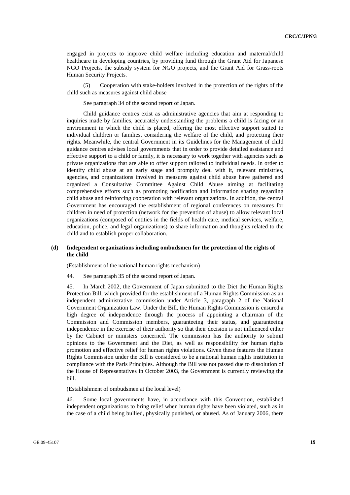engaged in projects to improve child welfare including education and maternal/child healthcare in developing countries, by providing fund through the Grant Aid for Japanese NGO Projects, the subsidy system for NGO projects, and the Grant Aid for Grass-roots Human Security Projects.

 (5) Cooperation with stake-holders involved in the protection of the rights of the child such as measures against child abuse

See paragraph 34 of the second report of Japan.

 Child guidance centres exist as administrative agencies that aim at responding to inquiries made by families, accurately understanding the problems a child is facing or an environment in which the child is placed, offering the most effective support suited to individual children or families, considering the welfare of the child, and protecting their rights. Meanwhile, the central Government in its Guidelines for the Management of child guidance centres advises local governments that in order to provide detailed assistance and effective support to a child or family, it is necessary to work together with agencies such as private organizations that are able to offer support tailored to individual needs. In order to identify child abuse at an early stage and promptly deal with it, relevant ministries, agencies, and organizations involved in measures against child abuse have gathered and organized a Consultative Committee Against Child Abuse aiming at facilitating comprehensive efforts such as promoting notification and information sharing regarding child abuse and reinforcing cooperation with relevant organizations. In addition, the central Government has encouraged the establishment of regional conferences on measures for children in need of protection (network for the prevention of abuse) to allow relevant local organizations (composed of entities in the fields of health care, medical services, welfare, education, police, and legal organizations) to share information and thoughts related to the child and to establish proper collaboration.

### **(d) Independent organizations including ombudsmen for the protection of the rights of the child**

(Establishment of the national human rights mechanism)

44. See paragraph 35 of the second report of Japan.

45. In March 2002, the Government of Japan submitted to the Diet the Human Rights Protection Bill, which provided for the establishment of a Human Rights Commission as an independent administrative commission under Article 3, paragraph 2 of the National Government Organization Law. Under the Bill, the Human Rights Commission is ensured a high degree of independence through the process of appointing a chairman of the Commission and Commission members, guaranteeing their status, and guaranteeing independence in the exercise of their authority so that their decision is not influenced either by the Cabinet or ministers concerned. The commission has the authority to submit opinions to the Government and the Diet, as well as responsibility for human rights promotion and effective relief for human rights violations. Given these features the Human Rights Commission under the Bill is considered to be a national human rights institution in compliance with the Paris Principles. Although the Bill was not passed due to dissolution of the House of Representatives in October 2003, the Government is currently reviewing the bill.

(Establishment of ombudsmen at the local level)

46. Some local governments have, in accordance with this Convention, established independent organizations to bring relief when human rights have been violated, such as in the case of a child being bullied, physically punished, or abused. As of January 2006, there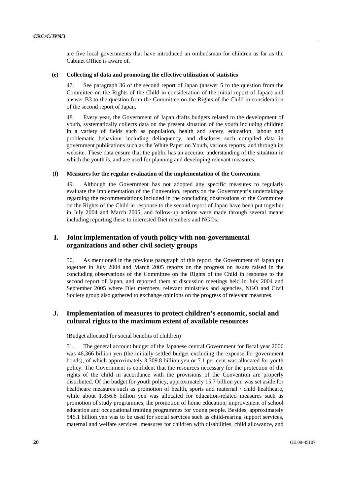are five local governments that have introduced an ombudsman for children as far as the Cabinet Office is aware of.

#### **(e) Collecting of data and promoting the effective utilization of statistics**

47. See paragraph 36 of the second report of Japan (answer 5 to the question from the Committee on the Rights of the Child in consideration of the initial report of Japan) and answer B3 to the question from the Committee on the Rights of the Child in consideration of the second report of Japan.

48. Every year, the Government of Japan drafts budgets related to the development of youth, systematically collects data on the present situation of the youth including children in a variety of fields such as population, health and safety, education, labour and problematic behaviour including delinquency, and discloses such compiled data in government publications such as the White Paper on Youth, various reports, and through its website. These data ensure that the public has an accurate understanding of the situation in which the youth is, and are used for planning and developing relevant measures.

#### **(f) Measures for the regular evaluation of the implementation of the Convention**

49. Although the Government has not adopted any specific measures to regularly evaluate the implementation of the Convention, reports on the Government's undertakings regarding the recommendations included in the concluding observations of the Committee on the Rights of the Child in response to the second report of Japan have been put together in July 2004 and March 2005, and follow-up actions were made through several means including reporting these to interested Diet members and NGOs.

### **I. Joint implementation of youth policy with non-governmental organizations and other civil society groups**

50. As mentioned in the previous paragraph of this report, the Government of Japan put together in July 2004 and March 2005 reports on the progress on issues raised in the concluding observations of the Committee on the Rights of the Child in response to the second report of Japan, and reported them at discussion meetings held in July 2004 and September 2005 where Diet members, relevant ministries and agencies, NGO and Civil Society group also gathered to exchange opinions on the progress of relevant measures.

### **J. Implementation of measures to protect children's economic, social and cultural rights to the maximum extent of available resources**

(Budget allocated for social benefits of children)

51. The general account budget of the Japanese central Government for fiscal year 2006 was 46,366 billion yen (the initially settled budget excluding the expense for government bonds), of which approximately 3,309.8 billion yen or 7.1 per cent was allocated for youth policy. The Government is confident that the resources necessary for the protection of the rights of the child in accordance with the provisions of the Convention are properly distributed. Of the budget for youth policy, approximately 15.7 billion yen was set aside for healthcare measures such as promotion of health, sports and maternal / child healthcare, while about 1,856.6 billion yen was allocated for education-related measures such as promotion of study programmes, the promotion of home education, improvement of school education and occupational training programmes for young people. Besides, approximately 546.1 billion yen was to be used for social services such as child-rearing support services, maternal and welfare services, measures for children with disabilities, child allowance, and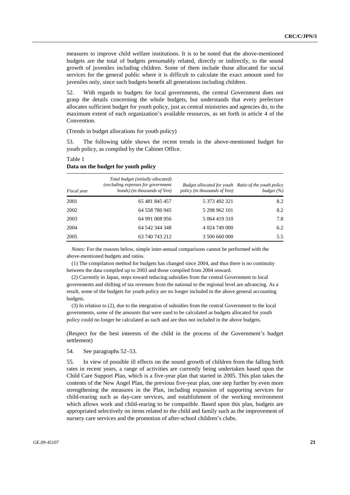measures to improve child welfare institutions. It is to be noted that the above-mentioned budgets are the total of budgets presumably related, directly or indirectly, to the sound growth of juveniles including children. Some of them include those allocated for social services for the general public where it is difficult to calculate the exact amount used for juveniles only, since such budgets benefit all generations including children.

52. With regards to budgets for local governments, the central Government does not grasp the details concerning the whole budgets, but understands that every prefecture allocates sufficient budget for youth policy, just as central ministries and agencies do, to the maximum extent of each organization's available resources, as set forth in article 4 of the Convention.

(Trends in budget allocations for youth policy)

53. The following table shows the recent trends in the above-mentioned budget for youth policy, as compiled by the Cabinet Office.

| Fiscal year | Total budget (initially allocated)<br>(excluding expenses for government<br>bonds) (in thousands of Yen) | Budget allocated for youth Ratio of the youth policy<br>policy (in thousands of Yen) | budget $(\%)$ |
|-------------|----------------------------------------------------------------------------------------------------------|--------------------------------------------------------------------------------------|---------------|
| 2001        | 65 481 845 457                                                                                           | 5 373 492 321                                                                        | 8.2           |
| 2002        | 64 558 780 945                                                                                           | 5 298 962 101                                                                        | 8.2           |
| 2003        | 64 991 008 956                                                                                           | 5 064 419 310                                                                        | 7.8           |
| 2004        | 64 542 344 348                                                                                           | 4 024 749 000                                                                        | 6.2           |
| 2005        | 63 740 743 212                                                                                           | 3 500 660 000                                                                        | 5.5           |

### **Data on the budget for youth policy**

Table 1

*Notes:* For the reasons below, simple inter-annual comparisons cannot be performed with the above-mentioned budgets and ratios.

(1) The compilation method for budgets has changed since 2004, and thus there is no continuity between the data compiled up to 2003 and those compiled from 2004 onward.

(2) Currently in Japan, steps toward reducing subsidies from the central Government to local governments and shifting of tax revenues from the national to the regional level are advancing. As a result, some of the budgets for youth policy are no longer included in the above general accounting budgets.

(3) In relation to (2), due to the integration of subsidies from the central Government to the local governments, some of the amounts that were used to be calculated as budgets allocated for youth policy could no longer be calculated as such and are thus not included in the above budgets.

(Respect for the best interests of the child in the process of the Government's budget settlement)

54. See paragraphs 52–53.

55. In view of possible ill effects on the sound growth of children from the falling birth rates in recent years, a range of activities are currently being undertaken based upon the Child Care Support Plan, which is a five-year plan that started in 2005. This plan takes the contents of the New Angel Plan, the previous five-year plan, one step further by even more strengthening the measures in the Plan, including expansion of supporting services for child-rearing such as day-care services, and establishment of the working environment which allows work and child-rearing to be compatible. Based upon this plan, budgets are appropriated selectively on items related to the child and family such as the improvement of nursery care services and the promotion of after-school children's clubs.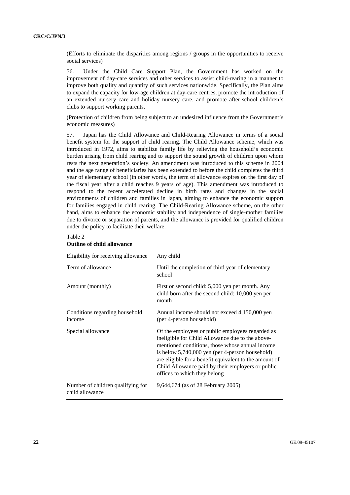(Efforts to eliminate the disparities among regions / groups in the opportunities to receive social services)

56. Under the Child Care Support Plan, the Government has worked on the improvement of day-care services and other services to assist child-rearing in a manner to improve both quality and quantity of such services nationwide. Specifically, the Plan aims to expand the capacity for low-age children at day-care centres, promote the introduction of an extended nursery care and holiday nursery care, and promote after-school children's clubs to support working parents.

(Protection of children from being subject to an undesired influence from the Government's economic measures)

57. Japan has the Child Allowance and Child-Rearing Allowance in terms of a social benefit system for the support of child rearing. The Child Allowance scheme, which was introduced in 1972, aims to stabilize family life by relieving the household's economic burden arising from child rearing and to support the sound growth of children upon whom rests the next generation's society. An amendment was introduced to this scheme in 2004 and the age range of beneficiaries has been extended to before the child completes the third year of elementary school (in other words, the term of allowance expires on the first day of the fiscal year after a child reaches 9 years of age). This amendment was introduced to respond to the recent accelerated decline in birth rates and changes in the social environments of children and families in Japan, aiming to enhance the economic support for families engaged in child rearing. The Child-Rearing Allowance scheme, on the other hand, aims to enhance the economic stability and independence of single-mother families due to divorce or separation of parents, and the allowance is provided for qualified children under the policy to facilitate their welfare.

| Eligibility for receiving allowance                  | Any child                                                                                                                                                                                                                                                                                                                                                 |
|------------------------------------------------------|-----------------------------------------------------------------------------------------------------------------------------------------------------------------------------------------------------------------------------------------------------------------------------------------------------------------------------------------------------------|
| Term of allowance                                    | Until the completion of third year of elementary<br>school                                                                                                                                                                                                                                                                                                |
| Amount (monthly)                                     | First or second child: 5,000 yen per month. Any<br>child born after the second child: 10,000 yen per<br>month                                                                                                                                                                                                                                             |
| Conditions regarding household<br>income             | Annual income should not exceed 4,150,000 yen<br>(per 4-person household)                                                                                                                                                                                                                                                                                 |
| Special allowance                                    | Of the employees or public employees regarded as<br>ineligible for Child Allowance due to the above-<br>mentioned conditions, those whose annual income<br>is below 5,740,000 yen (per 4-person household)<br>are eligible for a benefit equivalent to the amount of<br>Child Allowance paid by their employers or public<br>offices to which they belong |
| Number of children qualifying for<br>child allowance | 9,644,674 (as of 28 February 2005)                                                                                                                                                                                                                                                                                                                        |

#### Table 2

### **Outline of child allowance**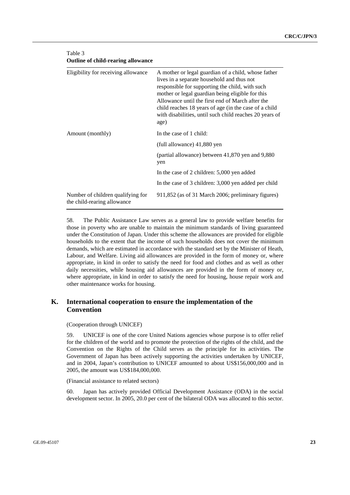| Eligibility for receiving allowance                              | A mother or legal guardian of a child, whose father<br>lives in a separate household and thus not<br>responsible for supporting the child, with such<br>mother or legal guardian being eligible for this<br>Allowance until the first end of March after the<br>child reaches 18 years of age (in the case of a child<br>with disabilities, until such child reaches 20 years of<br>age) |
|------------------------------------------------------------------|------------------------------------------------------------------------------------------------------------------------------------------------------------------------------------------------------------------------------------------------------------------------------------------------------------------------------------------------------------------------------------------|
| Amount (monthly)                                                 | In the case of 1 child:                                                                                                                                                                                                                                                                                                                                                                  |
|                                                                  | (full allowance) 41,880 yen                                                                                                                                                                                                                                                                                                                                                              |
|                                                                  | (partial allowance) between 41,870 yen and 9,880<br>yen                                                                                                                                                                                                                                                                                                                                  |
|                                                                  | In the case of 2 children: 5,000 yen added                                                                                                                                                                                                                                                                                                                                               |
|                                                                  | In the case of 3 children: 3,000 yen added per child                                                                                                                                                                                                                                                                                                                                     |
| Number of children qualifying for<br>the child-rearing allowance | 911,852 (as of 31 March 2006; preliminary figures)                                                                                                                                                                                                                                                                                                                                       |

### Table 3 **Outline of child-rearing allowance**

58. The Public Assistance Law serves as a general law to provide welfare benefits for those in poverty who are unable to maintain the minimum standards of living guaranteed under the Constitution of Japan. Under this scheme the allowances are provided for eligible households to the extent that the income of such households does not cover the minimum demands, which are estimated in accordance with the standard set by the Minister of Heath, Labour, and Welfare. Living aid allowances are provided in the form of money or, where appropriate, in kind in order to satisfy the need for food and clothes and as well as other daily necessities, while housing aid allowances are provided in the form of money or, where appropriate, in kind in order to satisfy the need for housing, house repair work and other maintenance works for housing.

### **K. International cooperation to ensure the implementation of the Convention**

### (Cooperation through UNICEF)

59. UNICEF is one of the core United Nations agencies whose purpose is to offer relief for the children of the world and to promote the protection of the rights of the child, and the Convention on the Rights of the Child serves as the principle for its activities. The Government of Japan has been actively supporting the activities undertaken by UNICEF, and in 2004, Japan's contribution to UNICEF amounted to about US\$156,000,000 and in 2005, the amount was US\$184,000,000.

#### (Financial assistance to related sectors)

60. Japan has actively provided Official Development Assistance (ODA) in the social development sector. In 2005, 20.0 per cent of the bilateral ODA was allocated to this sector.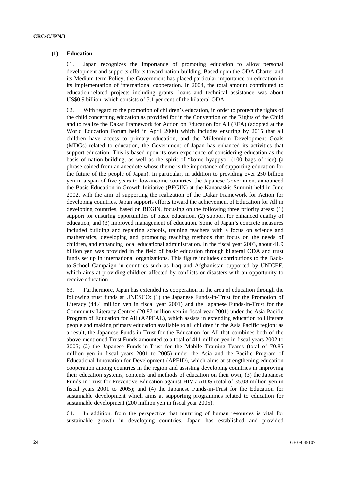#### **(1) Education**

61. Japan recognizes the importance of promoting education to allow personal development and supports efforts toward nation-building. Based upon the ODA Charter and its Medium-term Policy, the Government has placed particular importance on education in its implementation of international cooperation. In 2004, the total amount contributed to education-related projects including grants, loans and technical assistance was about US\$0.9 billion, which consists of 5.1 per cent of the bilateral ODA.

62. With regard to the promotion of children's education, in order to protect the rights of the child concerning education as provided for in the Convention on the Rights of the Child and to realize the Dakar Framework for Action on Education for All (EFA) (adopted at the World Education Forum held in April 2000) which includes ensuring by 2015 that all children have access to primary education, and the Millennium Development Goals (MDGs) related to education, the Government of Japan has enhanced its activities that support education. This is based upon its own experience of considering education as the basis of nation-building, as well as the spirit of "kome hyappyo" (100 bags of rice) (a phrase coined from an anecdote whose theme is the importance of supporting education for the future of the people of Japan). In particular, in addition to providing over 250 billion yen in a span of five years to low-income countries, the Japanese Government announced the Basic Education in Growth Initiative (BEGIN) at the Kananaskis Summit held in June 2002, with the aim of supporting the realization of the Dakar Framework for Action for developing countries. Japan supports efforts toward the achievement of Education for All in developing countries, based on BEGIN, focusing on the following three priority areas: (1) support for ensuring opportunities of basic education, (2) support for enhanced quality of education, and (3) improved management of education. Some of Japan's concrete measures included building and repairing schools, training teachers with a focus on science and mathematics, developing and promoting teaching methods that focus on the needs of children, and enhancing local educational administration. In the fiscal year 2003, about 41.9 billion yen was provided in the field of basic education through bilateral ODA and trust funds set up in international organizations. This figure includes contributions to the Backto-School Campaign in countries such as Iraq and Afghanistan supported by UNICEF, which aims at providing children affected by conflicts or disasters with an opportunity to receive education.

63. Furthermore, Japan has extended its cooperation in the area of education through the following trust funds at UNESCO: (1) the Japanese Funds-in-Trust for the Promotion of Literacy (44.4 million yen in fiscal year 2001) and the Japanese Funds-in-Trust for the Community Literacy Centres (20.87 million yen in fiscal year 2001) under the Asia-Pacific Program of Education for All (APPEAL), which assists in extending education to illiterate people and making primary education available to all children in the Asia Pacific region; as a result, the Japanese Funds-in-Trust for the Education for All that combines both of the above-mentioned Trust Funds amounted to a total of 411 million yen in fiscal years 2002 to 2005; (2) the Japanese Funds-in-Trust for the Mobile Training Teams (total of 70.85 million yen in fiscal years 2001 to 2005) under the Asia and the Pacific Program of Educational Innovation for Development (APEID), which aims at strengthening education cooperation among countries in the region and assisting developing countries in improving their education systems, contents and methods of education on their own; (3) the Japanese Funds-in-Trust for Preventive Education against HIV / AIDS (total of 35.08 million yen in fiscal years 2001 to 2005); and (4) the Japanese Funds-in-Trust for the Education for sustainable development which aims at supporting programmes related to education for sustainable development (200 million yen in fiscal year 2005).

64. In addition, from the perspective that nurturing of human resources is vital for sustainable growth in developing countries, Japan has established and provided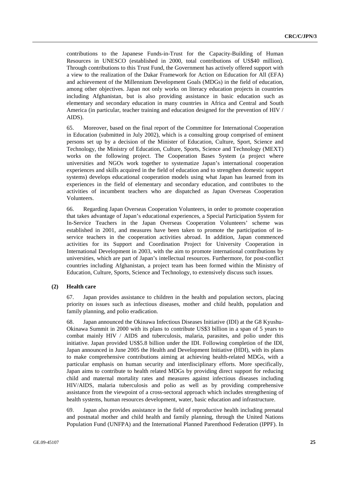contributions to the Japanese Funds-in-Trust for the Capacity-Building of Human Resources in UNESCO (established in 2000, total contributions of US\$40 million). Through contributions to this Trust Fund, the Government has actively offered support with a view to the realization of the Dakar Framework for Action on Education for All (EFA) and achievement of the Millennium Development Goals (MDGs) in the field of education, among other objectives. Japan not only works on literacy education projects in countries including Afghanistan, but is also providing assistance in basic education such as elementary and secondary education in many countries in Africa and Central and South America (in particular, teacher training and education designed for the prevention of HIV / AIDS).

65. Moreover, based on the final report of the Committee for International Cooperation in Education (submitted in July 2002), which is a consulting group comprised of eminent persons set up by a decision of the Minister of Education, Culture, Sport, Science and Technology, the Ministry of Education, Culture, Sports, Science and Technology (MEXT) works on the following project. The Cooperation Bases System (a project where universities and NGOs work together to systematize Japan's international cooperation experiences and skills acquired in the field of education and to strengthen domestic support systems) develops educational cooperation models using what Japan has learned from its experiences in the field of elementary and secondary education, and contributes to the activities of incumbent teachers who are dispatched as Japan Overseas Cooperation Volunteers.

66. Regarding Japan Overseas Cooperation Volunteers, in order to promote cooperation that takes advantage of Japan's educational experiences, a Special Participation System for In-Service Teachers in the Japan Overseas Cooperation Volunteers' scheme was established in 2001, and measures have been taken to promote the participation of inservice teachers in the cooperation activities abroad. In addition, Japan commenced activities for its Support and Coordination Project for University Cooperation in International Development in 2003, with the aim to promote international contributions by universities, which are part of Japan's intellectual resources. Furthermore, for post-conflict countries including Afghanistan, a project team has been formed within the Ministry of Education, Culture, Sports, Science and Technology, to extensively discuss such issues.

### **(2) Health care**

67. Japan provides assistance to children in the health and population sectors, placing priority on issues such as infectious diseases, mother and child health, population and family planning, and polio eradication.

68. Japan announced the Okinawa Infectious Diseases Initiative (IDI) at the G8 Kyushu-Okinawa Summit in 2000 with its plans to contribute US\$3 billion in a span of 5 years to combat mainly HIV / AIDS and tuberculosis, malaria, parasites, and polio under this initiative. Japan provided US\$5.8 billion under the IDI. Following completion of the IDI, Japan announced in June 2005 the Health and Development Initiative (HDI), with its plans to make comprehensive contributions aiming at achieving health-related MDGs, with a particular emphasis on human security and interdisciplinary efforts. More specifically, Japan aims to contribute to health related MDGs by providing direct support for reducing child and maternal mortality rates and measures against infectious diseases including HIV/AIDS, malaria tuberculosis and polio as well as by providing comprehensive assistance from the viewpoint of a cross-sectoral approach which includes strengthening of health systems, human resources development, water, basic education and infrastructure.

69. Japan also provides assistance in the field of reproductive health including prenatal and postnatal mother and child health and family planning, through the United Nations Population Fund (UNFPA) and the International Planned Parenthood Federation (IPPF). In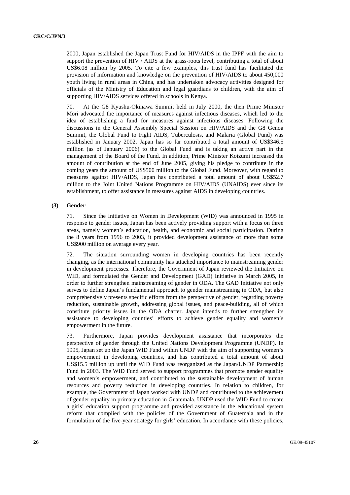2000, Japan established the Japan Trust Fund for HIV/AIDS in the IPPF with the aim to support the prevention of HIV / AIDS at the grass-roots level, contributing a total of about US\$6.08 million by 2005. To cite a few examples, this trust fund has facilitated the provision of information and knowledge on the prevention of HIV/AIDS to about 450,000 youth living in rural areas in China, and has undertaken advocacy activities designed for officials of the Ministry of Education and legal guardians to children, with the aim of supporting HIV/AIDS services offered in schools in Kenya.

70. At the G8 Kyushu-Okinawa Summit held in July 2000, the then Prime Minister Mori advocated the importance of measures against infectious diseases, which led to the idea of establishing a fund for measures against infectious diseases. Following the discussions in the General Assembly Special Session on HIV/AIDS and the G8 Genoa Summit, the Global Fund to Fight AIDS, Tuberculosis, and Malaria (Global Fund) was established in January 2002. Japan has so far contributed a total amount of US\$346.5 million (as of January 2006) to the Global Fund and is taking an active part in the management of the Board of the Fund. In addition, Prime Minister Koizumi increased the amount of contribution at the end of June 2005, giving his pledge to contribute in the coming years the amount of US\$500 million to the Global Fund. Moreover, with regard to measures against HIV/AIDS, Japan has contributed a total amount of about US\$52.7 million to the Joint United Nations Programme on HIV/AIDS (UNAIDS) ever since its establishment, to offer assistance in measures against AIDS in developing countries.

#### **(3) Gender**

71. Since the Initiative on Women in Development (WID) was announced in 1995 in response to gender issues, Japan has been actively providing support with a focus on three areas, namely women's education, health, and economic and social participation. During the 8 years from 1996 to 2003, it provided development assistance of more than some US\$900 million on average every year.

72. The situation surrounding women in developing countries has been recently changing, as the international community has attached importance to mainstreaming gender in development processes. Therefore, the Government of Japan reviewed the Initiative on WID, and formulated the Gender and Development (GAD) Initiative in March 2005, in order to further strengthen mainstreaming of gender in ODA. The GAD Initiative not only serves to define Japan's fundamental approach to gender mainstreaming in ODA, but also comprehensively presents specific efforts from the perspective of gender, regarding poverty reduction, sustainable growth, addressing global issues, and peace-building, all of which constitute priority issues in the ODA charter. Japan intends to further strengthen its assistance to developing counties' efforts to achieve gender equality and women's empowerment in the future.

73. Furthermore, Japan provides development assistance that incorporates the perspective of gender through the United Nations Development Programme (UNDP). In 1995, Japan set up the Japan WID Fund within UNDP with the aim of supporting women's empowerment in developing countries, and has contributed a total amount of about US\$15.5 million up until the WID Fund was reorganized as the Japan/UNDP Partnership Fund in 2003. The WID Fund served to support programmes that promote gender equality and women's empowerment, and contributed to the sustainable development of human resources and poverty reduction in developing countries. In relation to children, for example, the Government of Japan worked with UNDP and contributed to the achievement of gender equality in primary education in Guatemala. UNDP used the WID Fund to create a girls' education support programme and provided assistance in the educational system reform that complied with the policies of the Government of Guatemala and in the formulation of the five-year strategy for girls' education. In accordance with these policies,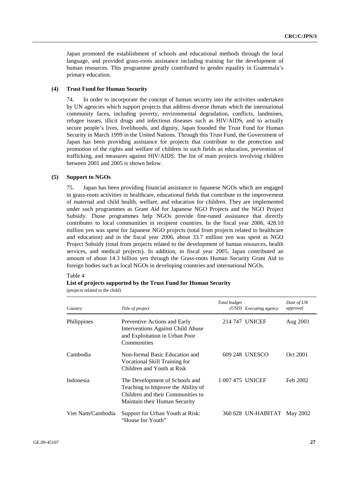Japan promoted the establishment of schools and educational methods through the local language, and provided grass-roots assistance including training for the development of human resources. This programme greatly contributed to gender equality in Guatemala's primary education.

#### **(4) Trust Fund for Human Security**

74. In order to incorporate the concept of human security into the activities undertaken by UN agencies which support projects that address diverse threats which the international community faces, including poverty, environmental degradation, conflicts, landmines, refugee issues, illicit drugs and infectious diseases such as HIV/AIDS, and to actually secure people's lives, livelihoods, and dignity, Japan founded the Trust Fund for Human Security in March 1999 in the United Nations. Through this Trust Fund, the Government of Japan has been providing assistance for projects that contribute to the protection and promotion of the rights and welfare of children in such fields as education, prevention of trafficking, and measures against HIV/AIDS. The list of main projects involving children between 2001 and 2005 is shown below.

#### **(5) Support to NGOs**

75. Japan has been providing financial assistance to Japanese NGOs which are engaged in grass-roots activities in healthcare, educational fields that contribute to the improvement of maternal and child health, welfare, and education for children. They are implemented under such programmes as Grant Aid for Japanese NGO Projects and the NGO Project Subsidy. Those programmes help NGOs provide fine-tuned assistance that directly contributes to local communities in recipient countries. In the fiscal year 2006, 428.10 million yen was spent for Japanese NGO projects (total from projects related to healthcare and education) and in the fiscal year 2006, about 33.7 million yen was spent as NGO Project Subsidy (total from projects related to the development of human resources, health services, and medical projects). In addition, in fiscal year 2005, Japan contributed an amount of about 14.3 billion yen through the Grass-roots Human Security Grant Aid to foreign bodies such as local NGOs in developing countries and international NGOs.

#### Table 4

#### **List of projects supported by the Trust Fund for Human Security**

(projects related to the child)

| Country           | Title of project                                                                                                                           | Total budget     | (USD) Executing agency      | Date of UN<br>approval |
|-------------------|--------------------------------------------------------------------------------------------------------------------------------------------|------------------|-----------------------------|------------------------|
| Philippines       | Preventive Actions and Early<br>Interventions Against Child Abuse<br>and Exploitation in Urban Poor<br>Communities                         |                  | 214 747 UNICEF              | Aug 2001               |
| Cambodia          | Non-formal Basic Education and<br>Vocational Skill Training for<br>Children and Youth at Risk                                              |                  | 609 248 UNESCO              | Oct 2001               |
| Indonesia         | The Development of Schools and<br>Teaching to Improve the Ability of<br>Children and their Communities to<br>Maintain their Human Security | 1 007 475 UNICEF |                             | Feb 2002               |
| Viet Nam/Cambodia | Support for Urban Youth at Risk:<br>"House for Youth"                                                                                      |                  | 360 628 UN-HABITAT May 2002 |                        |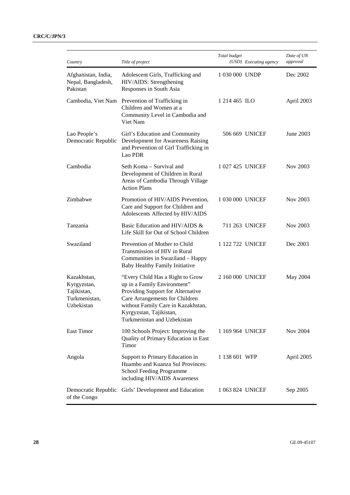| Country                                                                  | Title of project                                                                                                                                                                                                                       | Total budget     | (USD) Executing agency | Date of UN<br>approval |
|--------------------------------------------------------------------------|----------------------------------------------------------------------------------------------------------------------------------------------------------------------------------------------------------------------------------------|------------------|------------------------|------------------------|
| Afghanistan, India,<br>Nepal, Bangladesh,<br>Pakistan                    | Adolescent Girls, Trafficking and<br>HIV/AIDS: Strengthening<br>Responses in South Asia                                                                                                                                                | 1 030 000 UNDP   |                        | Dec 2002               |
| Cambodia, Viet Nam                                                       | Prevention of Trafficking in<br>Children and Women at a<br>Community Level in Cambodia and<br>Viet Nam                                                                                                                                 | 1 214 465 ILO    |                        | April 2003             |
| Lao People's<br>Democratic Republic                                      | Girl's Education and Community<br>Development for Awareness Raising<br>and Prevention of Girl Trafficking in<br>Lao PDR                                                                                                                |                  | 506 669 UNICEF         | June 2003              |
| Cambodia                                                                 | Seth Koma - Survival and<br>Development of Children in Rural<br>Areas of Cambodia Through Village<br><b>Action Plans</b>                                                                                                               | 1 027 425 UNICEF |                        | Nov 2003               |
| Zimbabwe                                                                 | Promotion of HIV/AIDS Prevention,<br>Care and Support for Children and<br>Adolescents Affected by HIV/AIDS                                                                                                                             | 1 030 000 UNICEF |                        | Nov 2003               |
| Tanzania                                                                 | Basic Education and HIV/AIDS &<br>Life Skill for Out of School Children                                                                                                                                                                |                  | 711 263 UNICEF         | Nov 2003               |
| Swaziland                                                                | Prevention of Mother to Child<br>Transmission of HIV in Rural<br>Communities in Swaziland - Happy<br>Baby Healthy Family Initiative                                                                                                    | 1 122 722 UNICEF |                        | Dec 2003               |
| Kazakhstan,<br>Kyrgyzstan,<br>Tajikistan,<br>Turkmenistan,<br>Uzbekistan | "Every Child Has a Right to Grow<br>up in a Family Environment"<br>Providing Support for Alternative<br>Care Arrangements for Children<br>without Family Care in Kazakhstan,<br>Kyrgyzstan, Tajikistan,<br>Turkmenistan and Uzbekistan | 2 160 000 UNICEF |                        | May 2004               |
| East Timor                                                               | 100 Schools Project: Improving the<br>Quality of Primary Education in East<br>Timor                                                                                                                                                    | 1 169 964 UNICEF |                        | <b>Nov 2004</b>        |
| Angola                                                                   | Support to Primary Education in<br>Huambo and Kuanza Sul Provinces:<br><b>School Feeding Programme</b><br>including HIV/AIDS Awareness                                                                                                 | 1 138 601 WFP    |                        | April 2005             |
| of the Congo                                                             | Democratic Republic Girls' Development and Education                                                                                                                                                                                   | 1 063 824 UNICEF |                        | Sep 2005               |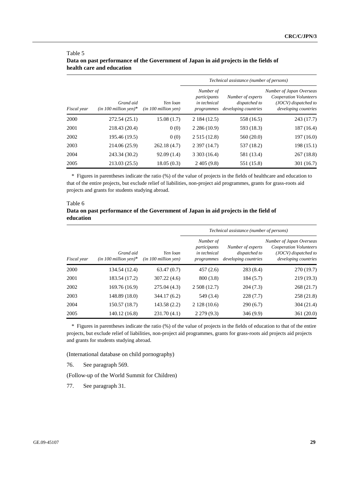| Fiscal year |                                      |                                  | Technical assistance (number of persons)                |                                                            |                                                                                                    |  |
|-------------|--------------------------------------|----------------------------------|---------------------------------------------------------|------------------------------------------------------------|----------------------------------------------------------------------------------------------------|--|
|             | Grand aid<br>$(in 100 million ven)*$ | Yen loan<br>(in 100 million ven) | Number of<br>participants<br>in technical<br>programmes | Number of experts<br>dispatched to<br>developing countries | Number of Japan Overseas<br>Cooperation Volunteers<br>(JOCV) dispatched to<br>developing countries |  |
| 2000        | 272.54 (25.1)                        | 15.08(1.7)                       | 2 184 (12.5)                                            | 558 (16.5)                                                 | 243 (17.7)                                                                                         |  |
| 2001        | 218.43 (20.4)                        | 0(0)                             | 2286(10.9)                                              | 593 (18.3)                                                 | 187 (16.4)                                                                                         |  |
| 2002        | 195.46 (19.5)                        | 0(0)                             | 2515(12.8)                                              | 560(20.0)                                                  | 197(16.0)                                                                                          |  |
| 2003        | 214.06 (25.9)                        | 262.18(4.7)                      | 2397(14.7)                                              | 537 (18.2)                                                 | 198(15.1)                                                                                          |  |
| 2004        | 243.34 (30.2)                        | 92.09(1.4)                       | 3303(16.4)                                              | 581 (13.4)                                                 | 267(18.8)                                                                                          |  |
| 2005        | 213.03 (25.5)                        | 18.05(0.3)                       | 2,405(9.8)                                              | 551 (15.8)                                                 | 301 (16.7)                                                                                         |  |

#### Table 5 **Data on past performance of the Government of Japan in aid projects in the fields of health care and education**

\* Figures in parentheses indicate the ratio (%) of the value of projects in the fields of healthcare and education to that of the entire projects, but exclude relief of liabilities, non-project aid programmes, grants for grass-roots aid projects and grants for students studying abroad.

### Table 6 **Data on past performance of the Government of Japan in aid projects in the field of education**

| Fiscal year |                                      |                                  | Technical assistance (number of persons)                |                                                            |                                                                                                    |  |
|-------------|--------------------------------------|----------------------------------|---------------------------------------------------------|------------------------------------------------------------|----------------------------------------------------------------------------------------------------|--|
|             | Grand aid<br>$(in 100 million yen)*$ | Yen loan<br>(in 100 million ven) | Number of<br>participants<br>in technical<br>programmes | Number of experts<br>dispatched to<br>developing countries | Number of Japan Overseas<br>Cooperation Volunteers<br>(JOCV) dispatched to<br>developing countries |  |
| 2000        | 134.54 (12.4)                        | 63.47(0.7)                       | 457(2.6)                                                | 283(8.4)                                                   | 270 (19.7)                                                                                         |  |
| 2001        | 183.54 (17.2)                        | 307.22(4.6)                      | 800 (3.8)                                               | 184 (5.7)                                                  | 219(19.3)                                                                                          |  |
| 2002        | 169.76 (16.9)                        | 275.04 (4.3)                     | 2,508(12.7)                                             | 204(7.3)                                                   | 268(21.7)                                                                                          |  |
| 2003        | 148.89 (18.0)                        | 344.17 (6.2)                     | 549 (3.4)                                               | 228(7.7)                                                   | 258 (21.8)                                                                                         |  |
| 2004        | 150.57 (18.7)                        | 143.58(2.2)                      | 2128(10.6)                                              | 290(6.7)                                                   | 304(21.4)                                                                                          |  |
| 2005        | 140.12 (16.8)                        | 231.70(4.1)                      | 2279(9.3)                                               | 346(9.9)                                                   | 361(20.0)                                                                                          |  |

\* Figures in parentheses indicate the ratio (%) of the value of projects in the fields of education to that of the entire projects, but exclude relief of liabilities, non-project aid programmes, grants for grass-roots aid projects aid projects and grants for students studying abroad.

(International database on child pornography)

76. See paragraph 569.

(Follow-up of the World Summit for Children)

77. See paragraph 31.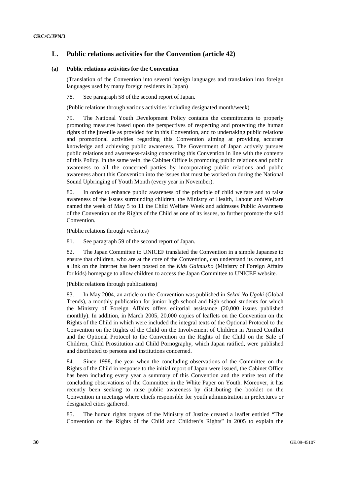### **L. Public relations activities for the Convention (article 42)**

#### **(a) Public relations activities for the Convention**

(Translation of the Convention into several foreign languages and translation into foreign languages used by many foreign residents in Japan)

78. See paragraph 58 of the second report of Japan.

(Public relations through various activities including designated month/week)

79. The National Youth Development Policy contains the commitments to properly promoting measures based upon the perspectives of respecting and protecting the human rights of the juvenile as provided for in this Convention, and to undertaking public relations and promotional activities regarding this Convention aiming at providing accurate knowledge and achieving public awareness. The Government of Japan actively pursues public relations and awareness-raising concerning this Convention in line with the contents of this Policy. In the same vein, the Cabinet Office is promoting public relations and public awareness to all the concerned parties by incorporating public relations and public awareness about this Convention into the issues that must be worked on during the National Sound Upbringing of Youth Month (every year in November).

80. In order to enhance public awareness of the principle of child welfare and to raise awareness of the issues surrounding children, the Ministry of Health, Labour and Welfare named the week of May 5 to 11 the Child Welfare Week and addresses Public Awareness of the Convention on the Rights of the Child as one of its issues, to further promote the said Convention.

(Public relations through websites)

81. See paragraph 59 of the second report of Japan.

82. The Japan Committee to UNICEF translated the Convention in a simple Japanese to ensure that children, who are at the core of the Convention, can understand its content, and a link on the Internet has been posted on the *Kids Gaimusho* (Ministry of Foreign Affairs for kids) homepage to allow children to access the Japan Committee to UNICEF website.

(Public relations through publications)

83. In May 2004, an article on the Convention was published in *Sekai No Ugoki* (Global Trends), a monthly publication for junior high school and high school students for which the Ministry of Foreign Affairs offers editorial assistance (20,000 issues published monthly). In addition, in March 2005, 20,000 copies of leaflets on the Convention on the Rights of the Child in which were included the integral texts of the Optional Protocol to the Convention on the Rights of the Child on the Involvement of Children in Armed Conflict and the Optional Protocol to the Convention on the Rights of the Child on the Sale of Children, Child Prostitution and Child Pornography, which Japan ratified, were published and distributed to persons and institutions concerned.

84. Since 1998, the year when the concluding observations of the Committee on the Rights of the Child in response to the initial report of Japan were issued, the Cabinet Office has been including every year a summary of this Convention and the entire text of the concluding observations of the Committee in the White Paper on Youth. Moreover, it has recently been seeking to raise public awareness by distributing the booklet on the Convention in meetings where chiefs responsible for youth administration in prefectures or designated cities gathered.

85. The human rights organs of the Ministry of Justice created a leaflet entitled "The Convention on the Rights of the Child and Children's Rights" in 2005 to explain the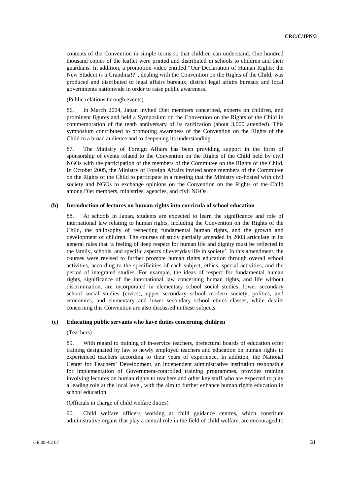contents of the Convention in simple terms so that children can understand. One hundred thousand copies of the leaflet were printed and distributed in schools to children and their guardians. In addition, a promotion video entitled "Our Declaration of Human Rights: the New Student is a Grandma!?", dealing with the Convention on the Rights of the Child, was produced and distributed to legal affairs bureaux, district legal affairs bureaux and local governments nationwide in order to raise public awareness.

(Public relations through events)

86. In March 2004, Japan invited Diet members concerned, experts on children, and prominent figures and held a Symposium on the Convention on the Rights of the Child in commemoration of the tenth anniversary of its ratification (about 3,000 attended). This symposium contributed to promoting awareness of the Convention on the Rights of the Child to a broad audience and to deepening its understanding.

87. The Ministry of Foreign Affairs has been providing support in the form of sponsorship of events related to the Convention on the Rights of the Child held by civil NGOs with the participation of the members of the Committee on the Rights of the Child. In October 2005, the Ministry of Foreign Affairs invited some members of the Committee on the Rights of the Child to participate in a meeting that the Ministry co-hosted with civil society and NGOs to exchange opinions on the Convention on the Rights of the Child among Diet members, ministries, agencies, and civil NGOs.

#### **(b) Introduction of lectures on human rights into curricula of school education**

88. At schools in Japan, students are expected to learn the significance and role of international law relating to human rights, including the Convention on the Rights of the Child, the philosophy of respecting fundamental human rights, and the growth and development of children. The courses of study partially amended in 2003 articulate in its general rules that 'a feeling of deep respect for human life and dignity must be reflected in the family, schools, and specific aspects of everyday life in society'. In this amendment, the courses were revised to further promote human rights education through overall school activities, according to the specificities of each subject, ethics, special activities, and the period of integrated studies. For example, the ideas of respect for fundamental human rights, significance of the international law concerning human rights, and life without discrimination, are incorporated in elementary school social studies, lower secondary school social studies (civics), upper secondary school modern society, politics, and economics, and elementary and lower secondary school ethics classes, while details concerning this Convention are also discussed in these subjects.

#### **(c) Educating public servants who have duties concerning children**

#### (Teachers)

89. With regard to training of in-service teachers, prefectural boards of education offer training designated by law to newly employed teachers and education on human rights to experienced teachers according to their years of experience. In addition, the National Center for Teachers' Development, an independent administrative institution responsible for implementation of Government-controlled training programmes, provides training involving lectures on human rights to teachers and other key staff who are expected to play a leading role at the local level, with the aim to further enhance human rights education in school education.

#### (Officials in charge of child welfare duties)

90. Child welfare officers working at child guidance centres, which constitute administrative organs that play a central role in the field of child welfare, are encouraged to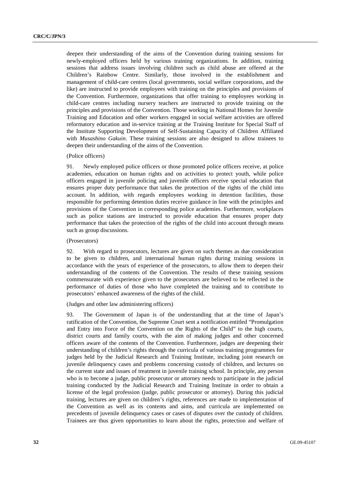deepen their understanding of the aims of the Convention during training sessions for newly-employed officers held by various training organizations. In addition, training sessions that address issues involving children such as child abuse are offered at the Children's Rainbow Centre. Similarly, those involved in the establishment and management of child-care centres (local governments, social welfare corporations, and the like) are instructed to provide employees with training on the principles and provisions of the Convention. Furthermore, organizations that offer training to employees working in child-care centres including nursery teachers are instructed to provide training on the principles and provisions of the Convention. Those working in National Homes for Juvenile Training and Education and other workers engaged in social welfare activities are offered reformatory education and in-service training at the Training Institute for Special Staff of the Institute Supporting Development of Self-Sustaining Capacity of Children Affiliated with *Musashino Gakuin*. These training sessions are also designed to allow trainees to deepen their understanding of the aims of the Convention.

#### (Police officers)

91. Newly employed police officers or those promoted police officers receive, at police academies, education on human rights and on activities to protect youth, while police officers engaged in juvenile policing and juvenile officers receive special education that ensures proper duty performance that takes the protection of the rights of the child into account. In addition, with regards employees working in detention facilities, those responsible for performing detention duties receive guidance in line with the principles and provisions of the Convention in corresponding police academies. Furthermore, workplaces such as police stations are instructed to provide education that ensures proper duty performance that takes the protection of the rights of the child into account through means such as group discussions.

#### (Prosecutors)

92. With regard to prosecutors, lectures are given on such themes as due consideration to be given to children, and international human rights during training sessions in accordance with the years of experience of the prosecutors, to allow them to deepen their understanding of the contents of the Convention. The results of these training sessions commensurate with experience given to the prosecutors are believed to be reflected in the performance of duties of those who have completed the training and to contribute to prosecutors' enhanced awareness of the rights of the child.

#### (Judges and other law administering officers)

93. The Government of Japan is of the understanding that at the time of Japan's ratification of the Convention, the Supreme Court sent a notification entitled "Promulgation and Entry into Force of the Convention on the Rights of the Child" to the high courts, district courts and family courts, with the aim of making judges and other concerned officers aware of the contents of the Convention. Furthermore, judges are deepening their understanding of children's rights through the curricula of various training programmes for judges held by the Judicial Research and Training Institute, including joint research on juvenile delinquency cases and problems concerning custody of children, and lectures on the current state and issues of treatment in juvenile training school. In principle, any person who is to become a judge, public prosecutor or attorney needs to participate in the judicial training conducted by the Judicial Research and Training Institute in order to obtain a license of the legal profession (judge, public prosecutor or attorney). During this judicial training, lectures are given on children's rights, references are made to implementation of the Convention as well as its contents and aims, and curricula are implemented on precedents of juvenile delinquency cases or cases of disputes over the custody of children. Trainees are thus given opportunities to learn about the rights, protection and welfare of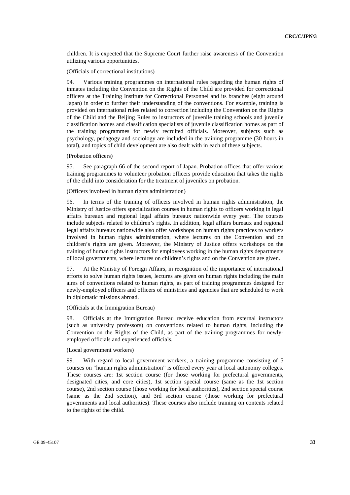children. It is expected that the Supreme Court further raise awareness of the Convention utilizing various opportunities.

(Officials of correctional institutions)

94. Various training programmes on international rules regarding the human rights of inmates including the Convention on the Rights of the Child are provided for correctional officers at the Training Institute for Correctional Personnel and its branches (eight around Japan) in order to further their understanding of the conventions. For example, training is provided on international rules related to correction including the Convention on the Rights of the Child and the Beijing Rules to instructors of juvenile training schools and juvenile classification homes and classification specialists of juvenile classification homes as part of the training programmes for newly recruited officials. Moreover, subjects such as psychology, pedagogy and sociology are included in the training programme (30 hours in total), and topics of child development are also dealt with in each of these subjects.

(Probation officers)

95. See paragraph 66 of the second report of Japan. Probation offices that offer various training programmes to volunteer probation officers provide education that takes the rights of the child into consideration for the treatment of juveniles on probation.

(Officers involved in human rights administration)

96. In terms of the training of officers involved in human rights administration, the Ministry of Justice offers specialization courses in human rights to officers working in legal affairs bureaux and regional legal affairs bureaux nationwide every year. The courses include subjects related to children's rights. In addition, legal affairs bureaux and regional legal affairs bureaux nationwide also offer workshops on human rights practices to workers involved in human rights administration, where lectures on the Convention and on children's rights are given. Moreover, the Ministry of Justice offers workshops on the training of human rights instructors for employees working in the human rights departments of local governments, where lectures on children's rights and on the Convention are given.

97. At the Ministry of Foreign Affairs, in recognition of the importance of international efforts to solve human rights issues, lectures are given on human rights including the main aims of conventions related to human rights, as part of training programmes designed for newly-employed officers and officers of ministries and agencies that are scheduled to work in diplomatic missions abroad.

(Officials at the Immigration Bureau)

98. Officials at the Immigration Bureau receive education from external instructors (such as university professors) on conventions related to human rights, including the Convention on the Rights of the Child, as part of the training programmes for newlyemployed officials and experienced officials.

#### (Local government workers)

99. With regard to local government workers, a training programme consisting of 5 courses on "human rights administration" is offered every year at local autonomy colleges. These courses are: 1st section course (for those working for prefectural governments, designated cities, and core cities), 1st section special course (same as the 1st section course), 2nd section course (those working for local authorities), 2nd section special course (same as the 2nd section), and 3rd section course (those working for prefectural governments and local authorities). These courses also include training on contents related to the rights of the child.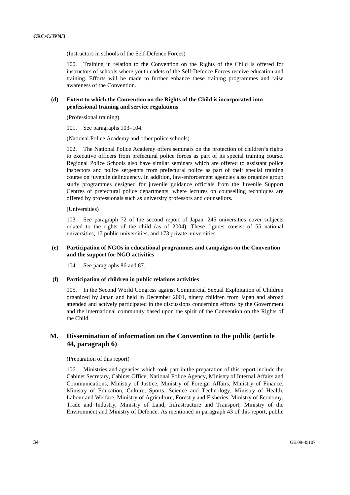(Instructors in schools of the Self-Defence Forces)

100. Training in relation to the Convention on the Rights of the Child is offered for instructors of schools where youth cadets of the Self-Defence Forces receive education and training. Efforts will be made to further enhance these training programmes and raise awareness of the Convention.

### **(d) Extent to which the Convention on the Rights of the Child is incorporated into professional training and service regulations**

(Professional training)

101. See paragraphs 103–104.

(National Police Academy and other police schools)

102. The National Police Academy offers seminars on the protection of children's rights to executive officers from prefectural police forces as part of its special training course. Regional Police Schools also have similar seminars which are offered to assistant police inspectors and police sergeants from prefectural police as part of their special training course on juvenile delinquency. In addition, law-enforcement agencies also organize group study programmes designed for juvenile guidance officials from the Juvenile Support Centres of prefectural police departments, where lectures on counselling techniques are offered by professionals such as university professors and counsellors.

(Universities)

103. See paragraph 72 of the second report of Japan. 245 universities cover subjects related to the rights of the child (as of 2004). These figures consist of 55 national universities, 17 public universities, and 173 private universities.

### **(e) Participation of NGOs in educational programmes and campaigns on the Convention and the support for NGO activities**

104. See paragraphs 86 and 87.

### **(f) Participation of children in public relations activities**

105. In the Second World Congress against Commercial Sexual Exploitation of Children organized by Japan and held in December 2001, ninety children from Japan and abroad attended and actively participated in the discussions concerning efforts by the Government and the international community based upon the spirit of the Convention on the Rights of the Child.

### **M. Dissemination of information on the Convention to the public (article 44, paragraph 6)**

(Preparation of this report)

106. Ministries and agencies which took part in the preparation of this report include the Cabinet Secretary, Cabinet Office, National Police Agency, Ministry of Internal Affairs and Communications, Ministry of Justice, Ministry of Foreign Affairs, Ministry of Finance, Ministry of Education, Culture, Sports, Science and Technology, Ministry of Health, Labour and Welfare, Ministry of Agriculture, Forestry and Fisheries, Ministry of Economy, Trade and Industry, Ministry of Land, Infrastructure and Transport, Ministry of the Environment and Ministry of Defence. As mentioned in paragraph 43 of this report, public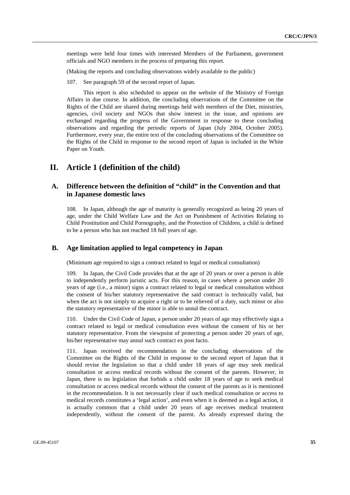meetings were held four times with interested Members of the Parliament, government officials and NGO members in the process of preparing this report.

(Making the reports and concluding observations widely available to the public)

107. See paragraph 59 of the second report of Japan.

 This report is also scheduled to appear on the website of the Ministry of Foreign Affairs in due course. In addition, the concluding observations of the Committee on the Rights of the Child are shared during meetings held with members of the Diet, ministries, agencies, civil society and NGOs that show interest in the issue, and opinions are exchanged regarding the progress of the Government in response to these concluding observations and regarding the periodic reports of Japan (July 2004, October 2005). Furthermore, every year, the entire text of the concluding observations of the Committee on the Rights of the Child in response to the second report of Japan is included in the White Paper on Youth.

### **II. Article 1 (definition of the child)**

### **A. Difference between the definition of "child" in the Convention and that in Japanese domestic laws**

108. In Japan, although the age of maturity is generally recognized as being 20 years of age, under the Child Welfare Law and the Act on Punishment of Activities Relating to Child Prostitution and Child Pornography, and the Protection of Children, a child is defined to be a person who has not reached 18 full years of age.

### **B. Age limitation applied to legal competency in Japan**

(Minimum age required to sign a contract related to legal or medical consultation)

109. In Japan, the Civil Code provides that at the age of 20 years or over a person is able to independently perform juristic acts. For this reason, in cases where a person under 20 years of age (i.e., a minor) signs a contract related to legal or medical consultation without the consent of his/her statutory representative the said contract is technically valid, but when the act is not simply to acquire a right or to be relieved of a duty, such minor or also the statutory representative of the minor is able to annul the contract.

110. Under the Civil Code of Japan, a person under 20 years of age may effectively sign a contract related to legal or medical consultation even without the consent of his or her statutory representative. From the viewpoint of protecting a person under 20 years of age, his/her representative may annul such contract ex post facto.

111. Japan received the recommendation in the concluding observations of the Committee on the Rights of the Child in response to the second report of Japan that it should revise the legislation so that a child under 18 years of age may seek medical consultation or access medical records without the consent of the parents. However, in Japan, there is no legislation that forbids a child under 18 years of age to seek medical consultation or access medical records without the consent of the parents as it is mentioned in the recommendation. It is not necessarily clear if such medical consultation or access to medical records constitutes a 'legal action', and even when it is deemed as a legal action, it is actually common that a child under 20 years of age receives medical treatment independently, without the consent of the parent. As already expressed during the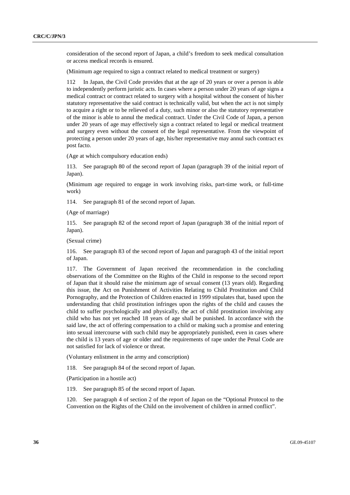consideration of the second report of Japan, a child's freedom to seek medical consultation or access medical records is ensured.

(Minimum age required to sign a contract related to medical treatment or surgery)

112 In Japan, the Civil Code provides that at the age of 20 years or over a person is able to independently perform juristic acts. In cases where a person under 20 years of age signs a medical contract or contract related to surgery with a hospital without the consent of his/her statutory representative the said contract is technically valid, but when the act is not simply to acquire a right or to be relieved of a duty, such minor or also the statutory representative of the minor is able to annul the medical contract. Under the Civil Code of Japan, a person under 20 years of age may effectively sign a contract related to legal or medical treatment and surgery even without the consent of the legal representative. From the viewpoint of protecting a person under 20 years of age, his/her representative may annul such contract ex post facto.

(Age at which compulsory education ends)

113. See paragraph 80 of the second report of Japan (paragraph 39 of the initial report of Japan).

(Minimum age required to engage in work involving risks, part-time work, or full-time work)

114. See paragraph 81 of the second report of Japan.

(Age of marriage)

115. See paragraph 82 of the second report of Japan (paragraph 38 of the initial report of Japan).

(Sexual crime)

116. See paragraph 83 of the second report of Japan and paragraph 43 of the initial report of Japan.

117. The Government of Japan received the recommendation in the concluding observations of the Committee on the Rights of the Child in response to the second report of Japan that it should raise the minimum age of sexual consent (13 years old). Regarding this issue, the Act on Punishment of Activities Relating to Child Prostitution and Child Pornography, and the Protection of Children enacted in 1999 stipulates that, based upon the understanding that child prostitution infringes upon the rights of the child and causes the child to suffer psychologically and physically, the act of child prostitution involving any child who has not yet reached 18 years of age shall be punished. In accordance with the said law, the act of offering compensation to a child or making such a promise and entering into sexual intercourse with such child may be appropriately punished, even in cases where the child is 13 years of age or older and the requirements of rape under the Penal Code are not satisfied for lack of violence or threat.

(Voluntary enlistment in the army and conscription)

118. See paragraph 84 of the second report of Japan.

(Participation in a hostile act)

119. See paragraph 85 of the second report of Japan.

120. See paragraph 4 of section 2 of the report of Japan on the "Optional Protocol to the Convention on the Rights of the Child on the involvement of children in armed conflict".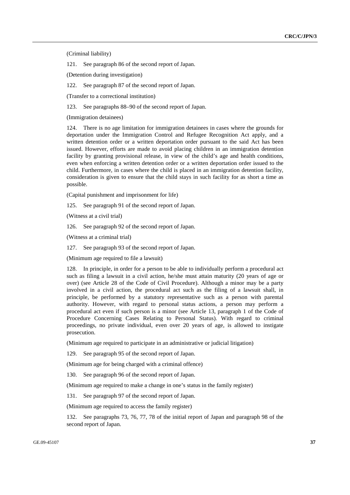(Criminal liability)

121. See paragraph 86 of the second report of Japan.

(Detention during investigation)

122. See paragraph 87 of the second report of Japan.

(Transfer to a correctional institution)

123. See paragraphs 88–90 of the second report of Japan.

(Immigration detainees)

124. There is no age limitation for immigration detainees in cases where the grounds for deportation under the Immigration Control and Refugee Recognition Act apply, and a written detention order or a written deportation order pursuant to the said Act has been issued. However, efforts are made to avoid placing children in an immigration detention facility by granting provisional release, in view of the child's age and health conditions, even when enforcing a written detention order or a written deportation order issued to the child. Furthermore, in cases where the child is placed in an immigration detention facility, consideration is given to ensure that the child stays in such facility for as short a time as possible.

(Capital punishment and imprisonment for life)

125. See paragraph 91 of the second report of Japan.

(Witness at a civil trial)

126. See paragraph 92 of the second report of Japan.

(Witness at a criminal trial)

127. See paragraph 93 of the second report of Japan.

(Minimum age required to file a lawsuit)

128. In principle, in order for a person to be able to individually perform a procedural act such as filing a lawsuit in a civil action, he/she must attain maturity (20 years of age or over) (see Article 28 of the Code of Civil Procedure). Although a minor may be a party involved in a civil action, the procedural act such as the filing of a lawsuit shall, in principle, be performed by a statutory representative such as a person with parental authority. However, with regard to personal status actions, a person may perform a procedural act even if such person is a minor (see Article 13, paragraph 1 of the Code of Procedure Concerning Cases Relating to Personal Status). With regard to criminal proceedings, no private individual, even over 20 years of age, is allowed to instigate prosecution.

(Minimum age required to participate in an administrative or judicial litigation)

129. See paragraph 95 of the second report of Japan.

(Minimum age for being charged with a criminal offence)

130. See paragraph 96 of the second report of Japan.

(Minimum age required to make a change in one's status in the family register)

131. See paragraph 97 of the second report of Japan.

(Minimum age required to access the family register)

132. See paragraphs 73, 76, 77, 78 of the initial report of Japan and paragraph 98 of the second report of Japan.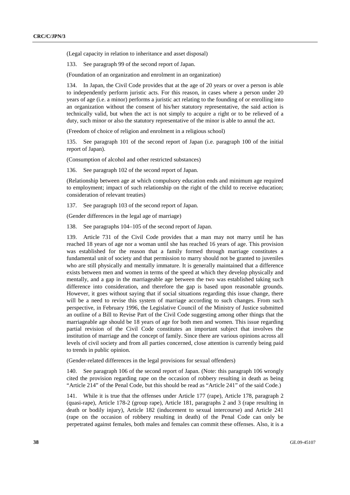(Legal capacity in relation to inheritance and asset disposal)

133. See paragraph 99 of the second report of Japan.

(Foundation of an organization and enrolment in an organization)

134. In Japan, the Civil Code provides that at the age of 20 years or over a person is able to independently perform juristic acts. For this reason, in cases where a person under 20 years of age (i.e. a minor) performs a juristic act relating to the founding of or enrolling into an organization without the consent of his/her statutory representative, the said action is technically valid, but when the act is not simply to acquire a right or to be relieved of a duty, such minor or also the statutory representative of the minor is able to annul the act.

(Freedom of choice of religion and enrolment in a religious school)

135. See paragraph 101 of the second report of Japan (i.e. paragraph 100 of the initial report of Japan).

(Consumption of alcohol and other restricted substances)

136. See paragraph 102 of the second report of Japan.

(Relationship between age at which compulsory education ends and minimum age required to employment; impact of such relationship on the right of the child to receive education; consideration of relevant treaties)

137. See paragraph 103 of the second report of Japan.

(Gender differences in the legal age of marriage)

138. See paragraphs 104–105 of the second report of Japan.

139. Article 731 of the Civil Code provides that a man may not marry until he has reached 18 years of age nor a woman until she has reached 16 years of age. This provision was established for the reason that a family formed through marriage constitutes a fundamental unit of society and that permission to marry should not be granted to juveniles who are still physically and mentally immature. It is generally maintained that a difference exists between men and women in terms of the speed at which they develop physically and mentally, and a gap in the marriageable age between the two was established taking such difference into consideration, and therefore the gap is based upon reasonable grounds. However, it goes without saying that if social situations regarding this issue change, there will be a need to revise this system of marriage according to such changes. From such perspective, in February 1996, the Legislative Council of the Ministry of Justice submitted an outline of a Bill to Revise Part of the Civil Code suggesting among other things that the marriageable age should be 18 years of age for both men and women. This issue regarding partial revision of the Civil Code constitutes an important subject that involves the institution of marriage and the concept of family. Since there are various opinions across all levels of civil society and from all parties concerned, close attention is currently being paid to trends in public opinion.

(Gender-related differences in the legal provisions for sexual offenders)

140. See paragraph 106 of the second report of Japan. (Note: this paragraph 106 wrongly cited the provision regarding rape on the occasion of robbery resulting in death as being "Article 214" of the Penal Code, but this should be read as "Article 241" of the said Code.)

141. While it is true that the offenses under Article 177 (rape), Article 178, paragraph 2 (quasi-rape), Article 178-2 (group rape), Article 181, paragraphs 2 and 3 (rape resulting in death or bodily injury), Article 182 (inducement to sexual intercourse) and Article 241 (rape on the occasion of robbery resulting in death) of the Penal Code can only be perpetrated against females, both males and females can commit these offenses. Also, it is a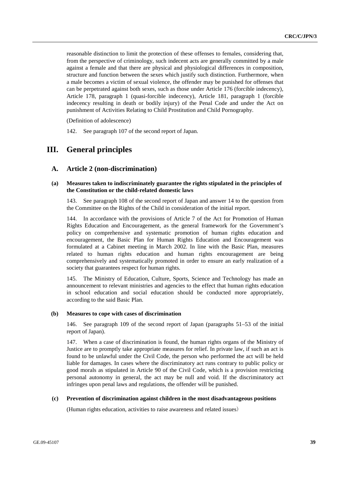reasonable distinction to limit the protection of these offenses to females, considering that, from the perspective of criminology, such indecent acts are generally committed by a male against a female and that there are physical and physiological differences in composition, structure and function between the sexes which justify such distinction. Furthermore, when a male becomes a victim of sexual violence, the offender may be punished for offenses that can be perpetrated against both sexes, such as those under Article 176 (forcible indecency), Article 178, paragraph 1 (quasi-forcible indecency), Article 181, paragraph 1 (forcible indecency resulting in death or bodily injury) of the Penal Code and under the Act on punishment of Activities Relating to Child Prostitution and Child Pornography.

(Definition of adolescence)

142. See paragraph 107 of the second report of Japan.

# **III. General principles**

### **A. Article 2 (non-discrimination)**

### **(a) Measures taken to indiscriminately guarantee the rights stipulated in the principles of the Constitution or the child-related domestic laws**

143. See paragraph 108 of the second report of Japan and answer 14 to the question from the Committee on the Rights of the Child in consideration of the initial report.

144. In accordance with the provisions of Article 7 of the Act for Promotion of Human Rights Education and Encouragement, as the general framework for the Government's policy on comprehensive and systematic promotion of human rights education and encouragement, the Basic Plan for Human Rights Education and Encouragement was formulated at a Cabinet meeting in March 2002. In line with the Basic Plan, measures related to human rights education and human rights encouragement are being comprehensively and systematically promoted in order to ensure an early realization of a society that guarantees respect for human rights.

145. The Ministry of Education, Culture, Sports, Science and Technology has made an announcement to relevant ministries and agencies to the effect that human rights education in school education and social education should be conducted more appropriately, according to the said Basic Plan.

### **(b) Measures to cope with cases of discrimination**

146. See paragraph 109 of the second report of Japan (paragraphs 51–53 of the initial report of Japan).

147. When a case of discrimination is found, the human rights organs of the Ministry of Justice are to promptly take appropriate measures for relief. In private law, if such an act is found to be unlawful under the Civil Code, the person who performed the act will be held liable for damages. In cases where the discriminatory act runs contrary to public policy or good morals as stipulated in Article 90 of the Civil Code, which is a provision restricting personal autonomy in general, the act may be null and void. If the discriminatory act infringes upon penal laws and regulations, the offender will be punished.

#### **(c) Prevention of discrimination against children in the most disadvantageous positions**

(Human rights education, activities to raise awareness and related issues)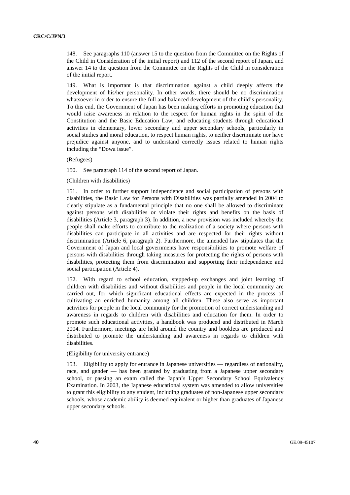148. See paragraphs 110 (answer 15 to the question from the Committee on the Rights of the Child in Consideration of the initial report) and 112 of the second report of Japan, and answer 14 to the question from the Committee on the Rights of the Child in consideration of the initial report.

149. What is important is that discrimination against a child deeply affects the development of his/her personality. In other words, there should be no discrimination whatsoever in order to ensure the full and balanced development of the child's personality. To this end, the Government of Japan has been making efforts in promoting education that would raise awareness in relation to the respect for human rights in the spirit of the Constitution and the Basic Education Law, and educating students through educational activities in elementary, lower secondary and upper secondary schools, particularly in social studies and moral education, to respect human rights, to neither discriminate nor have prejudice against anyone, and to understand correctly issues related to human rights including the "Dowa issue".

(Refugees)

150. See paragraph 114 of the second report of Japan.

### (Children with disabilities)

151. In order to further support independence and social participation of persons with disabilities, the Basic Law for Persons with Disabilities was partially amended in 2004 to clearly stipulate as a fundamental principle that no one shall be allowed to discriminate against persons with disabilities or violate their rights and benefits on the basis of disabilities (Article 3, paragraph 3). In addition, a new provision was included whereby the people shall make efforts to contribute to the realization of a society where persons with disabilities can participate in all activities and are respected for their rights without discrimination (Article 6, paragraph 2). Furthermore, the amended law stipulates that the Government of Japan and local governments have responsibilities to promote welfare of persons with disabilities through taking measures for protecting the rights of persons with disabilities, protecting them from discrimination and supporting their independence and social participation (Article 4).

152. With regard to school education, stepped-up exchanges and joint learning of children with disabilities and without disabilities and people in the local community are carried out, for which significant educational effects are expected in the process of cultivating an enriched humanity among all children. These also serve as important activities for people in the local community for the promotion of correct understanding and awareness in regards to children with disabilities and education for them. In order to promote such educational activities, a handbook was produced and distributed in March 2004. Furthermore, meetings are held around the country and booklets are produced and distributed to promote the understanding and awareness in regards to children with disabilities.

## (Eligibility for university entrance)

153. Eligibility to apply for entrance in Japanese universities — regardless of nationality, race, and gender — has been granted by graduating from a Japanese upper secondary school, or passing an exam called the Japan's Upper Secondary School Equivalency Examination. In 2003, the Japanese educational system was amended to allow universities to grant this eligibility to any student, including graduates of non-Japanese upper secondary schools, whose academic ability is deemed equivalent or higher than graduates of Japanese upper secondary schools.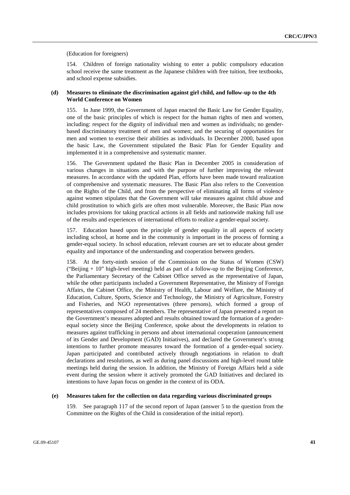(Education for foreigners)

154. Children of foreign nationality wishing to enter a public compulsory education school receive the same treatment as the Japanese children with free tuition, free textbooks, and school expense subsidies.

### **(d) Measures to eliminate the discrimination against girl child, and follow-up to the 4th World Conference on Women**

155. In June 1999, the Government of Japan enacted the Basic Law for Gender Equality, one of the basic principles of which is respect for the human rights of men and women, including: respect for the dignity of individual men and women as individuals; no genderbased discriminatory treatment of men and women; and the securing of opportunities for men and women to exercise their abilities as individuals. In December 2000, based upon the basic Law, the Government stipulated the Basic Plan for Gender Equality and implemented it in a comprehensive and systematic manner.

156. The Government updated the Basic Plan in December 2005 in consideration of various changes in situations and with the purpose of further improving the relevant measures. In accordance with the updated Plan, efforts have been made toward realization of comprehensive and systematic measures. The Basic Plan also refers to the Convention on the Rights of the Child, and from the perspective of eliminating all forms of violence against women stipulates that the Government will take measures against child abuse and child prostitution to which girls are often most vulnerable. Moreover, the Basic Plan now includes provisions for taking practical actions in all fields and nationwide making full use of the results and experiences of international efforts to realize a gender-equal society.

157. Education based upon the principle of gender equality in all aspects of society including school, at home and in the community is important in the process of forming a gender-equal society. In school education, relevant courses are set to educate about gender equality and importance of the understanding and cooperation between genders.

158. At the forty-ninth session of the Commission on the Status of Women (CSW) ("Beijing  $+10$ " high-level meeting) held as part of a follow-up to the Beijing Conference. the Parliamentary Secretary of the Cabinet Office served as the representative of Japan, while the other participants included a Government Representative, the Ministry of Foreign Affairs, the Cabinet Office, the Ministry of Health, Labour and Welfare, the Ministry of Education, Culture, Sports, Science and Technology, the Ministry of Agriculture, Forestry and Fisheries, and NGO representatives (three persons), which formed a group of representatives composed of 24 members. The representative of Japan presented a report on the Government's measures adopted and results obtained toward the formation of a genderequal society since the Beijing Conference, spoke about the developments in relation to measures against trafficking in persons and about international cooperation (announcement of its Gender and Development (GAD) Initiatives), and declared the Government's strong intentions to further promote measures toward the formation of a gender-equal society. Japan participated and contributed actively through negotiations in relation to draft declarations and resolutions, as well as during panel discussions and high-level round table meetings held during the session. In addition, the Ministry of Foreign Affairs held a side event during the session where it actively promoted the GAD Initiatives and declared its intentions to have Japan focus on gender in the context of its ODA.

### **(e) Measures taken for the collection on data regarding various discriminated groups**

159. See paragraph 117 of the second report of Japan (answer 5 to the question from the Committee on the Rights of the Child in consideration of the initial report).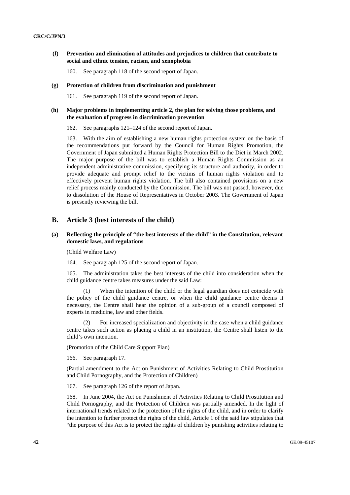### **(f) Prevention and elimination of attitudes and prejudices to children that contribute to social and ethnic tension, racism, and xenophobia**

160. See paragraph 118 of the second report of Japan.

#### **(g) Protection of children from discrimination and punishment**

161. See paragraph 119 of the second report of Japan.

### **(h) Major problems in implementing article 2, the plan for solving those problems, and the evaluation of progress in discrimination prevention**

162. See paragraphs 121–124 of the second report of Japan.

163. With the aim of establishing a new human rights protection system on the basis of the recommendations put forward by the Council for Human Rights Promotion, the Government of Japan submitted a Human Rights Protection Bill to the Diet in March 2002. The major purpose of the bill was to establish a Human Rights Commission as an independent administrative commission, specifying its structure and authority, in order to provide adequate and prompt relief to the victims of human rights violation and to effectively prevent human rights violation. The bill also contained provisions on a new relief process mainly conducted by the Commission. The bill was not passed, however, due to dissolution of the House of Representatives in October 2003. The Government of Japan is presently reviewing the bill.

### **B. Article 3 (best interests of the child)**

### **(a) Reflecting the principle of "the best interests of the child" in the Constitution, relevant domestic laws, and regulations**

(Child Welfare Law)

164. See paragraph 125 of the second report of Japan.

165. The administration takes the best interests of the child into consideration when the child guidance centre takes measures under the said Law:

 (1) When the intention of the child or the legal guardian does not coincide with the policy of the child guidance centre, or when the child guidance centre deems it necessary, the Centre shall hear the opinion of a sub-group of a council composed of experts in medicine, law and other fields.

 (2) For increased specialization and objectivity in the case when a child guidance centre takes such action as placing a child in an institution, the Centre shall listen to the child's own intention.

(Promotion of the Child Care Support Plan)

166. See paragraph 17.

(Partial amendment to the Act on Punishment of Activities Relating to Child Prostitution and Child Pornography, and the Protection of Children)

167. See paragraph 126 of the report of Japan.

168. In June 2004, the Act on Punishment of Activities Relating to Child Prostitution and Child Pornography, and the Protection of Children was partially amended. In the light of international trends related to the protection of the rights of the child, and in order to clarify the intention to further protect the rights of the child, Article 1 of the said law stipulates that "the purpose of this Act is to protect the rights of children by punishing activities relating to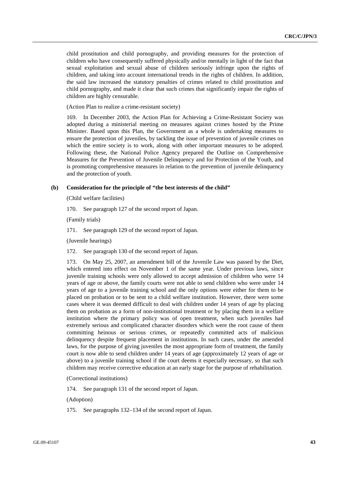child prostitution and child pornography, and providing measures for the protection of children who have consequently suffered physically and/or mentally in light of the fact that sexual exploitation and sexual abuse of children seriously infringe upon the rights of children, and taking into account international trends in the rights of children. In addition, the said law increased the statutory penalties of crimes related to child prostitution and child pornography, and made it clear that such crimes that significantly impair the rights of children are highly censurable.

(Action Plan to realize a crime-resistant society)

169. In December 2003, the Action Plan for Achieving a Crime-Resistant Society was adopted during a ministerial meeting on measures against crimes hosted by the Prime Minister. Based upon this Plan, the Government as a whole is undertaking measures to ensure the protection of juveniles, by tackling the issue of prevention of juvenile crimes on which the entire society is to work, along with other important measures to be adopted. Following these, the National Police Agency prepared the Outline on Comprehensive Measures for the Prevention of Juvenile Delinquency and for Protection of the Youth, and is promoting comprehensive measures in relation to the prevention of juvenile delinquency and the protection of youth.

#### **(b) Consideration for the principle of "the best interests of the child"**

(Child welfare facilities)

170. See paragraph 127 of the second report of Japan.

(Family trials)

171. See paragraph 129 of the second report of Japan.

(Juvenile hearings)

172. See paragraph 130 of the second report of Japan.

173. On May 25, 2007, an amendment bill of the Juvenile Law was passed by the Diet, which entered into effect on November 1 of the same year. Under previous laws, since juvenile training schools were only allowed to accept admission of children who were 14 years of age or above, the family courts were not able to send children who were under 14 years of age to a juvenile training school and the only options were either for them to be placed on probation or to be sent to a child welfare institution. However, there were some cases where it was deemed difficult to deal with children under 14 years of age by placing them on probation as a form of non-institutional treatment or by placing them in a welfare institution where the primary policy was of open treatment, when such juveniles had extremely serious and complicated character disorders which were the root cause of them committing heinous or serious crimes, or repeatedly committed acts of malicious delinquency despite frequent placement in institutions. In such cases, under the amended laws, for the purpose of giving juveniles the most appropriate form of treatment, the family court is now able to send children under 14 years of age (approximately 12 years of age or above) to a juvenile training school if the court deems it especially necessary, so that such children may receive corrective education at an early stage for the purpose of rehabilitation.

(Correctional institutions)

174. See paragraph 131 of the second report of Japan.

(Adoption)

175. See paragraphs 132–134 of the second report of Japan.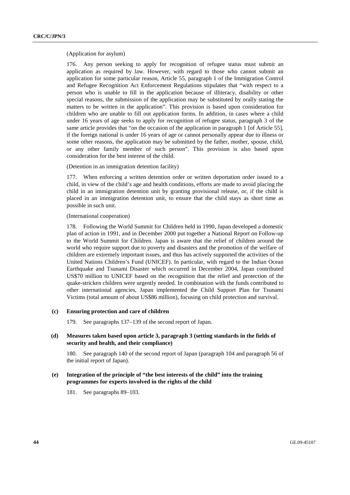#### (Application for asylum)

176. Any person seeking to apply for recognition of refugee status must submit an application as required by law. However, with regard to those who cannot submit an application for some particular reason, Article 55, paragraph 1 of the Immigration Control and Refugee Recognition Act Enforcement Regulations stipulates that "with respect to a person who is unable to fill in the application because of illiteracy, disability or other special reasons, the submission of the application may be substituted by orally stating the matters to be written in the application". This provision is based upon consideration for children who are unable to fill out application forms. In addition, in cases where a child under 16 years of age seeks to apply for recognition of refugee status, paragraph 3 of the same article provides that "on the occasion of the application in paragraph 1 [of Article 55], if the foreign national is under 16 years of age or cannot personally appear due to illness or some other reasons, the application may be submitted by the father, mother, spouse, child, or any other family member of such person". This provision is also based upon consideration for the best interest of the child.

(Detention in an immigration detention facility)

177. When enforcing a written detention order or written deportation order issued to a child, in view of the child's age and health conditions, efforts are made to avoid placing the child in an immigration detention unit by granting provisional release, or, if the child is placed in an immigration detention unit, to ensure that the child stays as short time as possible in such unit.

(International cooperation)

178. Following the World Summit for Children held in 1990, Japan developed a domestic plan of action in 1991, and in December 2000 put together a National Report on Follow-up to the World Summit for Children. Japan is aware that the relief of children around the world who require support due to poverty and disasters and the promotion of the welfare of children are extremely important issues, and thus has actively supported the activities of the United Nations Children's Fund (UNICEF). In particular, with regard to the Indian Ocean Earthquake and Tsunami Disaster which occurred in December 2004, Japan contributed US\$70 million to UNICEF based on the recognition that the relief and protection of the quake-stricken children were urgently needed. In combination with the funds contributed to other international agencies, Japan implemented the Child Support Plan for Tsunami Victims (total amount of about US\$86 million), focusing on child protection and survival.

#### **(c) Ensuring protection and care of children**

179. See paragraphs 137–139 of the second report of Japan.

### **(d) Measures taken based upon article 3, paragraph 3 (setting standards in the fields of security and health, and their compliance)**

180. See paragraph 140 of the second report of Japan (paragraph 104 and paragraph 56 of the initial report of Japan).

### **(e) Integration of the principle of "the best interests of the child" into the training programmes for experts involved in the rights of the child**

181. See paragraphs 89–103.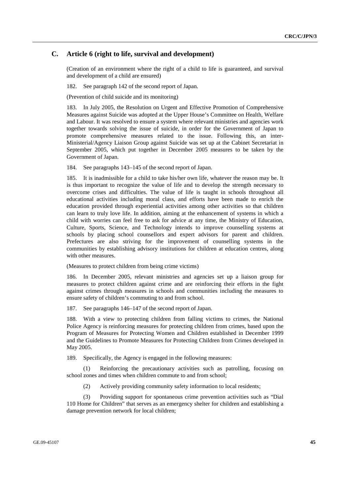## **C. Article 6 (right to life, survival and development)**

(Creation of an environment where the right of a child to life is guaranteed, and survival and development of a child are ensured)

182. See paragraph 142 of the second report of Japan.

(Prevention of child suicide and its monitoring)

183. In July 2005, the Resolution on Urgent and Effective Promotion of Comprehensive Measures against Suicide was adopted at the Upper House's Committee on Health, Welfare and Labour. It was resolved to ensure a system where relevant ministries and agencies work together towards solving the issue of suicide, in order for the Government of Japan to promote comprehensive measures related to the issue. Following this, an inter-Ministerial/Agency Liaison Group against Suicide was set up at the Cabinet Secretariat in September 2005, which put together in December 2005 measures to be taken by the Government of Japan.

184. See paragraphs 143–145 of the second report of Japan.

185. It is inadmissible for a child to take his/her own life, whatever the reason may be. It is thus important to recognize the value of life and to develop the strength necessary to overcome crises and difficulties. The value of life is taught in schools throughout all educational activities including moral class, and efforts have been made to enrich the education provided through experiential activities among other activities so that children can learn to truly love life. In addition, aiming at the enhancement of systems in which a child with worries can feel free to ask for advice at any time, the Ministry of Education, Culture, Sports, Science, and Technology intends to improve counselling systems at schools by placing school counsellors and expert advisors for parent and children. Prefectures are also striving for the improvement of counselling systems in the communities by establishing advisory institutions for children at education centres, along with other measures.

(Measures to protect children from being crime victims)

186. In December 2005, relevant ministries and agencies set up a liaison group for measures to protect children against crime and are reinforcing their efforts in the fight against crimes through measures in schools and communities including the measures to ensure safety of children's commuting to and from school.

187. See paragraphs 146–147 of the second report of Japan.

188. With a view to protecting children from falling victims to crimes, the National Police Agency is reinforcing measures for protecting children from crimes, based upon the Program of Measures for Protecting Women and Children established in December 1999 and the Guidelines to Promote Measures for Protecting Children from Crimes developed in May 2005.

189. Specifically, the Agency is engaged in the following measures:

 (1) Reinforcing the precautionary activities such as patrolling, focusing on school zones and times when children commute to and from school;

(2) Actively providing community safety information to local residents;

 (3) Providing support for spontaneous crime prevention activities such as "Dial 110 Home for Children" that serves as an emergency shelter for children and establishing a damage prevention network for local children;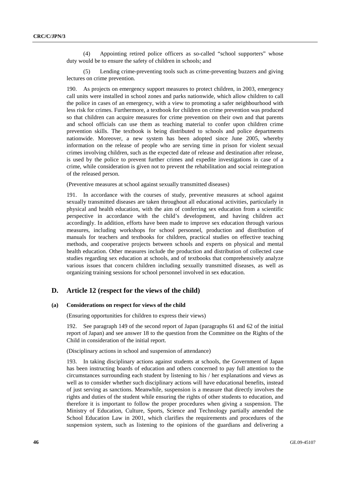(4) Appointing retired police officers as so-called "school supporters" whose duty would be to ensure the safety of children in schools; and

 (5) Lending crime-preventing tools such as crime-preventing buzzers and giving lectures on crime prevention.

190. As projects on emergency support measures to protect children, in 2003, emergency call units were installed in school zones and parks nationwide, which allow children to call the police in cases of an emergency, with a view to promoting a safer neighbourhood with less risk for crimes. Furthermore, a textbook for children on crime prevention was produced so that children can acquire measures for crime prevention on their own and that parents and school officials can use them as teaching material to confer upon children crime prevention skills. The textbook is being distributed to schools and police departments nationwide. Moreover, a new system has been adopted since June 2005, whereby information on the release of people who are serving time in prison for violent sexual crimes involving children, such as the expected date of release and destination after release, is used by the police to prevent further crimes and expedite investigations in case of a crime, while consideration is given not to prevent the rehabilitation and social reintegration of the released person.

(Preventive measures at school against sexually transmitted diseases)

191. In accordance with the courses of study, preventive measures at school against sexually transmitted diseases are taken throughout all educational activities, particularly in physical and health education, with the aim of conferring sex education from a scientific perspective in accordance with the child's development, and having children act accordingly. In addition, efforts have been made to improve sex education through various measures, including workshops for school personnel, production and distribution of manuals for teachers and textbooks for children, practical studies on effective teaching methods, and cooperative projects between schools and experts on physical and mental health education. Other measures include the production and distribution of collected case studies regarding sex education at schools, and of textbooks that comprehensively analyze various issues that concern children including sexually transmitted diseases, as well as organizing training sessions for school personnel involved in sex education.

### **D. Article 12 (respect for the views of the child)**

#### **(a) Considerations on respect for views of the child**

(Ensuring opportunities for children to express their views)

192. See paragraph 149 of the second report of Japan (paragraphs 61 and 62 of the initial report of Japan) and see answer 18 to the question from the Committee on the Rights of the Child in consideration of the initial report.

(Disciplinary actions in school and suspension of attendance)

193. In taking disciplinary actions against students at schools, the Government of Japan has been instructing boards of education and others concerned to pay full attention to the circumstances surrounding each student by listening to his / her explanations and views as well as to consider whether such disciplinary actions will have educational benefits, instead of just serving as sanctions. Meanwhile, suspension is a measure that directly involves the rights and duties of the student while ensuring the rights of other students to education, and therefore it is important to follow the proper procedures when giving a suspension. The Ministry of Education, Culture, Sports, Science and Technology partially amended the School Education Law in 2001, which clarifies the requirements and procedures of the suspension system, such as listening to the opinions of the guardians and delivering a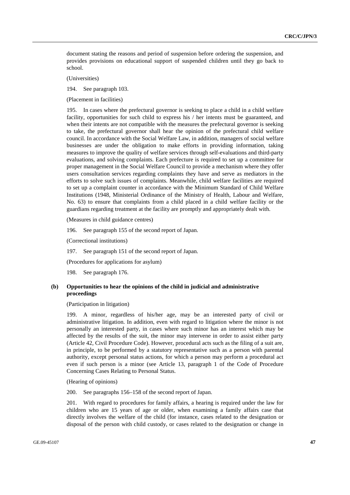document stating the reasons and period of suspension before ordering the suspension, and provides provisions on educational support of suspended children until they go back to school.

(Universities)

194. See paragraph 103.

(Placement in facilities)

195. In cases where the prefectural governor is seeking to place a child in a child welfare facility, opportunities for such child to express his / her intents must be guaranteed, and when their intents are not compatible with the measures the prefectural governor is seeking to take, the prefectural governor shall hear the opinion of the prefectural child welfare council. In accordance with the Social Welfare Law, in addition, managers of social welfare businesses are under the obligation to make efforts in providing information, taking measures to improve the quality of welfare services through self-evaluations and third-party evaluations, and solving complaints. Each prefecture is required to set up a committee for proper management in the Social Welfare Council to provide a mechanism where they offer users consultation services regarding complaints they have and serve as mediators in the efforts to solve such issues of complaints. Meanwhile, child welfare facilities are required to set up a complaint counter in accordance with the Minimum Standard of Child Welfare Institutions (1948, Ministerial Ordinance of the Ministry of Health, Labour and Welfare, No. 63) to ensure that complaints from a child placed in a child welfare facility or the guardians regarding treatment at the facility are promptly and appropriately dealt with.

(Measures in child guidance centres)

196. See paragraph 155 of the second report of Japan.

(Correctional institutions)

197. See paragraph 151 of the second report of Japan.

(Procedures for applications for asylum)

198. See paragraph 176.

### **(b) Opportunities to hear the opinions of the child in judicial and administrative proceedings**

#### (Participation in litigation)

199. A minor, regardless of his/her age, may be an interested party of civil or administrative litigation. In addition, even with regard to litigation where the minor is not personally an interested party, in cases where such minor has an interest which may be affected by the results of the suit, the minor may intervene in order to assist either party (Article 42, Civil Procedure Code). However, procedural acts such as the filing of a suit are, in principle, to be performed by a statutory representative such as a person with parental authority, except personal status actions, for which a person may perform a procedural act even if such person is a minor (see Article 13, paragraph 1 of the Code of Procedure Concerning Cases Relating to Personal Status.

(Hearing of opinions)

200. See paragraphs 156–158 of the second report of Japan.

201. With regard to procedures for family affairs, a hearing is required under the law for children who are 15 years of age or older, when examining a family affairs case that directly involves the welfare of the child (for instance, cases related to the designation or disposal of the person with child custody, or cases related to the designation or change in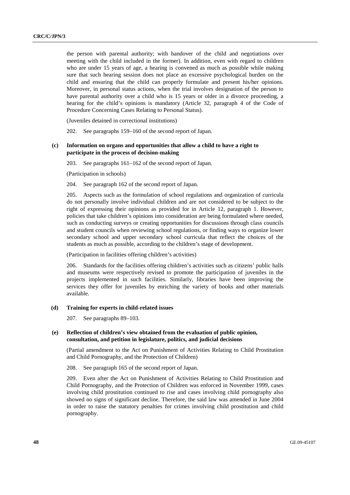the person with parental authority; with handover of the child and negotiations over meeting with the child included in the former). In addition, even with regard to children who are under 15 years of age, a hearing is convened as much as possible while making sure that such hearing session does not place an excessive psychological burden on the child and ensuring that the child can properly formulate and present his/her opinions. Moreover, in personal status actions, when the trial involves designation of the person to have parental authority over a child who is 15 years or older in a divorce proceeding, a hearing for the child's opinions is mandatory (Article 32, paragraph 4 of the Code of Procedure Concerning Cases Relating to Personal Status).

(Juveniles detained in correctional institutions)

202. See paragraphs 159–160 of the second report of Japan.

### **(c) Information on organs and opportunities that allow a child to have a right to participate in the process of decision-making**

203. See paragraphs 161–162 of the second report of Japan.

(Participation in schools)

204. See paragraph 162 of the second report of Japan.

205. Aspects such as the formulation of school regulations and organization of curricula do not personally involve individual children and are not considered to be subject to the right of expressing their opinions as provided for in Article 12, paragraph 1. However, policies that take children's opinions into consideration are being formulated where needed, such as conducting surveys or creating opportunities for discussions through class councils and student councils when reviewing school regulations, or finding ways to organize lower secondary school and upper secondary school curricula that reflect the choices of the students as much as possible, according to the children's stage of development.

(Participation in facilities offering children's activities)

206. Standards for the facilities offering children's activities such as citizens' public halls and museums were respectively revised to promote the participation of juveniles in the projects implemented in such facilities. Similarly, libraries have been improving the services they offer for juveniles by enriching the variety of books and other materials available.

#### **(d) Training for experts in child-related issues**

207. See paragraphs 89–103.

### **(e) Reflection of children's view obtained from the evaluation of public opinion, consultation, and petition in legislature, politics, and judicial decisions**

(Partial amendment to the Act on Punishment of Activities Relating to Child Prostitution and Child Pornography, and the Protection of Children)

208. See paragraph 165 of the second report of Japan.

209. Even after the Act on Punishment of Activities Relating to Child Prostitution and Child Pornography, and the Protection of Children was enforced in November 1999, cases involving child prostitution continued to rise and cases involving child pornography also showed no signs of significant decline. Therefore, the said law was amended in June 2004 in order to raise the statutory penalties for crimes involving child prostitution and child pornography.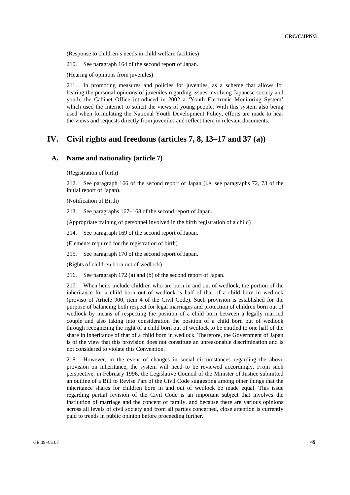(Response to children's needs in child welfare facilities)

210. See paragraph 164 of the second report of Japan.

(Hearing of opinions from juveniles)

211. In promoting measures and policies for juveniles, as a scheme that allows for hearing the personal opinions of juveniles regarding issues involving Japanese society and youth, the Cabinet Office introduced in 2002 a 'Youth Electronic Monitoring System' which used the Internet to solicit the views of young people. With this system also being used when formulating the National Youth Development Policy, efforts are made to hear the views and requests directly from juveniles and reflect them in relevant documents.

# **IV. Civil rights and freedoms (articles 7, 8, 13–17 and 37 (a))**

## **A. Name and nationality (article 7)**

(Registration of birth)

212. See paragraph 166 of the second report of Japan (i.e. see paragraphs 72, 73 of the initial report of Japan).

(Notification of Birth)

213. See paragraphs 167–168 of the second report of Japan.

(Appropriate training of personnel involved in the birth registration of a child)

214. See paragraph 169 of the second report of Japan.

(Elements required for the registration of birth)

215. See paragraph 170 of the second report of Japan.

(Rights of children born out of wedlock)

216. See paragraph 172 (a) and (b) of the second report of Japan.

217. When heirs include children who are born in and out of wedlock, the portion of the inheritance for a child born out of wedlock is half of that of a child born in wedlock (proviso of Article 900, item 4 of the Civil Code). Such provision is established for the purpose of balancing both respect for legal marriages and protection of children born out of wedlock by means of respecting the position of a child born between a legally married couple and also taking into consideration the position of a child born out of wedlock through recognizing the right of a child born out of wedlock to be entitled to one half of the share in inheritance of that of a child born in wedlock. Therefore, the Government of Japan is of the view that this provision does not constitute an unreasonable discrimination and is not considered to violate this Convention.

218. However, in the event of changes in social circumstances regarding the above provision on inheritance, the system will need to be reviewed accordingly. From such perspective, in February 1996, the Legislative Council of the Minister of Justice submitted an outline of a Bill to Revise Part of the Civil Code suggesting among other things that the inheritance shares for children born in and out of wedlock be made equal. This issue regarding partial revision of the Civil Code is an important subject that involves the institution of marriage and the concept of family, and because there are various opinions across all levels of civil society and from all parties concerned, close attention is currently paid to trends in public opinion before proceeding further.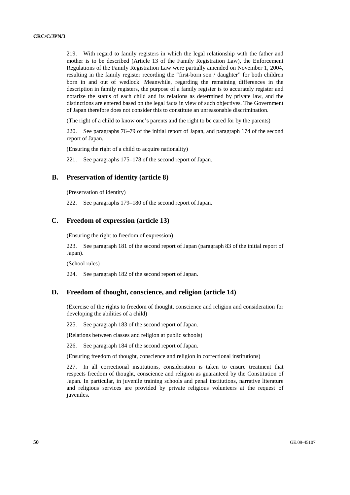219. With regard to family registers in which the legal relationship with the father and mother is to be described (Article 13 of the Family Registration Law), the Enforcement Regulations of the Family Registration Law were partially amended on November 1, 2004, resulting in the family register recording the "first-born son / daughter" for both children born in and out of wedlock. Meanwhile, regarding the remaining differences in the description in family registers, the purpose of a family register is to accurately register and notarize the status of each child and its relations as determined by private law, and the distinctions are entered based on the legal facts in view of such objectives. The Government of Japan therefore does not consider this to constitute an unreasonable discrimination.

(The right of a child to know one's parents and the right to be cared for by the parents)

220. See paragraphs 76–79 of the initial report of Japan, and paragraph 174 of the second report of Japan.

(Ensuring the right of a child to acquire nationality)

221. See paragraphs 175–178 of the second report of Japan.

## **B. Preservation of identity (article 8)**

(Preservation of identity)

222. See paragraphs 179–180 of the second report of Japan.

### **C. Freedom of expression (article 13)**

(Ensuring the right to freedom of expression)

223. See paragraph 181 of the second report of Japan (paragraph 83 of the initial report of Japan).

(School rules)

224. See paragraph 182 of the second report of Japan.

## **D. Freedom of thought, conscience, and religion (article 14)**

(Exercise of the rights to freedom of thought, conscience and religion and consideration for developing the abilities of a child)

225. See paragraph 183 of the second report of Japan.

(Relations between classes and religion at public schools)

226. See paragraph 184 of the second report of Japan.

(Ensuring freedom of thought, conscience and religion in correctional institutions)

227. In all correctional institutions, consideration is taken to ensure treatment that respects freedom of thought, conscience and religion as guaranteed by the Constitution of Japan. In particular, in juvenile training schools and penal institutions, narrative literature and religious services are provided by private religious volunteers at the request of juveniles.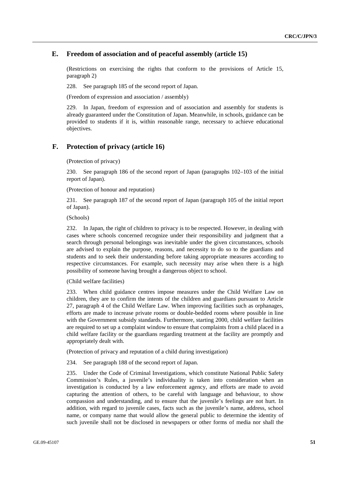## **E. Freedom of association and of peaceful assembly (article 15)**

(Restrictions on exercising the rights that conform to the provisions of Article 15, paragraph 2)

228. See paragraph 185 of the second report of Japan.

(Freedom of expression and association / assembly)

229. In Japan, freedom of expression and of association and assembly for students is already guaranteed under the Constitution of Japan. Meanwhile, in schools, guidance can be provided to students if it is, within reasonable range, necessary to achieve educational objectives.

## **F. Protection of privacy (article 16)**

(Protection of privacy)

230. See paragraph 186 of the second report of Japan (paragraphs 102–103 of the initial report of Japan).

(Protection of honour and reputation)

231. See paragraph 187 of the second report of Japan (paragraph 105 of the initial report of Japan).

(Schools)

232. In Japan, the right of children to privacy is to be respected. However, in dealing with cases where schools concerned recognize under their responsibility and judgment that a search through personal belongings was inevitable under the given circumstances, schools are advised to explain the purpose, reasons, and necessity to do so to the guardians and students and to seek their understanding before taking appropriate measures according to respective circumstances. For example, such necessity may arise when there is a high possibility of someone having brought a dangerous object to school.

(Child welfare facilities)

233. When child guidance centres impose measures under the Child Welfare Law on children, they are to confirm the intents of the children and guardians pursuant to Article 27, paragraph 4 of the Child Welfare Law. When improving facilities such as orphanages, efforts are made to increase private rooms or double-bedded rooms where possible in line with the Government subsidy standards. Furthermore, starting 2000, child welfare facilities are required to set up a complaint window to ensure that complaints from a child placed in a child welfare facility or the guardians regarding treatment at the facility are promptly and appropriately dealt with.

(Protection of privacy and reputation of a child during investigation)

234. See paragraph 188 of the second report of Japan.

235. Under the Code of Criminal Investigations, which constitute National Public Safety Commission's Rules, a juvenile's individuality is taken into consideration when an investigation is conducted by a law enforcement agency, and efforts are made to avoid capturing the attention of others, to be careful with language and behaviour, to show compassion and understanding, and to ensure that the juvenile's feelings are not hurt. In addition, with regard to juvenile cases, facts such as the juvenile's name, address, school name, or company name that would allow the general public to determine the identity of such juvenile shall not be disclosed in newspapers or other forms of media nor shall the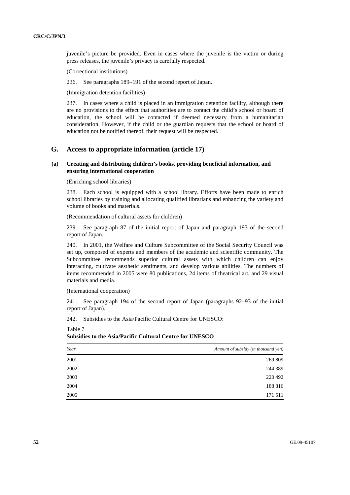juvenile's picture be provided. Even in cases where the juvenile is the victim or during press releases, the juvenile's privacy is carefully respected.

(Correctional institutions)

236. See paragraphs 189–191 of the second report of Japan.

(Immigration detention facilities)

237. In cases where a child is placed in an immigration detention facility, although there are no provisions to the effect that authorities are to contact the child's school or board of education, the school will be contacted if deemed necessary from a humanitarian consideration. However, if the child or the guardian requests that the school or board of education not be notified thereof, their request will be respected.

## **G. Access to appropriate information (article 17)**

### **(a) Creating and distributing children's books, providing beneficial information, and ensuring international cooperation**

(Enriching school libraries)

238. Each school is equipped with a school library. Efforts have been made to enrich school libraries by training and allocating qualified librarians and enhancing the variety and volume of books and materials.

(Recommendation of cultural assets for children)

239. See paragraph 87 of the initial report of Japan and paragraph 193 of the second report of Japan.

240. In 2001, the Welfare and Culture Subcommittee of the Social Security Council was set up, composed of experts and members of the academic and scientific community. The Subcommittee recommends superior cultural assets with which children can enjoy interacting, cultivate aesthetic sentiments, and develop various abilities. The numbers of items recommended in 2005 were 80 publications, 24 items of theatrical art, and 29 visual materials and media.

#### (International cooperation)

Table 7

241. See paragraph 194 of the second report of Japan (paragraphs 92–93 of the initial report of Japan).

242. Subsidies to the Asia/Pacific Cultural Centre for UNESCO:

*Year Amount of subsidy (in thousand yen)* 2001 269 809 2002 244 389 2003 220 492 2004 188 816 2005 171 511

**Subsidies to the Asia/Pacific Cultural Centre for UNESCO**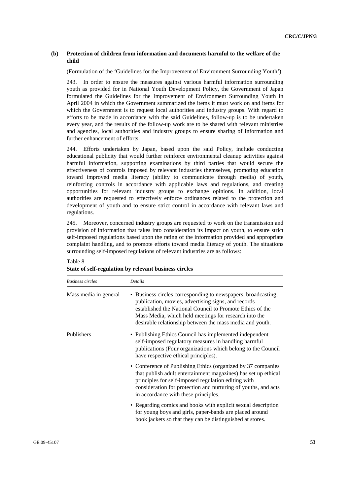### **(b) Protection of children from information and documents harmful to the welfare of the child**

(Formulation of the 'Guidelines for the Improvement of Environment Surrounding Youth')

243. In order to ensure the measures against various harmful information surrounding youth as provided for in National Youth Development Policy, the Government of Japan formulated the Guidelines for the Improvement of Environment Surrounding Youth in April 2004 in which the Government summarized the items it must work on and items for which the Government is to request local authorities and industry groups. With regard to efforts to be made in accordance with the said Guidelines, follow-up is to be undertaken every year, and the results of the follow-up work are to be shared with relevant ministries and agencies, local authorities and industry groups to ensure sharing of information and further enhancement of efforts.

244. Efforts undertaken by Japan, based upon the said Policy, include conducting educational publicity that would further reinforce environmental cleanup activities against harmful information, supporting examinations by third parties that would secure the effectiveness of controls imposed by relevant industries themselves, promoting education toward improved media literacy (ability to communicate through media) of youth, reinforcing controls in accordance with applicable laws and regulations, and creating opportunities for relevant industry groups to exchange opinions. In addition, local authorities are requested to effectively enforce ordinances related to the protection and development of youth and to ensure strict control in accordance with relevant laws and regulations.

245. Moreover, concerned industry groups are requested to work on the transmission and provision of information that takes into consideration its impact on youth, to ensure strict self-imposed regulations based upon the rating of the information provided and appropriate complaint handling, and to promote efforts toward media literacy of youth. The situations surrounding self-imposed regulations of relevant industries are as follows:

| <b>Business circles</b> | <b>Details</b>                                                                                                                                                                                                                                                                                         |
|-------------------------|--------------------------------------------------------------------------------------------------------------------------------------------------------------------------------------------------------------------------------------------------------------------------------------------------------|
| Mass media in general   | • Business circles corresponding to newspapers, broadcasting,<br>publication, movies, advertising signs, and records<br>established the National Council to Promote Ethics of the<br>Mass Media, which held meetings for research into the<br>desirable relationship between the mass media and youth. |
| Publishers              | • Publishing Ethics Council has implemented independent<br>self-imposed regulatory measures in handling harmful<br>publications (Four organizations which belong to the Council<br>have respective ethical principles).                                                                                |
|                         | • Conference of Publishing Ethics (organized by 37 companies<br>that publish adult entertainment magazines) has set up ethical<br>principles for self-imposed regulation editing with<br>consideration for protection and nurturing of youths, and acts<br>in accordance with these principles.        |
|                         | • Regarding comics and books with explicit sexual description<br>for young boys and girls, paper-bands are placed around<br>book jackets so that they can be distinguished at stores.                                                                                                                  |

Table 8 **State of self-regulation by relevant business circles**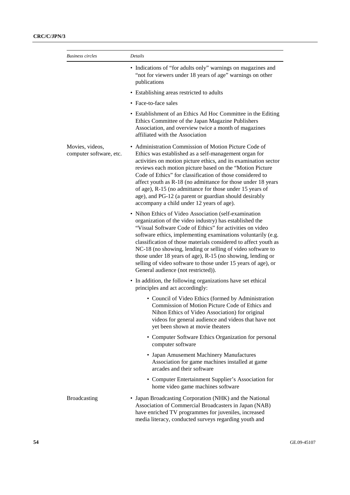| <b>Business circles</b>                    | Details                                                                                                                                                                                                                                                                                                                                                                                                                                                                                                                                                                                                                                                                                                                                                                                                                                                                                                                                                                                                                                                                                                                                                                                                                                                                                                                                                                                                                                                                                                                                                                                                                                                                                                                                                                                                                                                                                                                                                                                                                                        |
|--------------------------------------------|------------------------------------------------------------------------------------------------------------------------------------------------------------------------------------------------------------------------------------------------------------------------------------------------------------------------------------------------------------------------------------------------------------------------------------------------------------------------------------------------------------------------------------------------------------------------------------------------------------------------------------------------------------------------------------------------------------------------------------------------------------------------------------------------------------------------------------------------------------------------------------------------------------------------------------------------------------------------------------------------------------------------------------------------------------------------------------------------------------------------------------------------------------------------------------------------------------------------------------------------------------------------------------------------------------------------------------------------------------------------------------------------------------------------------------------------------------------------------------------------------------------------------------------------------------------------------------------------------------------------------------------------------------------------------------------------------------------------------------------------------------------------------------------------------------------------------------------------------------------------------------------------------------------------------------------------------------------------------------------------------------------------------------------------|
|                                            | • Indications of "for adults only" warnings on magazines and<br>"not for viewers under 18 years of age" warnings on other<br>publications<br>• Establishing areas restricted to adults<br>• Face-to-face sales<br>Ethics Committee of the Japan Magazine Publishers<br>Association, and overview twice a month of magazines<br>affiliated with the Association<br>• Administration Commission of Motion Picture Code of<br>Ethics was established as a self-management organ for<br>reviews each motion picture based on the "Motion Picture<br>Code of Ethics" for classification of those considered to<br>of age), R-15 (no admittance for those under 15 years of<br>age), and PG-12 (a parent or guardian should desirably<br>accompany a child under 12 years of age).<br>• Nihon Ethics of Video Association (self-examination<br>organization of the video industry) has established the<br>"Visual Software Code of Ethics" for activities on video<br>NC-18 (no showing, lending or selling of video software to<br>those under 18 years of age), R-15 (no showing, lending or<br>selling of video software to those under 15 years of age), or<br>General audience (not restricted)).<br>• In addition, the following organizations have set ethical<br>principles and act accordingly:<br>• Council of Video Ethics (formed by Administration<br>Commission of Motion Picture Code of Ethics and<br>Nihon Ethics of Video Association) for original<br>videos for general audience and videos that have not<br>yet been shown at movie theaters<br>computer software<br>• Japan Amusement Machinery Manufactures<br>Association for game machines installed at game<br>arcades and their software<br>• Computer Entertainment Supplier's Association for<br>home video game machines software<br>• Japan Broadcasting Corporation (NHK) and the National<br>Association of Commercial Broadcasters in Japan (NAB)<br>have enriched TV programmes for juveniles, increased<br>media literacy, conducted surveys regarding youth and |
|                                            |                                                                                                                                                                                                                                                                                                                                                                                                                                                                                                                                                                                                                                                                                                                                                                                                                                                                                                                                                                                                                                                                                                                                                                                                                                                                                                                                                                                                                                                                                                                                                                                                                                                                                                                                                                                                                                                                                                                                                                                                                                                |
|                                            |                                                                                                                                                                                                                                                                                                                                                                                                                                                                                                                                                                                                                                                                                                                                                                                                                                                                                                                                                                                                                                                                                                                                                                                                                                                                                                                                                                                                                                                                                                                                                                                                                                                                                                                                                                                                                                                                                                                                                                                                                                                |
|                                            | • Establishment of an Ethics Ad Hoc Committee in the Editing                                                                                                                                                                                                                                                                                                                                                                                                                                                                                                                                                                                                                                                                                                                                                                                                                                                                                                                                                                                                                                                                                                                                                                                                                                                                                                                                                                                                                                                                                                                                                                                                                                                                                                                                                                                                                                                                                                                                                                                   |
| Movies, videos,<br>computer software, etc. | activities on motion picture ethics, and its examination sector<br>affect youth as R-18 (no admittance for those under 18 years                                                                                                                                                                                                                                                                                                                                                                                                                                                                                                                                                                                                                                                                                                                                                                                                                                                                                                                                                                                                                                                                                                                                                                                                                                                                                                                                                                                                                                                                                                                                                                                                                                                                                                                                                                                                                                                                                                                |
|                                            | software ethics, implementing examinations voluntarily (e.g.<br>classification of those materials considered to affect youth as                                                                                                                                                                                                                                                                                                                                                                                                                                                                                                                                                                                                                                                                                                                                                                                                                                                                                                                                                                                                                                                                                                                                                                                                                                                                                                                                                                                                                                                                                                                                                                                                                                                                                                                                                                                                                                                                                                                |
|                                            |                                                                                                                                                                                                                                                                                                                                                                                                                                                                                                                                                                                                                                                                                                                                                                                                                                                                                                                                                                                                                                                                                                                                                                                                                                                                                                                                                                                                                                                                                                                                                                                                                                                                                                                                                                                                                                                                                                                                                                                                                                                |
|                                            |                                                                                                                                                                                                                                                                                                                                                                                                                                                                                                                                                                                                                                                                                                                                                                                                                                                                                                                                                                                                                                                                                                                                                                                                                                                                                                                                                                                                                                                                                                                                                                                                                                                                                                                                                                                                                                                                                                                                                                                                                                                |
|                                            | • Computer Software Ethics Organization for personal                                                                                                                                                                                                                                                                                                                                                                                                                                                                                                                                                                                                                                                                                                                                                                                                                                                                                                                                                                                                                                                                                                                                                                                                                                                                                                                                                                                                                                                                                                                                                                                                                                                                                                                                                                                                                                                                                                                                                                                           |
|                                            |                                                                                                                                                                                                                                                                                                                                                                                                                                                                                                                                                                                                                                                                                                                                                                                                                                                                                                                                                                                                                                                                                                                                                                                                                                                                                                                                                                                                                                                                                                                                                                                                                                                                                                                                                                                                                                                                                                                                                                                                                                                |
|                                            |                                                                                                                                                                                                                                                                                                                                                                                                                                                                                                                                                                                                                                                                                                                                                                                                                                                                                                                                                                                                                                                                                                                                                                                                                                                                                                                                                                                                                                                                                                                                                                                                                                                                                                                                                                                                                                                                                                                                                                                                                                                |
| <b>Broadcasting</b>                        |                                                                                                                                                                                                                                                                                                                                                                                                                                                                                                                                                                                                                                                                                                                                                                                                                                                                                                                                                                                                                                                                                                                                                                                                                                                                                                                                                                                                                                                                                                                                                                                                                                                                                                                                                                                                                                                                                                                                                                                                                                                |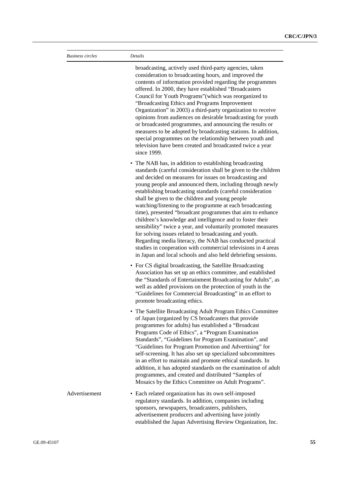| <b>Business circles</b> | Details                                                                                                                                                                                                                                                                                                                                                                                                                                                                                                                                                                                                                                                                                                                                                                                                                                                                          |
|-------------------------|----------------------------------------------------------------------------------------------------------------------------------------------------------------------------------------------------------------------------------------------------------------------------------------------------------------------------------------------------------------------------------------------------------------------------------------------------------------------------------------------------------------------------------------------------------------------------------------------------------------------------------------------------------------------------------------------------------------------------------------------------------------------------------------------------------------------------------------------------------------------------------|
|                         | broadcasting, actively used third-party agencies, taken<br>consideration to broadcasting hours, and improved the<br>contents of information provided regarding the programmes<br>offered. In 2000, they have established "Broadcasters<br>Council for Youth Programs" (which was reorganized to<br>"Broadcasting Ethics and Programs Improvement<br>Organization" in 2003) a third-party organization to receive<br>opinions from audiences on desirable broadcasting for youth<br>or broadcasted programmes, and announcing the results or<br>measures to be adopted by broadcasting stations. In addition,<br>special programmes on the relationship between youth and<br>television have been created and broadcasted twice a year<br>since 1999.                                                                                                                             |
|                         | • The NAB has, in addition to establishing broadcasting<br>standards (careful consideration shall be given to the children<br>and decided on measures for issues on broadcasting and<br>young people and announced them, including through newly<br>establishing broadcasting standards (careful consideration<br>shall be given to the children and young people<br>watching/listening to the programme at each broadcasting<br>time), presented "broadcast programmes that aim to enhance<br>children's knowledge and intelligence and to foster their<br>sensibility" twice a year, and voluntarily promoted measures<br>for solving issues related to broadcasting and youth.<br>Regarding media literacy, the NAB has conducted practical<br>studies in cooperation with commercial televisions in 4 areas<br>in Japan and local schools and also held debriefing sessions. |
|                         | • For CS digital broadcasting, the Satellite Broadcasting<br>Association has set up an ethics committee, and established<br>the "Standards of Entertainment Broadcasting for Adults", as<br>well as added provisions on the protection of youth in the<br>"Guidelines for Commercial Broadcasting" in an effort to<br>promote broadcasting ethics.                                                                                                                                                                                                                                                                                                                                                                                                                                                                                                                               |
|                         | • The Satellite Broadcasting Adult Program Ethics Committee<br>of Japan (organized by CS broadcasters that provide<br>programmes for adults) has established a "Broadcast<br>Programs Code of Ethics", a "Program Examination<br>Standards", "Guidelines for Program Examination", and<br>"Guidelines for Program Promotion and Advertising" for<br>self-screening. It has also set up specialized subcommittees<br>in an effort to maintain and promote ethical standards. In<br>addition, it has adopted standards on the examination of adult<br>programmes, and created and distributed "Samples of<br>Mosaics by the Ethics Committee on Adult Programs".                                                                                                                                                                                                                   |
| Advertisement           | • Each related organization has its own self-imposed<br>regulatory standards. In addition, companies including<br>sponsors, newspapers, broadcasters, publishers,<br>advertisement producers and advertising have jointly<br>established the Japan Advertising Review Organization, Inc.                                                                                                                                                                                                                                                                                                                                                                                                                                                                                                                                                                                         |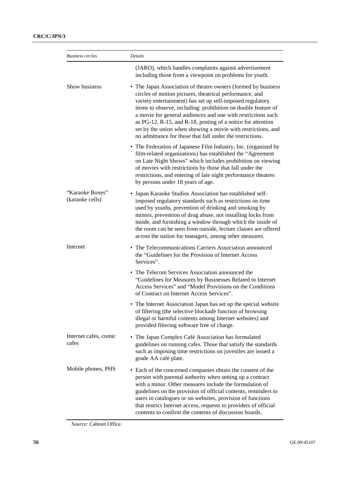| <b>Business circles</b>            | Details                                                                                                                                                                                                                                                                                                                                                                                                                                                                                                            |
|------------------------------------|--------------------------------------------------------------------------------------------------------------------------------------------------------------------------------------------------------------------------------------------------------------------------------------------------------------------------------------------------------------------------------------------------------------------------------------------------------------------------------------------------------------------|
|                                    | (JARO), which handles complaints against advertisement<br>including those from a viewpoint on problems for youth.                                                                                                                                                                                                                                                                                                                                                                                                  |
| Show business                      | • The Japan Association of theatre owners (formed by business<br>circles of motion pictures, theatrical performance, and<br>variety entertainment) has set up self-imposed regulatory<br>items to observe, including: prohibition on double feature of<br>a movie for general audiences and one with restrictions such<br>as PG-12, R-15, and R-18, posting of a notice for attention<br>set by the union when showing a movie with restrictions, and<br>no admittance for those that fall under the restrictions. |
|                                    | • The Federation of Japanese Film Industry, Inc. (organized by<br>film-related organizations) has established the "Agreement<br>on Late Night Shows" which includes prohibition on viewing<br>of movies with restrictions by those that fall under the<br>restrictions, and entering of late night performance theatres<br>by persons under 18 years of age.                                                                                                                                                       |
| "Karaoke Boxes"<br>(karaoke cells) | • Japan Karaoke Studios Association has established self-<br>imposed regulatory standards such as restrictions on time<br>used by youths, prevention of drinking and smoking by<br>minors, prevention of drug abuse, not installing locks from<br>inside, and furnishing a window through which the inside of<br>the room can be seen from outside, lecture classes are offered<br>across the nation for managers, among other measures.                                                                           |
| Internet                           | • The Telecommunications Carriers Association announced<br>the "Guidelines for the Provision of Internet Access<br>Services".                                                                                                                                                                                                                                                                                                                                                                                      |
|                                    | • The Telecom Services Association announced the<br>"Guidelines for Measures by Businesses Related to Internet<br>Access Services" and "Model Provisions on the Conditions<br>of Contract on Internet Access Services".                                                                                                                                                                                                                                                                                            |
|                                    | • The Internet Association Japan has set up the special website<br>of filtering (the selective blockade function of browsing<br>illegal or harmful contents among Internet websites) and<br>provided filtering software free of charge.                                                                                                                                                                                                                                                                            |
| Internet cafes, comic<br>cafes     | • The Japan Complex Café Association has formulated<br>guidelines on running cafes. Those that satisfy the standards<br>such as imposing time restrictions on juveniles are issued a<br>grade AA café plate.                                                                                                                                                                                                                                                                                                       |
| Mobile phones, PHS                 | • Each of the concerned companies obtain the consent of the<br>person with parental authority when setting up a contract<br>with a minor. Other measures include the formulation of<br>guidelines on the provision of official contents, reminders to<br>users in catalogues or on websites, provision of functions<br>that restrict Internet access, requests to providers of official<br>contents to confirm the contents of discussion boards.                                                                  |

*Source:* Cabinet Office.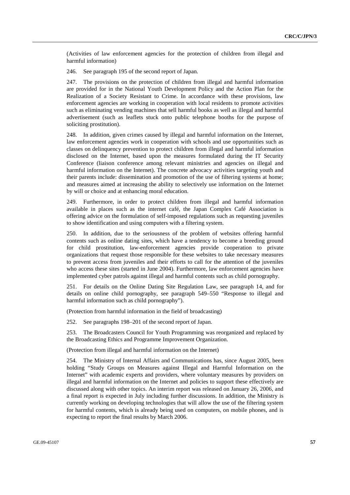(Activities of law enforcement agencies for the protection of children from illegal and harmful information)

246. See paragraph 195 of the second report of Japan.

247. The provisions on the protection of children from illegal and harmful information are provided for in the National Youth Development Policy and the Action Plan for the Realization of a Society Resistant to Crime. In accordance with these provisions, law enforcement agencies are working in cooperation with local residents to promote activities such as eliminating vending machines that sell harmful books as well as illegal and harmful advertisement (such as leaflets stuck onto public telephone booths for the purpose of soliciting prostitution).

248. In addition, given crimes caused by illegal and harmful information on the Internet, law enforcement agencies work in cooperation with schools and use opportunities such as classes on delinquency prevention to protect children from illegal and harmful information disclosed on the Internet, based upon the measures formulated during the IT Security Conference (liaison conference among relevant ministries and agencies on illegal and harmful information on the Internet). The concrete advocacy activities targeting youth and their parents include: dissemination and promotion of the use of filtering systems at home; and measures aimed at increasing the ability to selectively use information on the Internet by will or choice and at enhancing moral education.

249. Furthermore, in order to protect children from illegal and harmful information available in places such as the internet café, the Japan Complex Café Association is offering advice on the formulation of self-imposed regulations such as requesting juveniles to show identification and using computers with a filtering system.

250. In addition, due to the seriousness of the problem of websites offering harmful contents such as online dating sites, which have a tendency to become a breeding ground for child prostitution, law-enforcement agencies provide cooperation to private organizations that request those responsible for these websites to take necessary measures to prevent access from juveniles and their efforts to call for the attention of the juveniles who access these sites (started in June 2004). Furthermore, law enforcement agencies have implemented cyber patrols against illegal and harmful contents such as child pornography.

251. For details on the Online Dating Site Regulation Law, see paragraph 14, and for details on online child pornography, see paragraph 549–550 "Response to illegal and harmful information such as child pornography").

(Protection from harmful information in the field of broadcasting)

252. See paragraphs 198–201 of the second report of Japan.

253. The Broadcasters Council for Youth Programming was reorganized and replaced by the Broadcasting Ethics and Programme Improvement Organization.

(Protection from illegal and harmful information on the Internet)

254. The Ministry of Internal Affairs and Communications has, since August 2005, been holding "Study Groups on Measures against Illegal and Harmful Information on the Internet" with academic experts and providers, where voluntary measures by providers on illegal and harmful information on the Internet and policies to support these effectively are discussed along with other topics. An interim report was released on January 26, 2006, and a final report is expected in July including further discussions. In addition, the Ministry is currently working on developing technologies that will allow the use of the filtering system for harmful contents, which is already being used on computers, on mobile phones, and is expecting to report the final results by March 2006.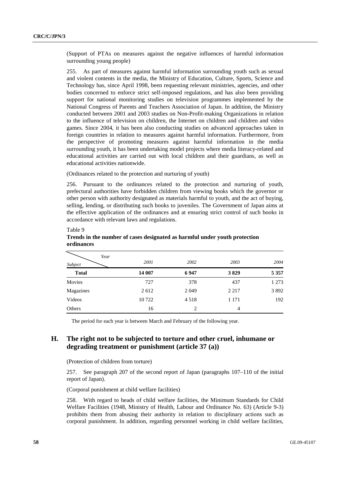(Support of PTAs on measures against the negative influences of harmful information surrounding young people)

255. As part of measures against harmful information surrounding youth such as sexual and violent contents in the media, the Ministry of Education, Culture, Sports, Science and Technology has, since April 1998, been requesting relevant ministries, agencies, and other bodies concerned to enforce strict self-imposed regulations, and has also been providing support for national monitoring studies on television programmes implemented by the National Congress of Parents and Teachers Association of Japan. In addition, the Ministry conducted between 2001 and 2003 studies on Non-Profit-making Organizations in relation to the influence of television on children, the Internet on children and children and video games. Since 2004, it has been also conducting studies on advanced approaches taken in foreign countries in relation to measures against harmful information. Furthermore, from the perspective of promoting measures against harmful information in the media surrounding youth, it has been undertaking model projects where media literacy-related and educational activities are carried out with local children and their guardians, as well as educational activities nationwide.

(Ordinances related to the protection and nurturing of youth)

256. Pursuant to the ordinances related to the protection and nurturing of youth, prefectural authorities have forbidden children from viewing books which the governor or other person with authority designated as materials harmful to youth, and the act of buying, selling, lending, or distributing such books to juveniles. The Government of Japan aims at the effective application of the ordinances and at ensuring strict control of such books in accordance with relevant laws and regulations.

| Year         |         |                |         |         |
|--------------|---------|----------------|---------|---------|
| Subject      | 2001    | 2002           | 2003    | 2004    |
| <b>Total</b> | 14 007  | 6947           | 3829    | 5 3 5 7 |
| Movies       | 727     | 378            | 437     | 1 2 7 3 |
| Magazines    | 2 6 1 2 | 2 0 4 9        | 2 2 1 7 | 3892    |
| Videos       | 10722   | 4518           | 1 1 7 1 | 192     |
| Others       | 16      | $\overline{c}$ | 4       |         |

### Table 9 **Trends in the number of cases designated as harmful under youth protection ordinances**

The period for each year is between March and February of the following year.

## **H. The right not to be subjected to torture and other cruel, inhumane or degrading treatment or punishment (article 37 (a))**

(Protection of children from torture)

257. See paragraph 207 of the second report of Japan (paragraphs 107–110 of the initial report of Japan).

(Corporal punishment at child welfare facilities)

258. With regard to heads of child welfare facilities, the Minimum Standards for Child Welfare Facilities (1948, Ministry of Health, Labour and Ordinance No. 63) (Article 9-3) prohibits them from abusing their authority in relation to disciplinary actions such as corporal punishment. In addition, regarding personnel working in child welfare facilities,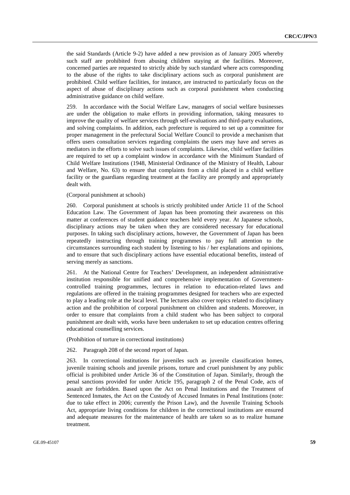the said Standards (Article 9-2) have added a new provision as of January 2005 whereby such staff are prohibited from abusing children staying at the facilities. Moreover, concerned parties are requested to strictly abide by such standard where acts corresponding to the abuse of the rights to take disciplinary actions such as corporal punishment are prohibited. Child welfare facilities, for instance, are instructed to particularly focus on the aspect of abuse of disciplinary actions such as corporal punishment when conducting administrative guidance on child welfare.

259. In accordance with the Social Welfare Law, managers of social welfare businesses are under the obligation to make efforts in providing information, taking measures to improve the quality of welfare services through self-evaluations and third-party evaluations, and solving complaints. In addition, each prefecture is required to set up a committee for proper management in the prefectural Social Welfare Council to provide a mechanism that offers users consultation services regarding complaints the users may have and serves as mediators in the efforts to solve such issues of complaints. Likewise, child welfare facilities are required to set up a complaint window in accordance with the Minimum Standard of Child Welfare Institutions (1948, Ministerial Ordinance of the Ministry of Health, Labour and Welfare, No. 63) to ensure that complaints from a child placed in a child welfare facility or the guardians regarding treatment at the facility are promptly and appropriately dealt with.

### (Corporal punishment at schools)

260. Corporal punishment at schools is strictly prohibited under Article 11 of the School Education Law. The Government of Japan has been promoting their awareness on this matter at conferences of student guidance teachers held every year. At Japanese schools, disciplinary actions may be taken when they are considered necessary for educational purposes. In taking such disciplinary actions, however, the Government of Japan has been repeatedly instructing through training programmes to pay full attention to the circumstances surrounding each student by listening to his / her explanations and opinions, and to ensure that such disciplinary actions have essential educational benefits, instead of serving merely as sanctions.

261. At the National Centre for Teachers' Development, an independent administrative institution responsible for unified and comprehensive implementation of Governmentcontrolled training programmes, lectures in relation to education-related laws and regulations are offered in the training programmes designed for teachers who are expected to play a leading role at the local level. The lectures also cover topics related to disciplinary action and the prohibition of corporal punishment on children and students. Moreover, in order to ensure that complaints from a child student who has been subject to corporal punishment are dealt with, works have been undertaken to set up education centres offering educational counselling services.

(Prohibition of torture in correctional institutions)

262. Paragraph 208 of the second report of Japan.

263. In correctional institutions for juveniles such as juvenile classification homes, juvenile training schools and juvenile prisons, torture and cruel punishment by any public official is prohibited under Article 36 of the Constitution of Japan. Similarly, through the penal sanctions provided for under Article 195, paragraph 2 of the Penal Code, acts of assault are forbidden. Based upon the Act on Penal Institutions and the Treatment of Sentenced Inmates, the Act on the Custody of Accused Inmates in Penal Institutions (note: due to take effect in 2006; currently the Prison Law), and the Juvenile Training Schools Act, appropriate living conditions for children in the correctional institutions are ensured and adequate measures for the maintenance of health are taken so as to realize humane treatment.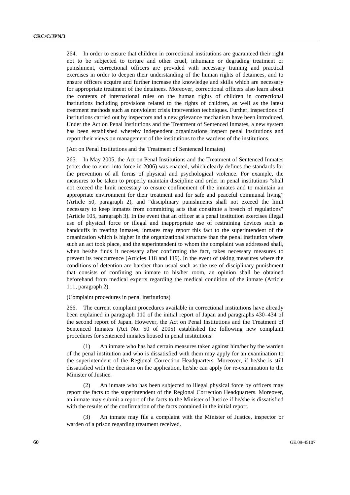264. In order to ensure that children in correctional institutions are guaranteed their right not to be subjected to torture and other cruel, inhumane or degrading treatment or punishment, correctional officers are provided with necessary training and practical exercises in order to deepen their understanding of the human rights of detainees, and to ensure officers acquire and further increase the knowledge and skills which are necessary for appropriate treatment of the detainees. Moreover, correctional officers also learn about the contents of international rules on the human rights of children in correctional institutions including provisions related to the rights of children, as well as the latest treatment methods such as nonviolent crisis intervention techniques. Further, inspections of institutions carried out by inspectors and a new grievance mechanism have been introduced. Under the Act on Penal Institutions and the Treatment of Sentenced Inmates, a new system has been established whereby independent organizations inspect penal institutions and report their views on management of the institutions to the wardens of the institutions.

(Act on Penal Institutions and the Treatment of Sentenced Inmates)

265. In May 2005, the Act on Penal Institutions and the Treatment of Sentenced Inmates (note: due to enter into force in 2006) was enacted, which clearly defines the standards for the prevention of all forms of physical and psychological violence. For example, the measures to be taken to properly maintain discipline and order in penal institutions "shall not exceed the limit necessary to ensure confinement of the inmates and to maintain an appropriate environment for their treatment and for safe and peaceful communal living" (Article 50, paragraph 2), and "disciplinary punishments shall not exceed the limit necessary to keep inmates from committing acts that constitute a breach of regulations" (Article 105, paragraph 3). In the event that an officer at a penal institution exercises illegal use of physical force or illegal and inappropriate use of restraining devices such as handcuffs in treating inmates, inmates may report this fact to the superintendent of the organization which is higher in the organizational structure than the penal institution where such an act took place, and the superintendent to whom the complaint was addressed shall, when he/she finds it necessary after confirming the fact, takes necessary measures to prevent its reoccurrence (Articles 118 and 119). In the event of taking measures where the conditions of detention are harsher than usual such as the use of disciplinary punishment that consists of confining an inmate to his/her room, an opinion shall be obtained beforehand from medical experts regarding the medical condition of the inmate (Article 111, paragraph 2).

#### (Complaint procedures in penal institutions)

266. The current complaint procedures available in correctional institutions have already been explained in paragraph 110 of the initial report of Japan and paragraphs 430–434 of the second report of Japan. However, the Act on Penal Institutions and the Treatment of Sentenced Inmates (Act No. 50 of 2005) established the following new complaint procedures for sentenced inmates housed in penal institutions:

 (1) An inmate who has had certain measures taken against him/her by the warden of the penal institution and who is dissatisfied with them may apply for an examination to the superintendent of the Regional Correction Headquarters. Moreover, if he/she is still dissatisfied with the decision on the application, he/she can apply for re-examination to the Minister of Justice.

 (2) An inmate who has been subjected to illegal physical force by officers may report the facts to the superintendent of the Regional Correction Headquarters. Moreover, an inmate may submit a report of the facts to the Minister of Justice if he/she is dissatisfied with the results of the confirmation of the facts contained in the initial report.

An inmate may file a complaint with the Minister of Justice, inspector or warden of a prison regarding treatment received.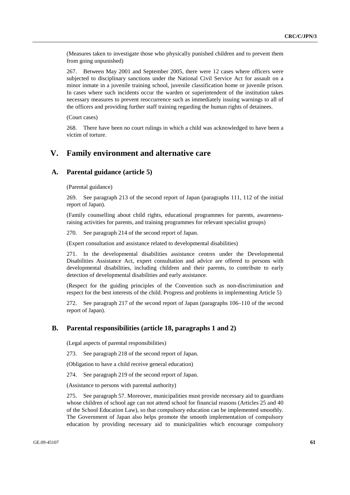(Measures taken to investigate those who physically punished children and to prevent them from going unpunished)

267. Between May 2001 and September 2005, there were 12 cases where officers were subjected to disciplinary sanctions under the National Civil Service Act for assault on a minor inmate in a juvenile training school, juvenile classification home or juvenile prison. In cases where such incidents occur the warden or superintendent of the institution takes necessary measures to prevent reoccurrence such as immediately issuing warnings to all of the officers and providing further staff training regarding the human rights of detainees.

(Court cases)

268. There have been no court rulings in which a child was acknowledged to have been a victim of torture.

# **V. Family environment and alternative care**

## **A. Parental guidance (article 5)**

(Parental guidance)

269. See paragraph 213 of the second report of Japan (paragraphs 111, 112 of the initial report of Japan).

(Family counselling about child rights, educational programmes for parents, awarenessraising activities for parents, and training programmes for relevant specialist groups)

270. See paragraph 214 of the second report of Japan.

(Expert consultation and assistance related to developmental disabilities)

271. In the developmental disabilities assistance centres under the Developmental Disabilities Assistance Act, expert consultation and advice are offered to persons with developmental disabilities, including children and their parents, to contribute to early detection of developmental disabilities and early assistance.

(Respect for the guiding principles of the Convention such as non-discrimination and respect for the best interests of the child. Progress and problems in implementing Article 5)

272. See paragraph 217 of the second report of Japan (paragraphs 106–110 of the second report of Japan).

### **B. Parental responsibilities (article 18, paragraphs 1 and 2)**

(Legal aspects of parental responsibilities)

273. See paragraph 218 of the second report of Japan.

(Obligation to have a child receive general education)

274. See paragraph 219 of the second report of Japan.

(Assistance to persons with parental authority)

275. See paragraph 57. Moreover, municipalities must provide necessary aid to guardians whose children of school age can not attend school for financial reasons (Articles 25 and 40 of the School Education Law), so that compulsory education can be implemented smoothly. The Government of Japan also helps promote the smooth implementation of compulsory education by providing necessary aid to municipalities which encourage compulsory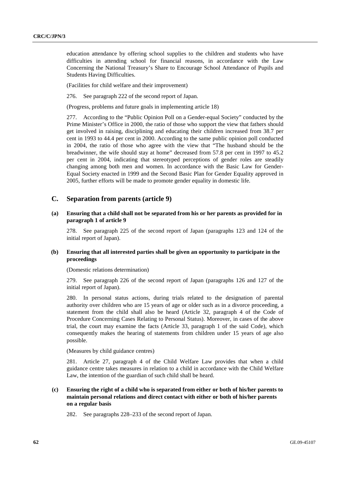education attendance by offering school supplies to the children and students who have difficulties in attending school for financial reasons, in accordance with the Law Concerning the National Treasury's Share to Encourage School Attendance of Pupils and Students Having Difficulties.

(Facilities for child welfare and their improvement)

276. See paragraph 222 of the second report of Japan.

(Progress, problems and future goals in implementing article 18)

277. According to the "Public Opinion Poll on a Gender-equal Society" conducted by the Prime Minister's Office in 2000, the ratio of those who support the view that fathers should get involved in raising, disciplining and educating their children increased from 38.7 per cent in 1993 to 44.4 per cent in 2000. According to the same public opinion poll conducted in 2004, the ratio of those who agree with the view that "The husband should be the breadwinner, the wife should stay at home" decreased from 57.8 per cent in 1997 to 45.2 per cent in 2004, indicating that stereotyped perceptions of gender roles are steadily changing among both men and women. In accordance with the Basic Law for Gender-Equal Society enacted in 1999 and the Second Basic Plan for Gender Equality approved in 2005, further efforts will be made to promote gender equality in domestic life.

## **C. Separation from parents (article 9)**

### **(a) Ensuring that a child shall not be separated from his or her parents as provided for in paragraph 1 of article 9**

278. See paragraph 225 of the second report of Japan (paragraphs 123 and 124 of the initial report of Japan).

### **(b) Ensuring that all interested parties shall be given an opportunity to participate in the proceedings**

(Domestic relations determination)

279. See paragraph 226 of the second report of Japan (paragraphs 126 and 127 of the initial report of Japan).

280. In personal status actions, during trials related to the designation of parental authority over children who are 15 years of age or older such as in a divorce proceeding, a statement from the child shall also be heard (Article 32, paragraph 4 of the Code of Procedure Concerning Cases Relating to Personal Status). Moreover, in cases of the above trial, the court may examine the facts (Article 33, paragraph 1 of the said Code), which consequently makes the hearing of statements from children under 15 years of age also possible.

(Measures by child guidance centres)

281. Article 27, paragraph 4 of the Child Welfare Law provides that when a child guidance centre takes measures in relation to a child in accordance with the Child Welfare Law, the intention of the guardian of such child shall be heard.

## **(c) Ensuring the right of a child who is separated from either or both of his/her parents to maintain personal relations and direct contact with either or both of his/her parents on a regular basis**

282. See paragraphs 228–233 of the second report of Japan.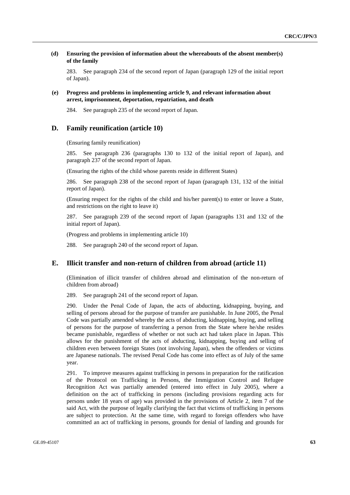### **(d) Ensuring the provision of information about the whereabouts of the absent member(s) of the family**

283. See paragraph 234 of the second report of Japan (paragraph 129 of the initial report of Japan).

### **(e) Progress and problems in implementing article 9, and relevant information about arrest, imprisonment, deportation, repatriation, and death**

284. See paragraph 235 of the second report of Japan.

## **D. Family reunification (article 10)**

(Ensuring family reunification)

285. See paragraph 236 (paragraphs 130 to 132 of the initial report of Japan), and paragraph 237 of the second report of Japan.

(Ensuring the rights of the child whose parents reside in different States)

286. See paragraph 238 of the second report of Japan (paragraph 131, 132 of the initial report of Japan).

(Ensuring respect for the rights of the child and his/her parent(s) to enter or leave a State, and restrictions on the right to leave it)

287. See paragraph 239 of the second report of Japan (paragraphs 131 and 132 of the initial report of Japan).

(Progress and problems in implementing article 10)

288. See paragraph 240 of the second report of Japan.

## **E. Illicit transfer and non-return of children from abroad (article 11)**

(Elimination of illicit transfer of children abroad and elimination of the non-return of children from abroad)

289. See paragraph 241 of the second report of Japan.

290. Under the Penal Code of Japan, the acts of abducting, kidnapping, buying, and selling of persons abroad for the purpose of transfer are punishable. In June 2005, the Penal Code was partially amended whereby the acts of abducting, kidnapping, buying, and selling of persons for the purpose of transferring a person from the State where he/she resides became punishable, regardless of whether or not such act had taken place in Japan. This allows for the punishment of the acts of abducting, kidnapping, buying and selling of children even between foreign States (not involving Japan), when the offenders or victims are Japanese nationals. The revised Penal Code has come into effect as of July of the same year.

291. To improve measures against trafficking in persons in preparation for the ratification of the Protocol on Trafficking in Persons, the Immigration Control and Refugee Recognition Act was partially amended (entered into effect in July 2005), where a definition on the act of trafficking in persons (including provisions regarding acts for persons under 18 years of age) was provided in the provisions of Article 2, item 7 of the said Act, with the purpose of legally clarifying the fact that victims of trafficking in persons are subject to protection. At the same time, with regard to foreign offenders who have committed an act of trafficking in persons, grounds for denial of landing and grounds for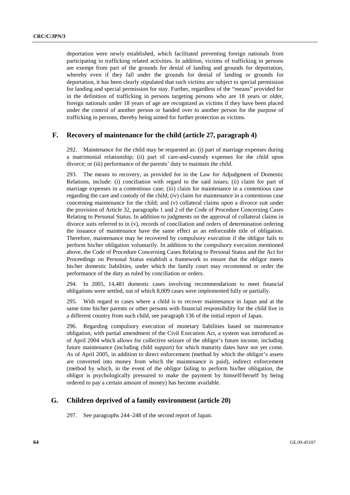deportation were newly established, which facilitated preventing foreign nationals from participating in trafficking related activities. In addition, victims of trafficking in persons are exempt from part of the grounds for denial of landing and grounds for deportation, whereby even if they fall under the grounds for denial of landing or grounds for deportation, it has been clearly stipulated that such victims are subject to special permission for landing and special permission for stay. Further, regardless of the "means" provided for in the definition of trafficking in persons targeting persons who are 18 years or older, foreign nationals under 18 years of age are recognized as victims if they have been placed under the control of another person or handed over to another person for the purpose of trafficking in persons, thereby being aimed for further protection as victims.

## **F. Recovery of maintenance for the child (article 27, paragraph 4)**

292. Maintenance for the child may be requested as: (i) part of marriage expenses during a matrimonial relationship; (ii) part of care-and-custody expenses for the child upon divorce; or (iii) performance of the parents' duty to maintain the child.

293. The means to recovery, as provided for in the Law for Adjudgment of Domestic Relations, include: (i) conciliation with regard to the said issues; (ii) claim for part of marriage expenses in a contentious case; (iii) claim for maintenance in a contentious case regarding the care and custody of the child; (iv) claim for maintenance in a contentious case concerning maintenance for the child; and (v) collateral claims upon a divorce suit under the provision of Article 32, paragraphs 1 and 2 of the Code of Procedure Concerning Cases Relating to Personal Status. In addition to judgments on the approval of collateral claims in divorce suits referred to in (v), records of conciliation and orders of determination ordering the issuance of maintenance have the same effect as an enforceable title of obligation. Therefore, maintenance may be recovered by compulsory execution if the obligor fails to perform his/her obligation voluntarily. In addition to the compulsory execution mentioned above, the Code of Procedure Concerning Cases Relating to Personal Status and the Act for Proceedings on Personal Status establish a framework to ensure that the obligor meets his/her domestic liabilities, under which the family court may recommend or order the performance of the duty as ruled by conciliation or orders.

294. In 2005, 14,481 domestic cases involving recommendations to meet financial obligations were settled, out of which 8,009 cases were implemented fully or partially.

295. With regard to cases where a child is to recover maintenance in Japan and at the same time his/her parents or other persons with financial responsibility for the child live in a different country from such child, see paragraph 136 of the initial report of Japan.

296. Regarding compulsory execution of monetary liabilities based on maintenance obligation, with partial amendment of the Civil Execution Act, a system was introduced as of April 2004 which allows for collective seizure of the obligor's future income, including future maintenance (including child support) for which maturity dates have not yet come. As of April 2005, in addition to direct enforcement (method by which the obligor's assets are converted into money from which the maintenance is paid), indirect enforcement (method by which, in the event of the obligor failing to perform his/her obligation, the obligor is psychologically pressured to make the payment by himself/herself by being ordered to pay a certain amount of money) has become available.

## **G. Children deprived of a family environment (article 20)**

297. See paragraphs 244–248 of the second report of Japan.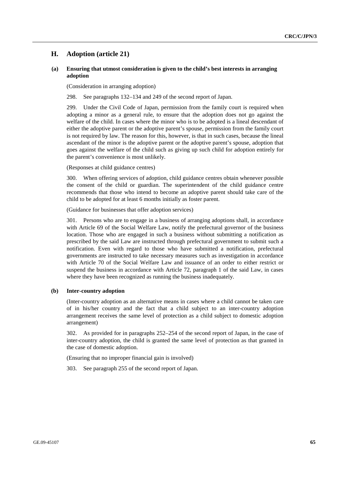## **H. Adoption (article 21)**

### **(a) Ensuring that utmost consideration is given to the child's best interests in arranging adoption**

(Consideration in arranging adoption)

298. See paragraphs 132–134 and 249 of the second report of Japan.

299. Under the Civil Code of Japan, permission from the family court is required when adopting a minor as a general rule, to ensure that the adoption does not go against the welfare of the child. In cases where the minor who is to be adopted is a lineal descendant of either the adoptive parent or the adoptive parent's spouse, permission from the family court is not required by law. The reason for this, however, is that in such cases, because the lineal ascendant of the minor is the adoptive parent or the adoptive parent's spouse, adoption that goes against the welfare of the child such as giving up such child for adoption entirely for the parent's convenience is most unlikely.

(Responses at child guidance centres)

300. When offering services of adoption, child guidance centres obtain whenever possible the consent of the child or guardian. The superintendent of the child guidance centre recommends that those who intend to become an adoptive parent should take care of the child to be adopted for at least 6 months initially as foster parent.

(Guidance for businesses that offer adoption services)

301. Persons who are to engage in a business of arranging adoptions shall, in accordance with Article 69 of the Social Welfare Law, notify the prefectural governor of the business location. Those who are engaged in such a business without submitting a notification as prescribed by the said Law are instructed through prefectural government to submit such a notification. Even with regard to those who have submitted a notification, prefectural governments are instructed to take necessary measures such as investigation in accordance with Article 70 of the Social Welfare Law and issuance of an order to either restrict or suspend the business in accordance with Article 72, paragraph 1 of the said Law, in cases where they have been recognized as running the business inadequately.

### **(b) Inter-country adoption**

(Inter-country adoption as an alternative means in cases where a child cannot be taken care of in his/her country and the fact that a child subject to an inter-country adoption arrangement receives the same level of protection as a child subject to domestic adoption arrangement)

302. As provided for in paragraphs 252–254 of the second report of Japan, in the case of inter-country adoption, the child is granted the same level of protection as that granted in the case of domestic adoption.

(Ensuring that no improper financial gain is involved)

303. See paragraph 255 of the second report of Japan.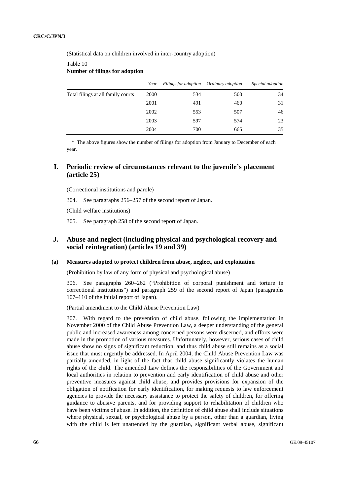(Statistical data on children involved in inter-country adoption)

### Table 10 **Number of filings for adoption**

|                                    | Year | Filings for adoption | Ordinary adoption | Special adoption |
|------------------------------------|------|----------------------|-------------------|------------------|
| Total filings at all family courts | 2000 | 534                  | 500               | 34               |
|                                    | 2001 | 491                  | 460               | 31               |
|                                    | 2002 | 553                  | 507               | 46               |
|                                    | 2003 | 597                  | 574               | 23               |
|                                    | 2004 | 700                  | 665               | 35               |

\* The above figures show the number of filings for adoption from January to December of each year.

## **I. Periodic review of circumstances relevant to the juvenile's placement (article 25)**

(Correctional institutions and parole)

304. See paragraphs 256–257 of the second report of Japan.

(Child welfare institutions)

305. See paragraph 258 of the second report of Japan.

## **J. Abuse and neglect (including physical and psychological recovery and social reintegration) (articles 19 and 39)**

### **(a) Measures adopted to protect children from abuse, neglect, and exploitation**

(Prohibition by law of any form of physical and psychological abuse)

306. See paragraphs 260–262 ("Prohibition of corporal punishment and torture in correctional institutions") and paragraph 259 of the second report of Japan (paragraphs 107–110 of the initial report of Japan).

(Partial amendment to the Child Abuse Prevention Law)

307. With regard to the prevention of child abuse, following the implementation in November 2000 of the Child Abuse Prevention Law, a deeper understanding of the general public and increased awareness among concerned persons were discerned, and efforts were made in the promotion of various measures. Unfortunately, however, serious cases of child abuse show no signs of significant reduction, and thus child abuse still remains as a social issue that must urgently be addressed. In April 2004, the Child Abuse Prevention Law was partially amended, in light of the fact that child abuse significantly violates the human rights of the child. The amended Law defines the responsibilities of the Government and local authorities in relation to prevention and early identification of child abuse and other preventive measures against child abuse, and provides provisions for expansion of the obligation of notification for early identification, for making requests to law enforcement agencies to provide the necessary assistance to protect the safety of children, for offering guidance to abusive parents, and for providing support to rehabilitation of children who have been victims of abuse. In addition, the definition of child abuse shall include situations where physical, sexual, or psychological abuse by a person, other than a guardian, living with the child is left unattended by the guardian, significant verbal abuse, significant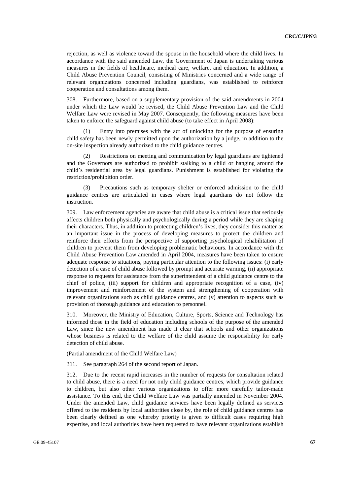rejection, as well as violence toward the spouse in the household where the child lives. In accordance with the said amended Law, the Government of Japan is undertaking various measures in the fields of healthcare, medical care, welfare, and education. In addition, a Child Abuse Prevention Council, consisting of Ministries concerned and a wide range of relevant organizations concerned including guardians, was established to reinforce cooperation and consultations among them.

308. Furthermore, based on a supplementary provision of the said amendments in 2004 under which the Law would be revised, the Child Abuse Prevention Law and the Child Welfare Law were revised in May 2007. Consequently, the following measures have been taken to enforce the safeguard against child abuse (to take effect in April 2008):

 (1) Entry into premises with the act of unlocking for the purpose of ensuring child safety has been newly permitted upon the authorization by a judge, in addition to the on-site inspection already authorized to the child guidance centres.

 (2) Restrictions on meeting and communication by legal guardians are tightened and the Governors are authorized to prohibit stalking to a child or hanging around the child's residential area by legal guardians. Punishment is established for violating the restriction/prohibition order.

Precautions such as temporary shelter or enforced admission to the child guidance centres are articulated in cases where legal guardians do not follow the instruction.

309. Law enforcement agencies are aware that child abuse is a critical issue that seriously affects children both physically and psychologically during a period while they are shaping their characters. Thus, in addition to protecting children's lives, they consider this matter as an important issue in the process of developing measures to protect the children and reinforce their efforts from the perspective of supporting psychological rehabilitation of children to prevent them from developing problematic behaviours. In accordance with the Child Abuse Prevention Law amended in April 2004, measures have been taken to ensure adequate response to situations, paying particular attention to the following issues: (i) early detection of a case of child abuse followed by prompt and accurate warning, (ii) appropriate response to requests for assistance from the superintendent of a child guidance centre to the chief of police, (iii) support for children and appropriate recognition of a case, (iv) improvement and reinforcement of the system and strengthening of cooperation with relevant organizations such as child guidance centres, and (v) attention to aspects such as provision of thorough guidance and education to personnel.

310. Moreover, the Ministry of Education, Culture, Sports, Science and Technology has informed those in the field of education including schools of the purpose of the amended Law, since the new amendment has made it clear that schools and other organizations whose business is related to the welfare of the child assume the responsibility for early detection of child abuse.

(Partial amendment of the Child Welfare Law)

311. See paragraph 264 of the second report of Japan.

312. Due to the recent rapid increases in the number of requests for consultation related to child abuse, there is a need for not only child guidance centres, which provide guidance to children, but also other various organizations to offer more carefully tailor-made assistance. To this end, the Child Welfare Law was partially amended in November 2004. Under the amended Law, child guidance services have been legally defined as services offered to the residents by local authorities close by, the role of child guidance centres has been clearly defined as one whereby priority is given to difficult cases requiring high expertise, and local authorities have been requested to have relevant organizations establish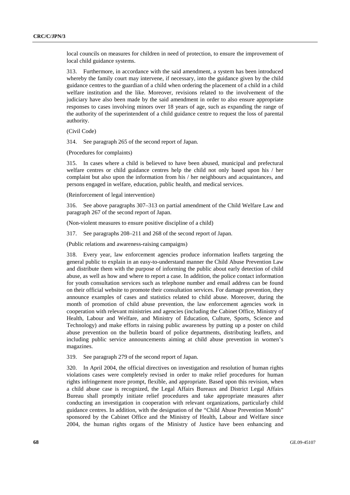local councils on measures for children in need of protection, to ensure the improvement of local child guidance systems.

313. Furthermore, in accordance with the said amendment, a system has been introduced whereby the family court may intervene, if necessary, into the guidance given by the child guidance centres to the guardian of a child when ordering the placement of a child in a child welfare institution and the like. Moreover, revisions related to the involvement of the judiciary have also been made by the said amendment in order to also ensure appropriate responses to cases involving minors over 18 years of age, such as expanding the range of the authority of the superintendent of a child guidance centre to request the loss of parental authority.

(Civil Code)

314. See paragraph 265 of the second report of Japan.

(Procedures for complaints)

315. In cases where a child is believed to have been abused, municipal and prefectural welfare centres or child guidance centres help the child not only based upon his / her complaint but also upon the information from his / her neighbours and acquaintances, and persons engaged in welfare, education, public health, and medical services.

(Reinforcement of legal intervention)

316. See above paragraphs 307–313 on partial amendment of the Child Welfare Law and paragraph 267 of the second report of Japan.

(Non-violent measures to ensure positive discipline of a child)

317. See paragraphs 208–211 and 268 of the second report of Japan.

(Public relations and awareness-raising campaigns)

318. Every year, law enforcement agencies produce information leaflets targeting the general public to explain in an easy-to-understand manner the Child Abuse Prevention Law and distribute them with the purpose of informing the public about early detection of child abuse, as well as how and where to report a case. In addition, the police contact information for youth consultation services such as telephone number and email address can be found on their official website to promote their consultation services. For damage prevention, they announce examples of cases and statistics related to child abuse. Moreover, during the month of promotion of child abuse prevention, the law enforcement agencies work in cooperation with relevant ministries and agencies (including the Cabinet Office, Ministry of Health, Labour and Welfare, and Ministry of Education, Culture, Sports, Science and Technology) and make efforts in raising public awareness by putting up a poster on child abuse prevention on the bulletin board of police departments, distributing leaflets, and including public service announcements aiming at child abuse prevention in women's magazines.

319. See paragraph 279 of the second report of Japan.

320. In April 2004, the official directives on investigation and resolution of human rights violations cases were completely revised in order to make relief procedures for human rights infringement more prompt, flexible, and appropriate. Based upon this revision, when a child abuse case is recognized, the Legal Affairs Bureaux and District Legal Affairs Bureau shall promptly initiate relief procedures and take appropriate measures after conducting an investigation in cooperation with relevant organizations, particularly child guidance centres. In addition, with the designation of the "Child Abuse Prevention Month" sponsored by the Cabinet Office and the Ministry of Health, Labour and Welfare since 2004, the human rights organs of the Ministry of Justice have been enhancing and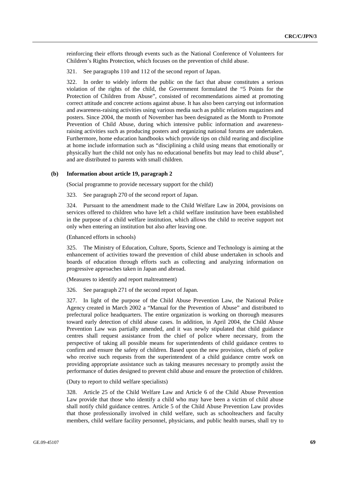reinforcing their efforts through events such as the National Conference of Volunteers for Children's Rights Protection, which focuses on the prevention of child abuse.

321. See paragraphs 110 and 112 of the second report of Japan.

322. In order to widely inform the public on the fact that abuse constitutes a serious violation of the rights of the child, the Government formulated the "5 Points for the Protection of Children from Abuse", consisted of recommendations aimed at promoting correct attitude and concrete actions against abuse. It has also been carrying out information and awareness-raising activities using various media such as public relations magazines and posters. Since 2004, the month of November has been designated as the Month to Promote Prevention of Child Abuse, during which intensive public information and awarenessraising activities such as producing posters and organizing national forums are undertaken. Furthermore, home education handbooks which provide tips on child rearing and discipline at home include information such as "disciplining a child using means that emotionally or physically hurt the child not only has no educational benefits but may lead to child abuse", and are distributed to parents with small children.

#### **(b) Information about article 19, paragraph 2**

(Social programme to provide necessary support for the child)

323. See paragraph 270 of the second report of Japan.

324. Pursuant to the amendment made to the Child Welfare Law in 2004, provisions on services offered to children who have left a child welfare institution have been established in the purpose of a child welfare institution, which allows the child to receive support not only when entering an institution but also after leaving one.

(Enhanced efforts in schools)

325. The Ministry of Education, Culture, Sports, Science and Technology is aiming at the enhancement of activities toward the prevention of child abuse undertaken in schools and boards of education through efforts such as collecting and analyzing information on progressive approaches taken in Japan and abroad.

(Measures to identify and report maltreatment)

326. See paragraph 271 of the second report of Japan.

327. In light of the purpose of the Child Abuse Prevention Law, the National Police Agency created in March 2002 a "Manual for the Prevention of Abuse" and distributed to prefectural police headquarters. The entire organization is working on thorough measures toward early detection of child abuse cases. In addition, in April 2004, the Child Abuse Prevention Law was partially amended, and it was newly stipulated that child guidance centres shall request assistance from the chief of police where necessary, from the perspective of taking all possible means for superintendents of child guidance centres to confirm and ensure the safety of children. Based upon the new provision, chiefs of police who receive such requests from the superintendent of a child guidance centre work on providing appropriate assistance such as taking measures necessary to promptly assist the performance of duties designed to prevent child abuse and ensure the protection of children.

(Duty to report to child welfare specialists)

328. Article 25 of the Child Welfare Law and Article 6 of the Child Abuse Prevention Law provide that those who identify a child who may have been a victim of child abuse shall notify child guidance centres. Article 5 of the Child Abuse Prevention Law provides that those professionally involved in child welfare, such as schoolteachers and faculty members, child welfare facility personnel, physicians, and public health nurses, shall try to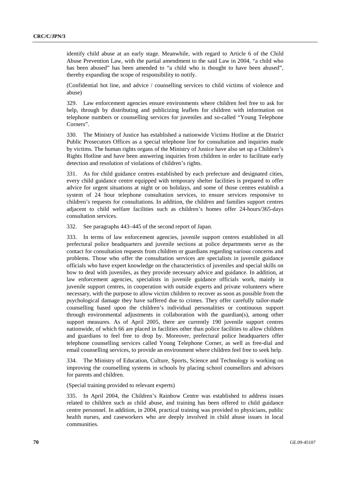identify child abuse at an early stage. Meanwhile, with regard to Article 6 of the Child Abuse Prevention Law, with the partial amendment to the said Law in 2004, "a child who has been abused" has been amended to "a child who is thought to have been abused", thereby expanding the scope of responsibility to notify.

(Confidential hot line, and advice / counselling services to child victims of violence and abuse)

329. Law enforcement agencies ensure environments where children feel free to ask for help, through by distributing and publicizing leaflets for children with information on telephone numbers or counselling services for juveniles and so-called "Young Telephone Corners".

330. The Ministry of Justice has established a nationwide Victims Hotline at the District Public Prosecutors Offices as a special telephone line for consultation and inquiries made by victims. The human rights organs of the Ministry of Justice have also set up a Children's Rights Hotline and have been answering inquiries from children in order to facilitate early detection and resolution of violations of children's rights.

331. As for child guidance centres established by each prefecture and designated cities, every child guidance centre equipped with temporary shelter facilities is prepared to offer advice for urgent situations at night or on holidays, and some of those centres establish a system of 24 hour telephone consultation services, to ensure services responsive to children's requests for consultations. In addition, the children and families support centres adjacent to child welfare facilities such as children's homes offer 24-hours/365-days consultation services.

332. See paragraphs 443–445 of the second report of Japan.

333. In terms of law enforcement agencies, juvenile support centres established in all prefectural police headquarters and juvenile sections at police departments serve as the contact for consultation requests from children or guardians regarding various concerns and problems. Those who offer the consultation services are specialists in juvenile guidance officials who have expert knowledge on the characteristics of juveniles and special skills on how to deal with juveniles, as they provide necessary advice and guidance. In addition, at law enforcement agencies, specialists in juvenile guidance officials work, mainly in juvenile support centres, in cooperation with outside experts and private volunteers where necessary, with the purpose to allow victim children to recover as soon as possible from the psychological damage they have suffered due to crimes. They offer carefully tailor-made counselling based upon the children's individual personalities or continuous support through environmental adjustments in collaboration with the guardian(s), among other support measures. As of April 2005, there are currently 190 juvenile support centres nationwide, of which 66 are placed in facilities other than police facilities to allow children and guardians to feel free to drop by. Moreover, prefectural police headquarters offer telephone counselling services called Young Telephone Corner, as well as free-dial and email counselling services, to provide an environment where children feel free to seek help.

334. The Ministry of Education, Culture, Sports, Science and Technology is working on improving the counselling systems in schools by placing school counsellors and advisors for parents and children.

(Special training provided to relevant experts)

335. In April 2004, the Children's Rainbow Centre was established to address issues related to children such as child abuse, and training has been offered to child guidance centre personnel. In addition, in 2004, practical training was provided to physicians, public health nurses, and caseworkers who are deeply involved in child abuse issues in local communities.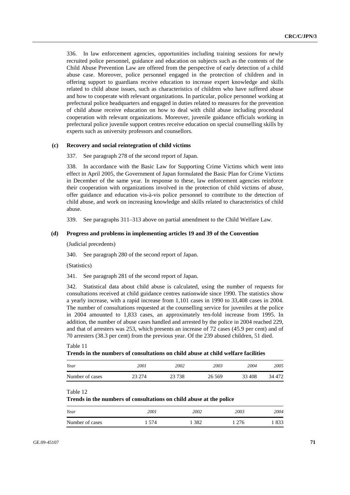336. In law enforcement agencies, opportunities including training sessions for newly recruited police personnel, guidance and education on subjects such as the contents of the Child Abuse Prevention Law are offered from the perspective of early detection of a child abuse case. Moreover, police personnel engaged in the protection of children and in offering support to guardians receive education to increase expert knowledge and skills related to child abuse issues, such as characteristics of children who have suffered abuse and how to cooperate with relevant organizations. In particular, police personnel working at prefectural police headquarters and engaged in duties related to measures for the prevention of child abuse receive education on how to deal with child abuse including procedural cooperation with relevant organizations. Moreover, juvenile guidance officials working in prefectural police juvenile support centres receive education on special counselling skills by experts such as university professors and counsellors.

### **(c) Recovery and social reintegration of child victims**

337. See paragraph 278 of the second report of Japan.

338. In accordance with the Basic Law for Supporting Crime Victims which went into effect in April 2005, the Government of Japan formulated the Basic Plan for Crime Victims in December of the same year. In response to these, law enforcement agencies reinforce their cooperation with organizations involved in the protection of child victims of abuse, offer guidance and education vis-à-vis police personnel to contribute to the detection of child abuse, and work on increasing knowledge and skills related to characteristics of child abuse.

339. See paragraphs 311–313 above on partial amendment to the Child Welfare Law.

#### **(d) Progress and problems in implementing articles 19 and 39 of the Convention**

(Judicial precedents)

340. See paragraph 280 of the second report of Japan.

(Statistics)

341. See paragraph 281 of the second report of Japan.

342. Statistical data about child abuse is calculated, using the number of requests for consultations received at child guidance centres nationwide since 1990. The statistics show a yearly increase, with a rapid increase from 1,101 cases in 1990 to 33,408 cases in 2004. The number of consultations requested at the counselling service for juveniles at the police in 2004 amounted to 1,833 cases, an approximately ten-fold increase from 1995. In addition, the number of abuse cases handled and arrested by the police in 2004 reached 229, and that of arresters was 253, which presents an increase of 72 cases (45.9 per cent) and of 70 arresters (38.3 per cent) from the previous year. Of the 239 abused children, 51 died.

#### Table 11 **Trends in the numbers of consultations on child abuse at child welfare facilities**

| Year            | 2001   | 2002    | 2003     | 2004   | 2005   |
|-----------------|--------|---------|----------|--------|--------|
| Number of cases | 23 274 | 23 7 38 | 26 5 6 9 | 33 408 | 34 472 |

#### Table 12

**Trends in the numbers of consultations on child abuse at the police** 

| Year            | 2001 | 2002 | 2003 | 2004 |
|-----------------|------|------|------|------|
| Number of cases | 574  | 382  | 276  | 833  |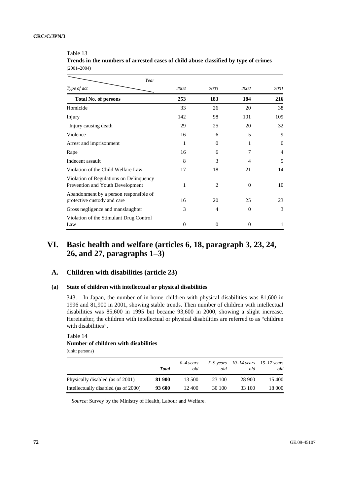#### Table 13

**Trends in the numbers of arrested cases of child abuse classified by type of crimes**  (2001–2004)

| Year                                                                        |                |          |                |                |
|-----------------------------------------------------------------------------|----------------|----------|----------------|----------------|
| Type of act                                                                 | 2004           | 2003     | 2002           | 2001           |
| <b>Total No. of persons</b>                                                 | 253            | 183      | 184            | 216            |
| Homicide                                                                    | 33             | 26       | 20             | 38             |
| Injury                                                                      | 142            | 98       | 101            | 109            |
| Injury causing death                                                        | 29             | 25       | 20             | 32             |
| Violence                                                                    | 16             | 6        | 5              | 9              |
| Arrest and imprisonment                                                     | 1              | $\Omega$ | 1              | $\Omega$       |
| Rape                                                                        | 16             | 6        | 7              | $\overline{4}$ |
| Indecent assault                                                            | 8              | 3        | $\overline{4}$ | 5              |
| Violation of the Child Welfare Law                                          | 17             | 18       | 21             | 14             |
| Violation of Regulations on Delinquency<br>Prevention and Youth Development | 1              | 2        | $\Omega$       | 10             |
| Abandonment by a person responsible of<br>protective custody and care       | 16             | 20       | 25             | 23             |
| Gross negligence and manslaughter                                           | 3              | 4        | $\Omega$       | 3              |
| Violation of the Stimulant Drug Control<br>Law                              | $\overline{0}$ | $\Omega$ | $\Omega$       | 1              |

# **VI. Basic health and welfare (articles 6, 18, paragraph 3, 23, 24, 26, and 27, paragraphs 1–3)**

## **A. Children with disabilities (article 23)**

## **(a) State of children with intellectual or physical disabilities**

343. In Japan, the number of in-home children with physical disabilities was 81,600 in 1996 and 81,900 in 2001, showing stable trends. Then number of children with intellectual disabilities was 85,600 in 1995 but became 93,600 in 2000, showing a slight increase. Hereinafter, the children with intellectual or physical disabilities are referred to as "children with disabilities".

### Table 14 **Number of children with disabilities**  (unit: persons)

*Total 0–4 years old 5–9 years old 10–14 years old 15–17 years*  Physically disabled (as of 2001) **81 900** 13 500 23 100 28 900 15 400 Intellectually disabled (as of 2000) **93 600** 12 400 30 100 33 100 18 000

*Source*: Survey by the Ministry of Health, Labour and Welfare.

*old*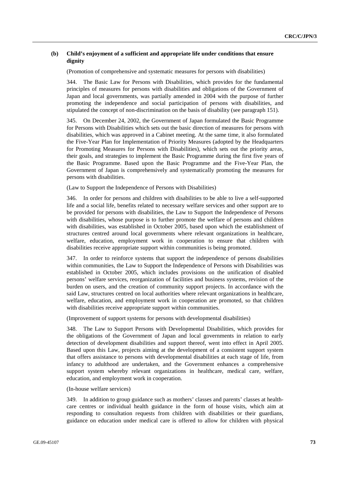## **(b) Child's enjoyment of a sufficient and appropriate life under conditions that ensure dignity**

(Promotion of comprehensive and systematic measures for persons with disabilities)

344. The Basic Law for Persons with Disabilities, which provides for the fundamental principles of measures for persons with disabilities and obligations of the Government of Japan and local governments, was partially amended in 2004 with the purpose of further promoting the independence and social participation of persons with disabilities, and stipulated the concept of non-discrimination on the basis of disability (see paragraph 151).

345. On December 24, 2002, the Government of Japan formulated the Basic Programme for Persons with Disabilities which sets out the basic direction of measures for persons with disabilities, which was approved in a Cabinet meeting. At the same time, it also formulated the Five-Year Plan for Implementation of Priority Measures (adopted by the Headquarters for Promoting Measures for Persons with Disabilities), which sets out the priority areas, their goals, and strategies to implement the Basic Programme during the first five years of the Basic Programme. Based upon the Basic Programme and the Five-Year Plan, the Government of Japan is comprehensively and systematically promoting the measures for persons with disabilities.

(Law to Support the Independence of Persons with Disabilities)

346. In order for persons and children with disabilities to be able to live a self-supported life and a social life, benefits related to necessary welfare services and other support are to be provided for persons with disabilities, the Law to Support the Independence of Persons with disabilities, whose purpose is to further promote the welfare of persons and children with disabilities, was established in October 2005, based upon which the establishment of structures centred around local governments where relevant organizations in healthcare, welfare, education, employment work in cooperation to ensure that children with disabilities receive appropriate support within communities is being promoted.

347. In order to reinforce systems that support the independence of persons disabilities within communities, the Law to Support the Independence of Persons with Disabilities was established in October 2005, which includes provisions on the unification of disabled persons' welfare services, reorganization of facilities and business systems, revision of the burden on users, and the creation of community support projects. In accordance with the said Law, structures centred on local authorities where relevant organizations in healthcare, welfare, education, and employment work in cooperation are promoted, so that children with disabilities receive appropriate support within communities.

(Improvement of support systems for persons with developmental disabilities)

348. The Law to Support Persons with Developmental Disabilities, which provides for the obligations of the Government of Japan and local governments in relation to early detection of development disabilities and support thereof, went into effect in April 2005. Based upon this Law, projects aiming at the development of a consistent support system that offers assistance to persons with developmental disabilities at each stage of life, from infancy to adulthood are undertaken, and the Government enhances a comprehensive support system whereby relevant organizations in healthcare, medical care, welfare, education, and employment work in cooperation.

(In-house welfare services)

349. In addition to group guidance such as mothers' classes and parents' classes at healthcare centres or individual health guidance in the form of house visits, which aim at responding to consultation requests from children with disabilities or their guardians, guidance on education under medical care is offered to allow for children with physical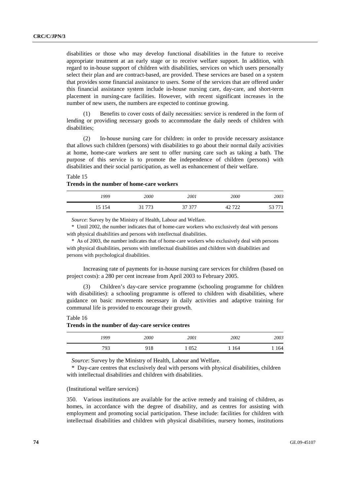disabilities or those who may develop functional disabilities in the future to receive appropriate treatment at an early stage or to receive welfare support. In addition, with regard to in-house support of children with disabilities, services on which users personally select their plan and are contract-based, are provided. These services are based on a system that provides some financial assistance to users. Some of the services that are offered under this financial assistance system include in-house nursing care, day-care, and short-term placement in nursing-care facilities. However, with recent significant increases in the number of new users, the numbers are expected to continue growing.

Benefits to cover costs of daily necessities: service is rendered in the form of lending or providing necessary goods to accommodate the daily needs of children with disabilities;

 (2) In-house nursing care for children: in order to provide necessary assistance that allows such children (persons) with disabilities to go about their normal daily activities at home, home-care workers are sent to offer nursing care such as taking a bath. The purpose of this service is to promote the independence of children (persons) with disabilities and their social participation, as well as enhancement of their welfare.

## Table 15 **Trends in the number of home-care workers**

| 1999   | 2000  | 2001   | 2000          | 2003   |
|--------|-------|--------|---------------|--------|
| 15 154 | 21772 | 37 377 | 700<br>≁<br>∼ | 53 771 |

*Source*: Survey by the Ministry of Health, Labour and Welfare.

\* Until 2002, the number indicates that of home-care workers who exclusively deal with persons with physical disabilities and persons with intellectual disabilities.

\* As of 2003, the number indicates that of home-care workers who exclusively deal with persons with physical disabilities, persons with intellectual disabilities and children with disabilities and persons with psychological disabilities.

 Increasing rate of payments for in-house nursing care services for children (based on project costs): a 280 per cent increase from April 2003 to February 2005.

 (3) Children's day-care service programme (schooling programme for children with disabilities): a schooling programme is offered to children with disabilities, where guidance on basic movements necessary in daily activities and adaptive training for communal life is provided to encourage their growth.

Table 16

#### **Trends in the number of day-care service centres**

| 1999 | 2000 | 2001 | 2002 | 2003 |
|------|------|------|------|------|
| 793  | 918  | 052  | 164  | 164  |

*Source*: Survey by the Ministry of Health, Labour and Welfare.

\* Day-care centres that exclusively deal with persons with physical disabilities, children with intellectual disabilities and children with disabilities.

#### (Institutional welfare services)

350. Various institutions are available for the active remedy and training of children, as homes, in accordance with the degree of disability, and as centres for assisting with employment and promoting social participation. These include: facilities for children with intellectual disabilities and children with physical disabilities, nursery homes, institutions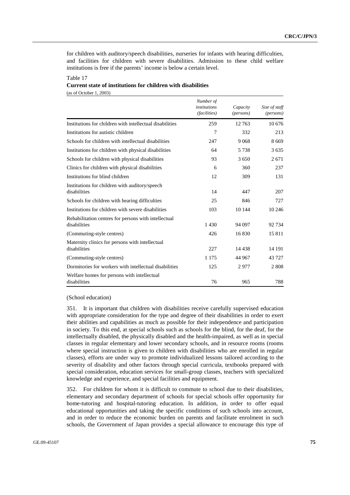for children with auditory/speech disabilities, nurseries for infants with hearing difficulties, and facilities for children with severe disabilities. Admission to these child welfare institutions is free if the parents' income is below a certain level.

## Table 17 **Current state of institutions for children with disabilities**

(as of October 1, 2003)

|                                                                      | Number of<br>institutions<br>(facilities) | Capacity<br>(persons) | Size of staff<br>(persons) |
|----------------------------------------------------------------------|-------------------------------------------|-----------------------|----------------------------|
| Institutions for children with intellectual disabilities             | 259                                       | 12 763                | 10.676                     |
| Institutions for autistic children                                   | 7                                         | 332                   | 213                        |
| Schools for children with intellectual disabilities                  | 247                                       | 9 0 6 8               | 8669                       |
| Institutions for children with physical disabilities                 | 64                                        | 5 7 3 8               | 3635                       |
| Schools for children with physical disabilities                      | 93                                        | 3650                  | 2671                       |
| Clinics for children with physical disabilities                      | 6                                         | 360                   | 237                        |
| Institutions for blind children                                      | 12                                        | 309                   | 131                        |
| Institutions for children with auditory/speech<br>disabilities       | 14                                        | 447                   | 207                        |
| Schools for children with hearing difficulties                       | 25                                        | 846                   | 727                        |
| Institutions for children with severe disabilities                   | 103                                       | 10 144                | 10 24 6                    |
| Rehabilitation centres for persons with intellectual<br>disabilities | 1430                                      | 94 097                | 92 734                     |
| (Commuting-style centres)                                            | 426                                       | 16830                 | 15811                      |
| Maternity clinics for persons with intellectual<br>disabilities      | 227                                       | 14 4 38               | 14 191                     |
| (Commuting-style centres)                                            | 1 1 7 5                                   | 44 967                | 43 7 27                    |
| Dormitories for workers with intellectual disabilities               | 125                                       | 2977                  | 2808                       |
| Welfare homes for persons with intellectual<br>disabilities          | 76                                        | 965                   | 788                        |

#### (School education)

351. It is important that children with disabilities receive carefully supervised education with appropriate consideration for the type and degree of their disabilities in order to exert their abilities and capabilities as much as possible for their independence and participation in society. To this end, at special schools such as schools for the blind, for the deaf, for the intellectually disabled, the physically disabled and the health-impaired, as well as in special classes in regular elementary and lower secondary schools, and in resource rooms (rooms where special instruction is given to children with disabilities who are enrolled in regular classes), efforts are under way to promote individualized lessons tailored according to the severity of disability and other factors through special curricula, textbooks prepared with special consideration, education services for small-group classes, teachers with specialized knowledge and experience, and special facilities and equipment.

352. For children for whom it is difficult to commute to school due to their disabilities, elementary and secondary department of schools for special schools offer opportunity for home-tutoring and hospital-tutoring education. In addition, in order to offer equal educational opportunities and taking the specific conditions of such schools into account, and in order to reduce the economic burden on parents and facilitate enrolment in such schools, the Government of Japan provides a special allowance to encourage this type of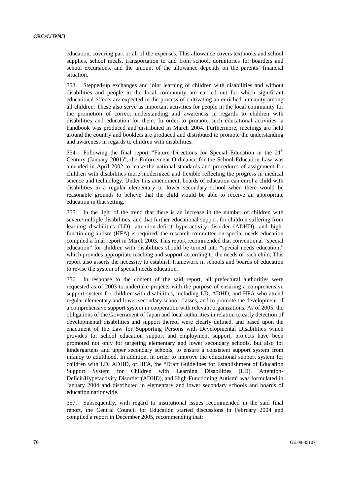education, covering part or all of the expenses. This allowance covers textbooks and school supplies, school meals, transportation to and from school, dormitories for boarders and school excursions, and the amount of the allowance depends on the parents' financial situation.

353. Stepped-up exchanges and joint learning of children with disabilities and without disabilities and people in the local community are carried out for which significant educational effects are expected in the process of cultivating an enriched humanity among all children. These also serve as important activities for people in the local community for the promotion of correct understanding and awareness in regards to children with disabilities and education for them. In order to promote such educational activities, a handbook was produced and distributed in March 2004. Furthermore, meetings are held around the country and booklets are produced and distributed to promote the understanding and awareness in regards to children with disabilities.

354. Following the final report "Future Directions for Special Education in the  $21<sup>st</sup>$ Century (January 2001)", the Enforcement Ordinance for the School Education Law was amended in April 2002 to make the national standards and procedures of assignment for children with disabilities more modernized and flexible reflecting the progress in medical science and technology. Under this amendment, boards of education can enrol a child with disabilities in a regular elementary or lower secondary school when there would be reasonable grounds to believe that the child would be able to receive an appropriate education in that setting.

355. In the light of the trend that there is an increase in the number of children with severe/multiple disabilities, and that further educational support for children suffering from learning disabilities (LD), attention-deficit hyperactivity disorder (ADHD), and highfunctioning autism (HFA) is required, the research committee on special needs education compiled a final report in March 2003. This report recommended that conventional "special education" for children with disabilities should be turned into "special needs education," which provides appropriate teaching and support according to the needs of each child. This report also asserts the necessity to establish framework in schools and boards of education to revise the system of special needs education.

356. In response to the content of the said report, all prefectural authorities were requested as of 2003 to undertake projects with the purpose of ensuring a comprehensive support system for children with disabilities, including LD, ADHD, and HFA who attend regular elementary and lower secondary school classes, and to promote the development of a comprehensive support system in cooperation with relevant organizations. As of 2005, the obligations of the Government of Japan and local authorities in relation to early detection of developmental disabilities and support thereof were clearly defined, and based upon the enactment of the Law for Supporting Persons with Developmental Disabilities which provides for school education support and employment support, projects have been promoted not only for targeting elementary and lower secondary schools, but also for kindergartens and upper secondary schools, to ensure a consistent support system from infancy to adulthood. In addition, in order to improve the educational support system for children with LD, ADHD, or HFA, the "Draft Guidelines for Establishment of Education Support System for Children with Learning Disabilities (LD), Attention-Deficit/Hyperactivity Disorder (ADHD), and High-Functioning Autism" was formulated in January 2004 and distributed in elementary and lower secondary schools and boards of education nationwide.

357. Subsequently, with regard to institutional issues recommended in the said final report, the Central Council for Education started discussions in February 2004 and compiled a report in December 2005, recommending that: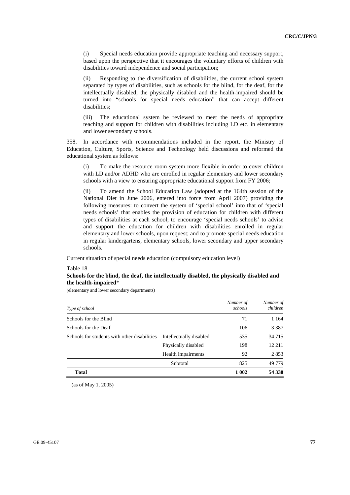(i) Special needs education provide appropriate teaching and necessary support, based upon the perspective that it encourages the voluntary efforts of children with disabilities toward independence and social participation;

(ii) Responding to the diversification of disabilities, the current school system separated by types of disabilities, such as schools for the blind, for the deaf, for the intellectually disabled, the physically disabled and the health-impaired should be turned into "schools for special needs education" that can accept different disabilities;

(iii) The educational system be reviewed to meet the needs of appropriate teaching and support for children with disabilities including LD etc. in elementary and lower secondary schools.

358. In accordance with recommendations included in the report, the Ministry of Education, Culture, Sports, Science and Technology held discussions and reformed the educational system as follows:

(i) To make the resource room system more flexible in order to cover children with LD and/or ADHD who are enrolled in regular elementary and lower secondary schools with a view to ensuring appropriate educational support from FY 2006;

(ii) To amend the School Education Law (adopted at the 164th session of the National Diet in June 2006, entered into force from April 2007) providing the following measures: to convert the system of 'special school' into that of 'special needs schools' that enables the provision of education for children with different types of disabilities at each school; to encourage 'special needs schools' to advise and support the education for children with disabilities enrolled in regular elementary and lower schools, upon request; and to promote special needs education in regular kindergartens, elementary schools, lower secondary and upper secondary schools.

Current situation of special needs education (compulsory education level)

Table 18

# **Schools for the blind, the deaf, the intellectually disabled, the physically disabled and the health-impaired**\*

(elementary and lower secondary departments)

| Type of school                               |                         | Number of<br>schools | Number of<br>children |
|----------------------------------------------|-------------------------|----------------------|-----------------------|
| Schools for the Blind                        |                         | 71                   | 1 1 6 4               |
| Schools for the Deaf                         |                         | 106                  | 3 3 8 7               |
| Schools for students with other disabilities | Intellectually disabled | 535                  | 34 7 15               |
|                                              | Physically disabled     | 198                  | 12 2 11               |
|                                              | Health impairments      | 92                   | 2853                  |
|                                              | Subtotal                | 825                  | 49 7 79               |
| <b>Total</b>                                 |                         | 1 002                | 54 330                |

(as of May 1, 2005)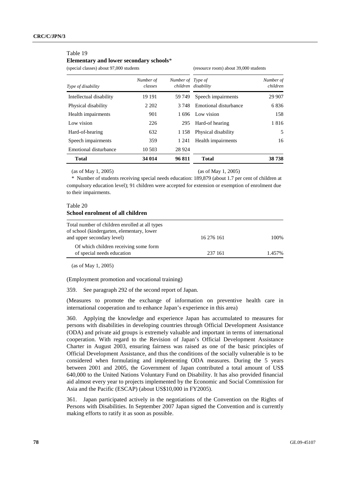#### Table 19

# **Elementary and lower secondary schools**\*

(special classes) about 97,000 students (resource room) about 39,000 students

| Type of disability      | Number of<br>classes | Number of Type of | children disability   | Number of<br>children |
|-------------------------|----------------------|-------------------|-----------------------|-----------------------|
| Intellectual disability | 19 19 1              | 59 749            | Speech impairments    | 29 907                |
| Physical disability     | 2 2 0 2              | 3.748             | Emotional disturbance | 6836                  |
| Health impairments      | 901                  | 1696              | Low vision            | 158                   |
| Low vision              | 226                  | 295               | Hard-of hearing       | 1816                  |
| Hard-of-hearing         | 632                  | 1 1 5 8           | Physical disability   | 5                     |
| Speech impairments      | 359                  | 1 24 1            | Health impairments    | 16                    |
| Emotional disturbance   | 10 503               | 28 9 24           |                       |                       |
| <b>Total</b>            | 34 014               | 96811             | <b>Total</b>          | 38 738                |

(as of May 1, 2005) (as of May 1, 2005)

\* Number of students receiving special needs education: 189,879 (about 1.7 per cent of children at compulsory education level); 91 children were accepted for extension or exemption of enrolment due to their impairments.

## Table 20 **School enrolment of all children**

| Total number of children enrolled at all types<br>of school (kindergarten, elementary, lower<br>and upper secondary level) | 16 276 161 | 100%   |
|----------------------------------------------------------------------------------------------------------------------------|------------|--------|
| Of which children receiving some form<br>of special needs education                                                        | 237 161    | 1.457% |

(as of May 1, 2005)

(Employment promotion and vocational training)

359. See paragraph 292 of the second report of Japan.

(Measures to promote the exchange of information on preventive health care in international cooperation and to enhance Japan's experience in this area)

360. Applying the knowledge and experience Japan has accumulated to measures for persons with disabilities in developing countries through Official Development Assistance (ODA) and private aid groups is extremely valuable and important in terms of international cooperation. With regard to the Revision of Japan's Official Development Assistance Charter in August 2003, ensuring fairness was raised as one of the basic principles of Official Development Assistance, and thus the conditions of the socially vulnerable is to be considered when formulating and implementing ODA measures. During the 5 years between 2001 and 2005, the Government of Japan contributed a total amount of US\$ 640,000 to the United Nations Voluntary Fund on Disability. It has also provided financial aid almost every year to projects implemented by the Economic and Social Commission for Asia and the Pacific (ESCAP) (about US\$10,000 in FY2005).

361. Japan participated actively in the negotiations of the Convention on the Rights of Persons with Disabilities. In September 2007 Japan signed the Convention and is currently making efforts to ratify it as soon as possible.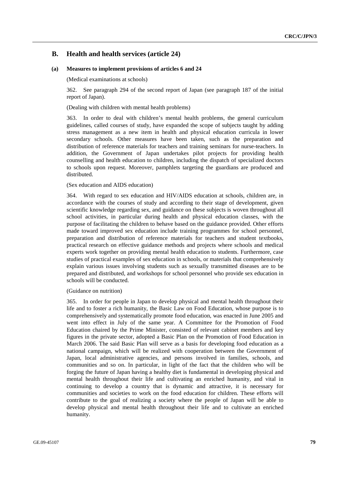# **B. Health and health services (article 24)**

#### **(a) Measures to implement provisions of articles 6 and 24**

(Medical examinations at schools)

362. See paragraph 294 of the second report of Japan (see paragraph 187 of the initial report of Japan).

(Dealing with children with mental health problems)

363. In order to deal with children's mental health problems, the general curriculum guidelines, called courses of study, have expanded the scope of subjects taught by adding stress management as a new item in health and physical education curricula in lower secondary schools. Other measures have been taken, such as the preparation and distribution of reference materials for teachers and training seminars for nurse-teachers. In addition, the Government of Japan undertakes pilot projects for providing health counselling and health education to children, including the dispatch of specialized doctors to schools upon request. Moreover, pamphlets targeting the guardians are produced and distributed.

#### (Sex education and AIDS education)

364. With regard to sex education and HIV/AIDS education at schools, children are, in accordance with the courses of study and according to their stage of development, given scientific knowledge regarding sex, and guidance on these subjects is woven throughout all school activities, in particular during health and physical education classes, with the purpose of facilitating the children to behave based on the guidance provided. Other efforts made toward improved sex education include training programmes for school personnel, preparation and distribution of reference materials for teachers and student textbooks, practical research on effective guidance methods and projects where schools and medical experts work together on providing mental health education to students. Furthermore, case studies of practical examples of sex education in schools, or materials that comprehensively explain various issues involving students such as sexually transmitted diseases are to be prepared and distributed, and workshops for school personnel who provide sex education in schools will be conducted.

#### (Guidance on nutrition)

365. In order for people in Japan to develop physical and mental health throughout their life and to foster a rich humanity, the Basic Law on Food Education, whose purpose is to comprehensively and systematically promote food education, was enacted in June 2005 and went into effect in July of the same year. A Committee for the Promotion of Food Education chaired by the Prime Minister, consisted of relevant cabinet members and key figures in the private sector, adopted a Basic Plan on the Promotion of Food Education in March 2006. The said Basic Plan will serve as a basis for developing food education as a national campaign, which will be realized with cooperation between the Government of Japan, local administrative agencies, and persons involved in families, schools, and communities and so on. In particular, in light of the fact that the children who will be forging the future of Japan having a healthy diet is fundamental in developing physical and mental health throughout their life and cultivating an enriched humanity, and vital in continuing to develop a country that is dynamic and attractive, it is necessary for communities and societies to work on the food education for children. These efforts will contribute to the goal of realizing a society where the people of Japan will be able to develop physical and mental health throughout their life and to cultivate an enriched humanity.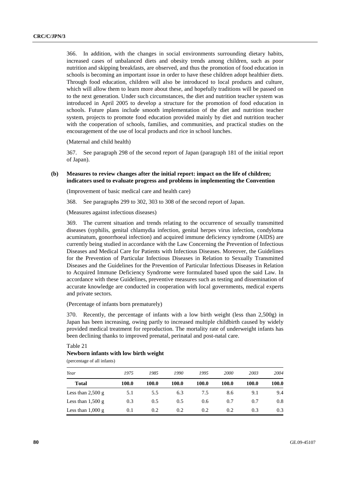366. In addition, with the changes in social environments surrounding dietary habits, increased cases of unbalanced diets and obesity trends among children, such as poor nutrition and skipping breakfasts, are observed, and thus the promotion of food education in schools is becoming an important issue in order to have these children adopt healthier diets. Through food education, children will also be introduced to local products and culture, which will allow them to learn more about these, and hopefully traditions will be passed on to the next generation. Under such circumstances, the diet and nutrition teacher system was introduced in April 2005 to develop a structure for the promotion of food education in schools. Future plans include smooth implementation of the diet and nutrition teacher system, projects to promote food education provided mainly by diet and nutrition teacher with the cooperation of schools, families, and communities, and practical studies on the encouragement of the use of local products and rice in school lunches.

(Maternal and child health)

367. See paragraph 298 of the second report of Japan (paragraph 181 of the initial report of Japan).

#### **(b) Measures to review changes after the initial report: impact on the life of children; indicators used to evaluate progress and problems in implementing the Convention**

(Improvement of basic medical care and health care)

368. See paragraphs 299 to 302, 303 to 308 of the second report of Japan.

(Measures against infectious diseases)

369. The current situation and trends relating to the occurrence of sexually transmitted diseases (syphilis, genital chlamydia infection, genital herpes virus infection, condyloma acuminatum, gonorrhoeal infection) and acquired immune deficiency syndrome (AIDS) are currently being studied in accordance with the Law Concerning the Prevention of Infectious Diseases and Medical Care for Patients with Infectious Diseases. Moreover, the Guidelines for the Prevention of Particular Infectious Diseases in Relation to Sexually Transmitted Diseases and the Guidelines for the Prevention of Particular Infectious Diseases in Relation to Acquired Immune Deficiency Syndrome were formulated based upon the said Law. In accordance with these Guidelines, preventive measures such as testing and dissemination of accurate knowledge are conducted in cooperation with local governments, medical experts and private sectors.

#### (Percentage of infants born prematurely)

370. Recently, the percentage of infants with a low birth weight (less than 2,500g) in Japan has been increasing, owing partly to increased multiple childbirth caused by widely provided medical treatment for reproduction. The mortality rate of underweight infants has been declining thanks to improved prenatal, perinatal and post-natal care.

# Table 21 **Newborn infants with low birth weight**

(percentage of all infants)

| Year                        | 1975  | 1985  | 1990  | 1995  | 2000  | 2003  | 2004  |
|-----------------------------|-------|-------|-------|-------|-------|-------|-------|
| <b>Total</b>                | 100.0 | 100.0 | 100.0 | 100.0 | 100.0 | 100.0 | 100.0 |
| Less than $2,500$ g         | 5.1   | 5.5   | 6.3   | 7.5   | 8.6   | 9.1   | 9.4   |
| Less than $1,500$ g         | 0.3   | 0.5   | 0.5   | 0.6   | 0.7   | 0.7   | 0.8   |
| Less than $1,000 \text{ g}$ | 0.1   | 0.2   | 0.2   | 0.2   | 0.2   | 0.3   | 0.3   |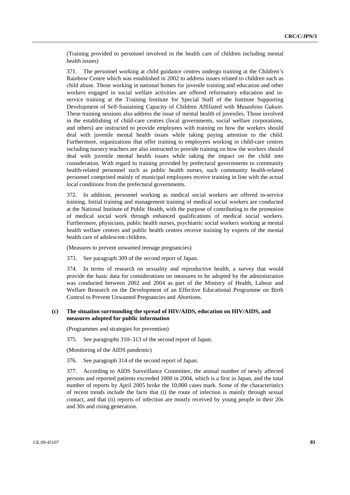(Training provided to personnel involved in the health care of children including mental health issues)

371. The personnel working at child guidance centres undergo training at the Children's Rainbow Centre which was established in 2002 to address issues related to children such as child abuse. Those working in national homes for juvenile training and education and other workers engaged in social welfare activities are offered reformatory education and inservice training at the Training Institute for Special Staff of the Institute Supporting Development of Self-Sustaining Capacity of Children Affiliated with *Musashino Gakuin*. These training sessions also address the issue of mental health of juveniles. Those involved in the establishing of child-care centres (local governments, social welfare corporations, and others) are instructed to provide employees with training on how the workers should deal with juvenile mental health issues while taking paying attention to the child. Furthermore, organizations that offer training to employees working in child-care centres including nursery teachers are also instructed to provide training on how the workers should deal with juvenile mental health issues while taking the impact on the child into consideration. With regard to training provided by prefectural governments to community health-related personnel such as public health nurses, such community health-related personnel comprised mainly of municipal employees receive training in line with the actual local conditions from the prefectural governments.

372. In addition, personnel working as medical social workers are offered in-service training. Initial training and management training of medical social workers are conducted at the National Institute of Public Health, with the purpose of contributing to the promotion of medical social work through enhanced qualifications of medical social workers. Furthermore, physicians, public health nurses, psychiatric social workers working at mental health welfare centres and public health centres receive training by experts of the mental health care of adolescent children.

(Measures to prevent unwanted teenage pregnancies)

373. See paragraph 309 of the second report of Japan.

374. In terms of research on sexuality and reproductive health, a survey that would provide the basic data for considerations on measures to be adopted by the administration was conducted between 2002 and 2004 as part of the Ministry of Health, Labour and Welfare Research on the Development of an Effective Educational Programme on Birth Control to Prevent Unwanted Pregnancies and Abortions.

#### **(c) The situation surrounding the spread of HIV/AIDS, education on HIV/AIDS, and measures adopted for public information**

(Programmes and strategies for prevention)

375. See paragraphs 310–313 of the second report of Japan.

(Monitoring of the AIDS pandemic)

376. See paragraph 314 of the second report of Japan.

377. According to AIDS Surveillance Committee, the annual number of newly affected persons and reported patients exceeded 1000 in 2004, which is a first in Japan, and the total number of reports by April 2005 broke the 10,000 cases mark. Some of the characteristics of recent trends include the facts that (i) the route of infection is mainly through sexual contact, and that (ii) reports of infection are mostly received by young people in their 20s and 30s and rising generation.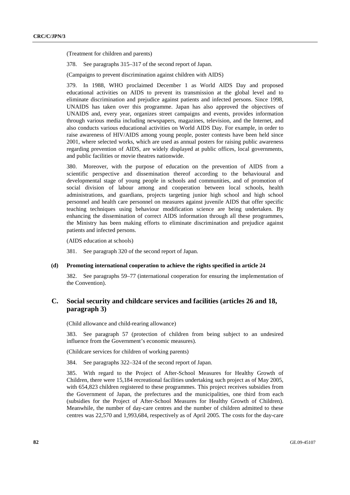(Treatment for children and parents)

378. See paragraphs 315–317 of the second report of Japan.

(Campaigns to prevent discrimination against children with AIDS)

379. In 1988, WHO proclaimed December 1 as World AIDS Day and proposed educational activities on AIDS to prevent its transmission at the global level and to eliminate discrimination and prejudice against patients and infected persons. Since 1998, UNAIDS has taken over this programme. Japan has also approved the objectives of UNAIDS and, every year, organizes street campaigns and events, provides information through various media including newspapers, magazines, television, and the Internet, and also conducts various educational activities on World AIDS Day. For example, in order to raise awareness of HIV/AIDS among young people, poster contests have been held since 2001, where selected works, which are used as annual posters for raising public awareness regarding prevention of AIDS, are widely displayed at public offices, local governments, and public facilities or movie theatres nationwide.

380. Moreover, with the purpose of education on the prevention of AIDS from a scientific perspective and dissemination thereof according to the behavioural and developmental stage of young people in schools and communities, and of promotion of social division of labour among and cooperation between local schools, health administrations, and guardians, projects targeting junior high school and high school personnel and health care personnel on measures against juvenile AIDS that offer specific teaching techniques using behaviour modification science are being undertaken. By enhancing the dissemination of correct AIDS information through all these programmes, the Ministry has been making efforts to eliminate discrimination and prejudice against patients and infected persons.

(AIDS education at schools)

381. See paragraph 320 of the second report of Japan.

#### **(d) Promoting international cooperation to achieve the rights specified in article 24**

382. See paragraphs 59–77 (international cooperation for ensuring the implementation of the Convention).

# **C. Social security and childcare services and facilities (articles 26 and 18, paragraph 3)**

(Child allowance and child-rearing allowance)

383. See paragraph 57 (protection of children from being subject to an undesired influence from the Government's economic measures).

(Childcare services for children of working parents)

384. See paragraphs 322–324 of the second report of Japan.

385. With regard to the Project of After-School Measures for Healthy Growth of Children, there were 15,184 recreational facilities undertaking such project as of May 2005, with 654,823 children registered to these programmes. This project receives subsidies from the Government of Japan, the prefectures and the municipalities, one third from each (subsidies for the Project of After-School Measures for Healthy Growth of Children). Meanwhile, the number of day-care centres and the number of children admitted to these centres was 22,570 and 1,993,684, respectively as of April 2005. The costs for the day-care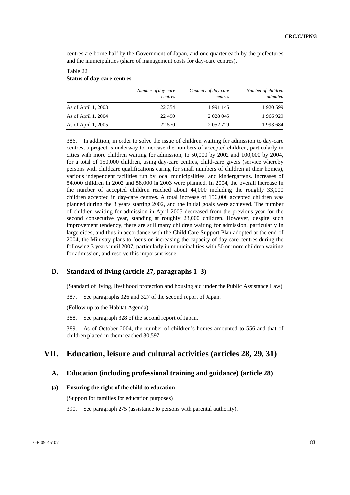centres are borne half by the Government of Japan, and one quarter each by the prefectures and the municipalities (share of management costs for day-care centres).

## Table 22 **Status of day-care centres**

|                     | Number of day-care<br>centres | Capacity of day-care<br>centres | Number of children<br>admitted |
|---------------------|-------------------------------|---------------------------------|--------------------------------|
| As of April 1, 2003 | 22 3 5 4                      | 1991145                         | 1920 599                       |
| As of April 1, 2004 | 22,490                        | 2 0 28 0 45                     | 1966929                        |
| As of April 1, 2005 | 22 570                        | 2 0 5 2 7 2 9                   | 1993 684                       |

386. In addition, in order to solve the issue of children waiting for admission to day-care centres, a project is underway to increase the numbers of accepted children, particularly in cities with more children waiting for admission, to 50,000 by 2002 and 100,000 by 2004, for a total of 150,000 children, using day-care centres, child-care givers (service whereby persons with childcare qualifications caring for small numbers of children at their homes), various independent facilities run by local municipalities, and kindergartens. Increases of 54,000 children in 2002 and 58,000 in 2003 were planned. In 2004, the overall increase in the number of accepted children reached about 44,000 including the roughly 33,000 children accepted in day-care centres. A total increase of 156,000 accepted children was planned during the 3 years starting 2002, and the initial goals were achieved. The number of children waiting for admission in April 2005 decreased from the previous year for the second consecutive year, standing at roughly 23,000 children. However, despite such improvement tendency, there are still many children waiting for admission, particularly in large cities, and thus in accordance with the Child Care Support Plan adopted at the end of 2004, the Ministry plans to focus on increasing the capacity of day-care centres during the following 3 years until 2007, particularly in municipalities with 50 or more children waiting for admission, and resolve this important issue.

# **D. Standard of living (article 27, paragraphs 1–3)**

(Standard of living, livelihood protection and housing aid under the Public Assistance Law)

387. See paragraphs 326 and 327 of the second report of Japan.

(Follow-up to the Habitat Agenda)

388. See paragraph 328 of the second report of Japan.

389. As of October 2004, the number of children's homes amounted to 556 and that of children placed in them reached 30,597.

# **VII. Education, leisure and cultural activities (articles 28, 29, 31)**

# **A. Education (including professional training and guidance) (article 28)**

#### **(a) Ensuring the right of the child to education**

(Support for families for education purposes)

390. See paragraph 275 (assistance to persons with parental authority).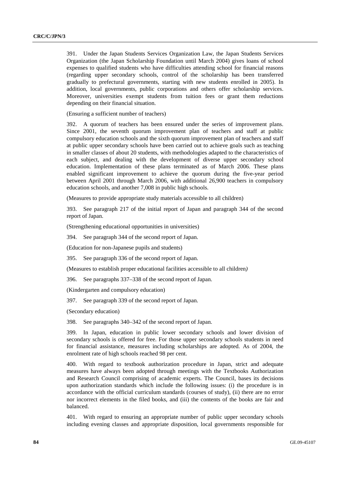391. Under the Japan Students Services Organization Law, the Japan Students Services Organization (the Japan Scholarship Foundation until March 2004) gives loans of school expenses to qualified students who have difficulties attending school for financial reasons (regarding upper secondary schools, control of the scholarship has been transferred gradually to prefectural governments, starting with new students enrolled in 2005). In addition, local governments, public corporations and others offer scholarship services. Moreover, universities exempt students from tuition fees or grant them reductions depending on their financial situation.

(Ensuring a sufficient number of teachers)

392. A quorum of teachers has been ensured under the series of improvement plans. Since 2001, the seventh quorum improvement plan of teachers and staff at public compulsory education schools and the sixth quorum improvement plan of teachers and staff at public upper secondary schools have been carried out to achieve goals such as teaching in smaller classes of about 20 students, with methodologies adapted to the characteristics of each subject, and dealing with the development of diverse upper secondary school education. Implementation of these plans terminated as of March 2006. These plans enabled significant improvement to achieve the quorum during the five-year period between April 2001 through March 2006, with additional 26,900 teachers in compulsory education schools, and another 7,008 in public high schools.

(Measures to provide appropriate study materials accessible to all children)

393. See paragraph 217 of the initial report of Japan and paragraph 344 of the second report of Japan.

(Strengthening educational opportunities in universities)

394. See paragraph 344 of the second report of Japan.

(Education for non-Japanese pupils and students)

395. See paragraph 336 of the second report of Japan.

(Measures to establish proper educational facilities accessible to all children*)* 

396. See paragraphs 337–338 of the second report of Japan.

(Kindergarten and compulsory education)

397. See paragraph 339 of the second report of Japan.

(Secondary education)

398. See paragraphs 340–342 of the second report of Japan.

399. In Japan, education in public lower secondary schools and lower division of secondary schools is offered for free. For those upper secondary schools students in need for financial assistance, measures including scholarships are adopted. As of 2004, the enrolment rate of high schools reached 98 per cent.

400. With regard to textbook authorization procedure in Japan, strict and adequate measures have always been adopted through meetings with the Textbooks Authorization and Research Council comprising of academic experts. The Council, bases its decisions upon authorization standards which include the following issues: (i) the procedure is in accordance with the official curriculum standards (courses of study), (ii) there are no error nor incorrect elements in the filed books, and (iii) the contents of the books are fair and balanced.

401. With regard to ensuring an appropriate number of public upper secondary schools including evening classes and appropriate disposition, local governments responsible for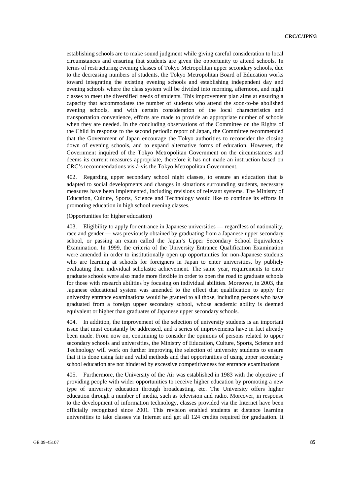establishing schools are to make sound judgment while giving careful consideration to local circumstances and ensuring that students are given the opportunity to attend schools. In terms of restructuring evening classes of Tokyo Metropolitan upper secondary schools, due to the decreasing numbers of students, the Tokyo Metropolitan Board of Education works toward integrating the existing evening schools and establishing independent day and evening schools where the class system will be divided into morning, afternoon, and night classes to meet the diversified needs of students. This improvement plan aims at ensuring a capacity that accommodates the number of students who attend the soon-to-be abolished evening schools, and with certain consideration of the local characteristics and transportation convenience, efforts are made to provide an appropriate number of schools when they are needed. In the concluding observations of the Committee on the Rights of the Child in response to the second periodic report of Japan, the Committee recommended that the Government of Japan encourage the Tokyo authorities to reconsider the closing down of evening schools, and to expand alternative forms of education. However, the Government inquired of the Tokyo Metropolitan Government on the circumstances and deems its current measures appropriate, therefore it has not made an instruction based on CRC's recommendations vis-à-vis the Tokyo Metropolitan Government.

402. Regarding upper secondary school night classes, to ensure an education that is adapted to social developments and changes in situations surrounding students, necessary measures have been implemented, including revisions of relevant systems. The Ministry of Education, Culture, Sports, Science and Technology would like to continue its efforts in promoting education in high school evening classes.

(Opportunities for higher education)

403. Eligibility to apply for entrance in Japanese universities — regardless of nationality, race and gender — was previously obtained by graduating from a Japanese upper secondary school, or passing an exam called the Japan's Upper Secondary School Equivalency Examination. In 1999, the criteria of the University Entrance Qualification Examination were amended in order to institutionally open up opportunities for non-Japanese students who are learning at schools for foreigners in Japan to enter universities, by publicly evaluating their individual scholastic achievement. The same year, requirements to enter graduate schools were also made more flexible in order to open the road to graduate schools for those with research abilities by focusing on individual abilities. Moreover, in 2003, the Japanese educational system was amended to the effect that qualification to apply for university entrance examinations would be granted to all those, including persons who have graduated from a foreign upper secondary school, whose academic ability is deemed equivalent or higher than graduates of Japanese upper secondary schools.

404. In addition, the improvement of the selection of university students is an important issue that must constantly be addressed, and a series of improvements have in fact already been made. From now on, continuing to consider the opinions of persons related to upper secondary schools and universities, the Ministry of Education, Culture, Sports, Science and Technology will work on further improving the selection of university students to ensure that it is done using fair and valid methods and that opportunities of using upper secondary school education are not hindered by excessive competitiveness for entrance examinations.

405. Furthermore, the University of the Air was established in 1983 with the objective of providing people with wider opportunities to receive higher education by promoting a new type of university education through broadcasting, etc. The University offers higher education through a number of media, such as television and radio. Moreover, in response to the development of information technology, classes provided via the Internet have been officially recognized since 2001. This revision enabled students at distance learning universities to take classes via Internet and get all 124 credits required for graduation. It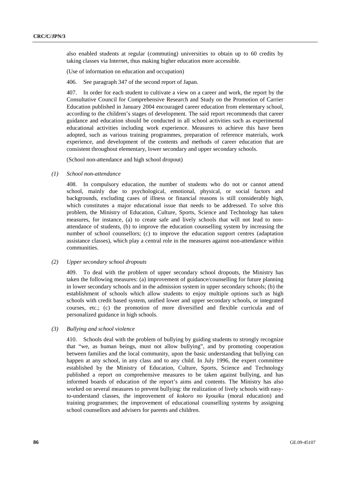also enabled students at regular (commuting) universities to obtain up to 60 credits by taking classes via Internet, thus making higher education more accessible.

(Use of information on education and occupation)

406. See paragraph 347 of the second report of Japan.

407. In order for each student to cultivate a view on a career and work, the report by the Consultative Council for Comprehensive Research and Study on the Promotion of Carrier Education published in January 2004 encouraged career education from elementary school, according to the children's stages of development. The said report recommends that career guidance and education should be conducted in all school activities such as experimental educational activities including work experience. Measures to achieve this have been adopted, such as various training programmes, preparation of reference materials, work experience, and development of the contents and methods of career education that are consistent throughout elementary, lower secondary and upper secondary schools.

(School non-attendance and high school dropout)

 *(1) School non-attendance* 

408. In compulsory education, the number of students who do not or cannot attend school, mainly due to psychological, emotional, physical, or social factors and backgrounds, excluding cases of illness or financial reasons is still considerably high, which constitutes a major educational issue that needs to be addressed. To solve this problem, the Ministry of Education, Culture, Sports, Science and Technology has taken measures, for instance, (a) to create safe and lively schools that will not lead to nonattendance of students, (b) to improve the education counselling system by increasing the number of school counsellors; (c) to improve the education support centres (adaptation assistance classes), which play a central role in the measures against non-attendance within communities.

#### *(2) Upper secondary school dropouts*

409. To deal with the problem of upper secondary school dropouts, the Ministry has taken the following measures: (a) improvement of guidance/counselling for future planning in lower secondary schools and in the admission system in upper secondary schools; (b) the establishment of schools which allow students to enjoy multiple options such as high schools with credit based system, unified lower and upper secondary schools, or integrated courses, etc.; (c) the promotion of more diversified and flexible curricula and of personalized guidance in high schools.

#### *(3) Bullying and school violence*

410. Schools deal with the problem of bullying by guiding students to strongly recognize that "we, as human beings, must not allow bullying", and by promoting cooperation between families and the local community, upon the basic understanding that bullying can happen at any school, in any class and to any child. In July 1996, the expert committee established by the Ministry of Education, Culture, Sports, Science and Technology published a report on comprehensive measures to be taken against bullying, and has informed boards of education of the report's aims and contents. The Ministry has also worked on several measures to prevent bullying: the realization of lively schools with easyto-understand classes, the improvement of *kokoro no kyouiku* (moral education) and training programmes; the improvement of educational counselling systems by assigning school counsellors and advisers for parents and children.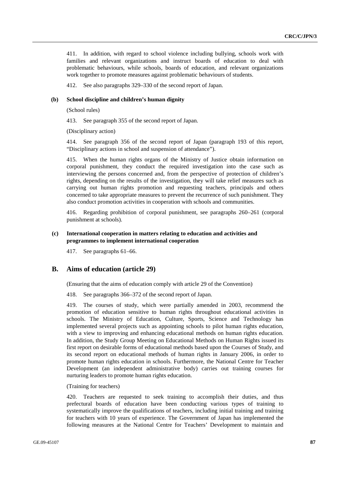411. In addition, with regard to school violence including bullying, schools work with families and relevant organizations and instruct boards of education to deal with problematic behaviours, while schools, boards of education, and relevant organizations work together to promote measures against problematic behaviours of students.

412. See also paragraphs 329–330 of the second report of Japan.

#### **(b) School discipline and children's human dignity**

(School rules)

413. See paragraph 355 of the second report of Japan.

(Disciplinary action)

414. See paragraph 356 of the second report of Japan (paragraph 193 of this report, "Disciplinary actions in school and suspension of attendance").

415. When the human rights organs of the Ministry of Justice obtain information on corporal punishment, they conduct the required investigation into the case such as interviewing the persons concerned and, from the perspective of protection of children's rights, depending on the results of the investigation, they will take relief measures such as carrying out human rights promotion and requesting teachers, principals and others concerned to take appropriate measures to prevent the recurrence of such punishment. They also conduct promotion activities in cooperation with schools and communities.

416. Regarding prohibition of corporal punishment, see paragraphs 260–261 (corporal punishment at schools).

#### **(c) International cooperation in matters relating to education and activities and programmes to implement international cooperation**

417. See paragraphs 61–66.

# **B. Aims of education (article 29)**

(Ensuring that the aims of education comply with article 29 of the Convention)

418. See paragraphs 366–372 of the second report of Japan.

419. The courses of study, which were partially amended in 2003, recommend the promotion of education sensitive to human rights throughout educational activities in schools. The Ministry of Education, Culture, Sports, Science and Technology has implemented several projects such as appointing schools to pilot human rights education, with a view to improving and enhancing educational methods on human rights education. In addition, the Study Group Meeting on Educational Methods on Human Rights issued its first report on desirable forms of educational methods based upon the Courses of Study, and its second report on educational methods of human rights in January 2006, in order to promote human rights education in schools. Furthermore, the National Centre for Teacher Development (an independent administrative body) carries out training courses for nurturing leaders to promote human rights education.

#### (Training for teachers)

420. Teachers are requested to seek training to accomplish their duties, and thus prefectural boards of education have been conducting various types of training to systematically improve the qualifications of teachers, including initial training and training for teachers with 10 years of experience. The Government of Japan has implemented the following measures at the National Centre for Teachers' Development to maintain and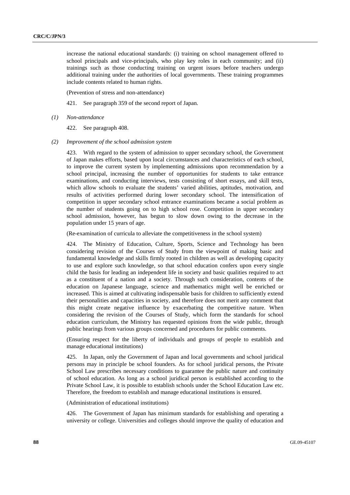increase the national educational standards: (i) training on school management offered to school principals and vice-principals, who play key roles in each community; and (ii) trainings such as those conducting training on urgent issues before teachers undergo additional training under the authorities of local governments. These training programmes include contents related to human rights.

(Prevention of stress and non-attendance)

421. See paragraph 359 of the second report of Japan.

 *(1) Non-attendance* 

422. See paragraph 408.

 *(2) Improvement of the school admission system* 

423. With regard to the system of admission to upper secondary school, the Government of Japan makes efforts, based upon local circumstances and characteristics of each school, to improve the current system by implementing admissions upon recommendation by a school principal, increasing the number of opportunities for students to take entrance examinations, and conducting interviews, tests consisting of short essays, and skill tests, which allow schools to evaluate the students' varied abilities, aptitudes, motivation, and results of activities performed during lower secondary school. The intensification of competition in upper secondary school entrance examinations became a social problem as the number of students going on to high school rose. Competition in upper secondary school admission, however, has begun to slow down owing to the decrease in the population under 15 years of age.

(Re-examination of curricula to alleviate the competitiveness in the school system)

424. The Ministry of Education, Culture, Sports, Science and Technology has been considering revision of the Courses of Study from the viewpoint of making basic and fundamental knowledge and skills firmly rooted in children as well as developing capacity to use and explore such knowledge, so that school education confers upon every single child the basis for leading an independent life in society and basic qualities required to act as a constituent of a nation and a society. Through such consideration, contents of the education on Japanese language, science and mathematics might well be enriched or increased. This is aimed at cultivating indispensable basis for children to sufficiently extend their personalities and capacities in society, and therefore does not merit any comment that this might create negative influence by exacerbating the competitive nature. When considering the revision of the Courses of Study, which form the standards for school education curriculum, the Ministry has requested opinions from the wide public, through public hearings from various groups concerned and procedures for public comments.

(Ensuring respect for the liberty of individuals and groups of people to establish and manage educational institutions)

425. In Japan, only the Government of Japan and local governments and school juridical persons may in principle be school founders. As for school juridical persons, the Private School Law prescribes necessary conditions to guarantee the public nature and continuity of school education. As long as a school juridical person is established according to the Private School Law, it is possible to establish schools under the School Education Law etc. Therefore, the freedom to establish and manage educational institutions is ensured.

(Administration of educational institutions)

426. The Government of Japan has minimum standards for establishing and operating a university or college. Universities and colleges should improve the quality of education and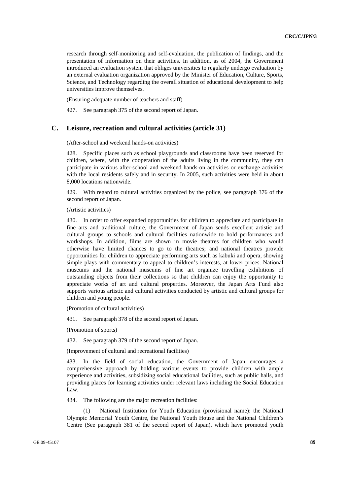research through self-monitoring and self-evaluation, the publication of findings, and the presentation of information on their activities. In addition, as of 2004, the Government introduced an evaluation system that obliges universities to regularly undergo evaluation by an external evaluation organization approved by the Minister of Education, Culture, Sports, Science, and Technology regarding the overall situation of educational development to help universities improve themselves.

(Ensuring adequate number of teachers and staff)

427. See paragraph 375 of the second report of Japan.

# **C. Leisure, recreation and cultural activities (article 31)**

(After-school and weekend hands-on activities)

428. Specific places such as school playgrounds and classrooms have been reserved for children, where, with the cooperation of the adults living in the community, they can participate in various after-school and weekend hands-on activities or exchange activities with the local residents safely and in security. In 2005, such activities were held in about 8,000 locations nationwide.

429. With regard to cultural activities organized by the police, see paragraph 376 of the second report of Japan.

(Artistic activities)

430. In order to offer expanded opportunities for children to appreciate and participate in fine arts and traditional culture, the Government of Japan sends excellent artistic and cultural groups to schools and cultural facilities nationwide to hold performances and workshops. In addition, films are shown in movie theatres for children who would otherwise have limited chances to go to the theatres; and national theatres provide opportunities for children to appreciate performing arts such as kabuki and opera, showing simple plays with commentary to appeal to children's interests, at lower prices. National museums and the national museums of fine art organize travelling exhibitions of outstanding objects from their collections so that children can enjoy the opportunity to appreciate works of art and cultural properties. Moreover, the Japan Arts Fund also supports various artistic and cultural activities conducted by artistic and cultural groups for children and young people.

(Promotion of cultural activities)

431. See paragraph 378 of the second report of Japan.

(Promotion of sports)

432. See paragraph 379 of the second report of Japan.

(Improvement of cultural and recreational facilities)

433. In the field of social education, the Government of Japan encourages a comprehensive approach by holding various events to provide children with ample experience and activities, subsidizing social educational facilities, such as public halls, and providing places for learning activities under relevant laws including the Social Education Law.

434. The following are the major recreation facilities:

 (1) National Institution for Youth Education (provisional name): the National Olympic Memorial Youth Centre, the National Youth House and the National Children's Centre (See paragraph 381 of the second report of Japan), which have promoted youth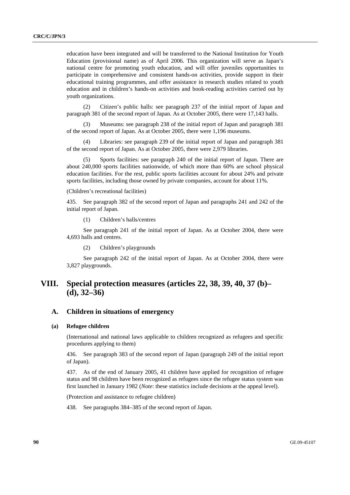education have been integrated and will be transferred to the National Institution for Youth Education (provisional name) as of April 2006. This organization will serve as Japan's national centre for promoting youth education, and will offer juveniles opportunities to participate in comprehensive and consistent hands-on activities, provide support in their educational training programmes, and offer assistance in research studies related to youth education and in children's hands-on activities and book-reading activities carried out by youth organizations.

 (2) Citizen's public halls: see paragraph 237 of the initial report of Japan and paragraph 381 of the second report of Japan. As at October 2005, there were 17,143 halls.

 (3) Museums: see paragraph 238 of the initial report of Japan and paragraph 381 of the second report of Japan. As at October 2005, there were 1,196 museums.

Libraries: see paragraph 239 of the initial report of Japan and paragraph 381 of the second report of Japan. As at October 2005, there were 2,979 libraries.

 (5) Sports facilities: see paragraph 240 of the initial report of Japan. There are about 240,000 sports facilities nationwide, of which more than 60% are school physical education facilities. For the rest, public sports facilities account for about 24% and private sports facilities, including those owned by private companies, account for about 11%.

(Children's recreational facilities)

435. See paragraph 382 of the second report of Japan and paragraphs 241 and 242 of the initial report of Japan.

(1) Children's halls/centres

 See paragraph 241 of the initial report of Japan. As at October 2004, there were 4,693 halls and centres.

(2) Children's playgrounds

 See paragraph 242 of the initial report of Japan. As at October 2004, there were 3,827 playgrounds.

# **VIII. Special protection measures (articles 22, 38, 39, 40, 37 (b)– (d), 32–36)**

# **A. Children in situations of emergency**

#### **(a) Refugee children**

(International and national laws applicable to children recognized as refugees and specific procedures applying to them)

436. See paragraph 383 of the second report of Japan (paragraph 249 of the initial report of Japan).

437. As of the end of January 2005, 41 children have applied for recognition of refugee status and 98 children have been recognized as refugees since the refugee status system was first launched in January 1982 (*Note*: these statistics include decisions at the appeal level).

(Protection and assistance to refugee children)

438. See paragraphs 384–385 of the second report of Japan.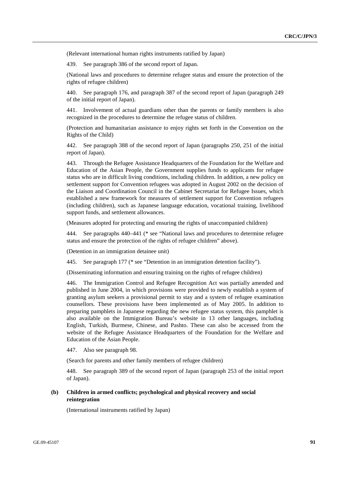(Relevant international human rights instruments ratified by Japan)

439. See paragraph 386 of the second report of Japan.

(National laws and procedures to determine refugee status and ensure the protection of the rights of refugee children)

440. See paragraph 176, and paragraph 387 of the second report of Japan (paragraph 249 of the initial report of Japan).

441. Involvement of actual guardians other than the parents or family members is also recognized in the procedures to determine the refugee status of children.

(Protection and humanitarian assistance to enjoy rights set forth in the Convention on the Rights of the Child)

442. See paragraph 388 of the second report of Japan (paragraphs 250, 251 of the initial report of Japan).

443. Through the Refugee Assistance Headquarters of the Foundation for the Welfare and Education of the Asian People, the Government supplies funds to applicants for refugee status who are in difficult living conditions, including children. In addition, a new policy on settlement support for Convention refugees was adopted in August 2002 on the decision of the Liaison and Coordination Council in the Cabinet Secretariat for Refugee Issues, which established a new framework for measures of settlement support for Convention refugees (including children), such as Japanese language education, vocational training, livelihood support funds, and settlement allowances.

(Measures adopted for protecting and ensuring the rights of unaccompanied children)

444. See paragraphs 440–441 (\* see "National laws and procedures to determine refugee status and ensure the protection of the rights of refugee children" above).

(Detention in an immigration detainee unit)

445. See paragraph 177 (\* see "Detention in an immigration detention facility").

(Disseminating information and ensuring training on the rights of refugee children)

446. The Immigration Control and Refugee Recognition Act was partially amended and published in June 2004, in which provisions were provided to newly establish a system of granting asylum seekers a provisional permit to stay and a system of refugee examination counsellors. These provisions have been implemented as of May 2005. In addition to preparing pamphlets in Japanese regarding the new refugee status system, this pamphlet is also available on the Immigration Bureau's website in 13 other languages, including English, Turkish, Burmese, Chinese, and Pashto. These can also be accessed from the website of the Refugee Assistance Headquarters of the Foundation for the Welfare and Education of the Asian People.

447. Also see paragraph 98.

(Search for parents and other family members of refugee children)

448. See paragraph 389 of the second report of Japan (paragraph 253 of the initial report of Japan).

## **(b) Children in armed conflicts; psychological and physical recovery and social reintegration**

(International instruments ratified by Japan)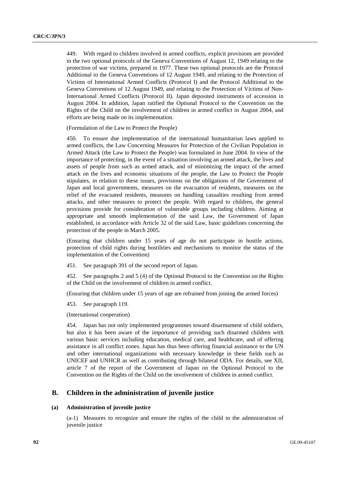449. With regard to children involved in armed conflicts, explicit provisions are provided in the two optional protocols of the Geneva Conventions of August 12, 1949 relating to the protection of war victims, prepared in 1977. These two optional protocols are the Protocol Additional to the Geneva Conventions of 12 August 1949, and relating to the Protection of Victims of International Armed Conflicts (Protocol I) and the Protocol Additional to the Geneva Conventions of 12 August 1949, and relating to the Protection of Victims of Non-International Armed Conflicts (Protocol II). Japan deposited instruments of accession in August 2004. In addition, Japan ratified the Optional Protocol to the Convention on the Rights of the Child on the involvement of children in armed conflict in August 2004, and efforts are being made on its implementation.

(Formulation of the Law to Protect the People)

450. To ensure due implementation of the international humanitarian laws applied to armed conflicts, the Law Concerning Measures for Protection of the Civilian Population in Armed Attack (the Law to Protect the People) was formulated in June 2004. In view of the importance of protecting, in the event of a situation involving an armed attack, the lives and assets of people from such as armed attack, and of minimizing the impact of the armed attack on the lives and economic situations of the people, the Law to Protect the People stipulates, in relation to these issues, provisions on the obligations of the Government of Japan and local governments, measures on the evacuation of residents, measures on the relief of the evacuated residents, measures on handling casualties resulting from armed attacks, and other measures to protect the people. With regard to children, the general provisions provide for consideration of vulnerable groups including children. Aiming at appropriate and smooth implementation of the said Law, the Government of Japan established, in accordance with Article 32 of the said Law, basic guidelines concerning the protection of the people in March 2005.

(Ensuring that children under 15 years of age do not participate in hostile actions, protection of child rights during hostilities and mechanisms to monitor the status of the implementation of the Convention)

451. See paragraph 391 of the second report of Japan.

452. See paragraphs 2 and 5 (4) of the Optional Protocol to the Convention on the Rights of the Child on the involvement of children in armed conflict.

(Ensuring that children under 15 years of age are refrained from joining the armed forces)

453. See paragraph 119.

(International cooperation)

454. Japan has not only implemented programmes toward disarmament of child soldiers, but also it has been aware of the importance of providing such disarmed children with various basic services including education, medical care, and healthcare, and of offering assistance in all conflict zones. Japan has thus been offering financial assistance to the UN and other international organizations with necessary knowledge in these fields such as UNICEF and UNHCR as well as contributing through bilateral ODA. For details, see XII, article 7 of the report of the Government of Japan on the Optional Protocol to the Convention on the Rights of the Child on the involvement of children in armed conflict.

## **B. Children in the administration of juvenile justice**

#### **(a) Administration of juvenile justice**

(a-1) Measures to recognize and ensure the rights of the child in the administration of juvenile justice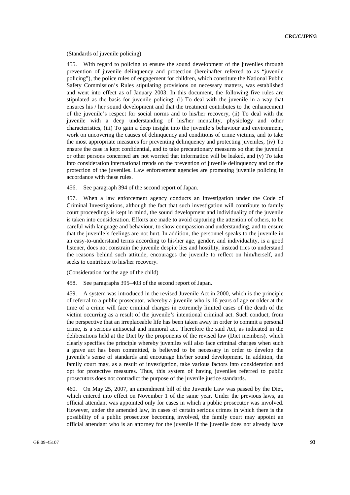(Standards of juvenile policing)

455. With regard to policing to ensure the sound development of the juveniles through prevention of juvenile delinquency and protection (hereinafter referred to as "juvenile policing"), the police rules of engagement for children, which constitute the National Public Safety Commission's Rules stipulating provisions on necessary matters, was established and went into effect as of January 2003. In this document, the following five rules are stipulated as the basis for juvenile policing: (i) To deal with the juvenile in a way that ensures his / her sound development and that the treatment contributes to the enhancement of the juvenile's respect for social norms and to his/her recovery, (ii) To deal with the juvenile with a deep understanding of his/her mentality, physiology and other characteristics, (iii) To gain a deep insight into the juvenile's behaviour and environment, work on uncovering the causes of delinquency and conditions of crime victims, and to take the most appropriate measures for preventing delinquency and protecting juveniles, (iv) To ensure the case is kept confidential, and to take precautionary measures so that the juvenile or other persons concerned are not worried that information will be leaked, and (v) To take into consideration international trends on the prevention of juvenile delinquency and on the protection of the juveniles. Law enforcement agencies are promoting juvenile policing in accordance with these rules.

456. See paragraph 394 of the second report of Japan.

457. When a law enforcement agency conducts an investigation under the Code of Criminal Investigations, although the fact that such investigation will contribute to family court proceedings is kept in mind, the sound development and individuality of the juvenile is taken into consideration. Efforts are made to avoid capturing the attention of others, to be careful with language and behaviour, to show compassion and understanding, and to ensure that the juvenile's feelings are not hurt. In addition, the personnel speaks to the juvenile in an easy-to-understand terms according to his/her age, gender, and individuality, is a good listener, does not constrain the juvenile despite lies and hostility, instead tries to understand the reasons behind such attitude, encourages the juvenile to reflect on him/herself, and seeks to contribute to his/her recovery.

(Consideration for the age of the child)

458. See paragraphs 395–403 of the second report of Japan.

459. A system was introduced in the revised Juvenile Act in 2000, which is the principle of referral to a public prosecutor, whereby a juvenile who is 16 years of age or older at the time of a crime will face criminal charges in extremely limited cases of the death of the victim occurring as a result of the juvenile's intentional criminal act. Such conduct, from the perspective that an irreplaceable life has been taken away in order to commit a personal crime, is a serious antisocial and immoral act. Therefore the said Act, as indicated in the deliberations held at the Diet by the proponents of the revised law (Diet members), which clearly specifies the principle whereby juveniles will also face criminal charges when such a grave act has been committed, is believed to be necessary in order to develop the juvenile's sense of standards and encourage his/her sound development. In addition, the family court may, as a result of investigation, take various factors into consideration and opt for protective measures. Thus, this system of having juveniles referred to public prosecutors does not contradict the purpose of the juvenile justice standards.

460. On May 25, 2007, an amendment bill of the Juvenile Law was passed by the Diet, which entered into effect on November 1 of the same year. Under the previous laws, an official attendant was appointed only for cases in which a public prosecutor was involved. However, under the amended law, in cases of certain serious crimes in which there is the possibility of a public prosecutor becoming involved, the family court may appoint an official attendant who is an attorney for the juvenile if the juvenile does not already have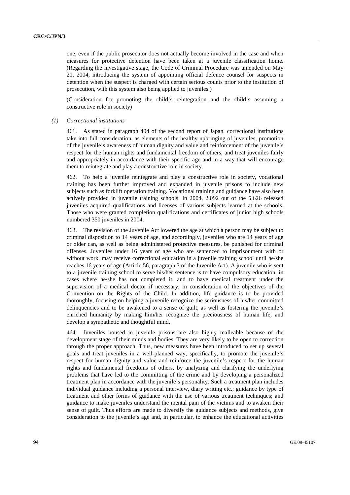one, even if the public prosecutor does not actually become involved in the case and when measures for protective detention have been taken at a juvenile classification home. (Regarding the investigative stage, the Code of Criminal Procedure was amended on May 21, 2004, introducing the system of appointing official defence counsel for suspects in detention when the suspect is charged with certain serious counts prior to the institution of prosecution, with this system also being applied to juveniles.)

(Consideration for promoting the child's reintegration and the child's assuming a constructive role in society)

 *(1) Correctional institutions* 

461. As stated in paragraph 404 of the second report of Japan, correctional institutions take into full consideration, as elements of the healthy upbringing of juveniles, promotion of the juvenile's awareness of human dignity and value and reinforcement of the juvenile's respect for the human rights and fundamental freedom of others, and treat juveniles fairly and appropriately in accordance with their specific age and in a way that will encourage them to reintegrate and play a constructive role in society.

462. To help a juvenile reintegrate and play a constructive role in society, vocational training has been further improved and expanded in juvenile prisons to include new subjects such as forklift operation training. Vocational training and guidance have also been actively provided in juvenile training schools. In 2004, 2,092 out of the 5,626 released juveniles acquired qualifications and licenses of various subjects learned at the schools. Those who were granted completion qualifications and certificates of junior high schools numbered 350 juveniles in 2004.

463. The revision of the Juvenile Act lowered the age at which a person may be subject to criminal disposition to 14 years of age, and accordingly, juveniles who are 14 years of age or older can, as well as being administered protective measures, be punished for criminal offenses. Juveniles under 16 years of age who are sentenced to imprisonment with or without work, may receive correctional education in a juvenile training school until he/she reaches 16 years of age (Article 56, paragraph 3 of the Juvenile Act). A juvenile who is sent to a juvenile training school to serve his/her sentence is to have compulsory education, in cases where he/she has not completed it, and to have medical treatment under the supervision of a medical doctor if necessary, in consideration of the objectives of the Convention on the Rights of the Child. In addition, life guidance is to be provided thoroughly, focusing on helping a juvenile recognize the seriousness of his/her committed delinquencies and to be awakened to a sense of guilt, as well as fostering the juvenile's enriched humanity by making him/her recognize the preciousness of human life, and develop a sympathetic and thoughtful mind.

464. Juveniles housed in juvenile prisons are also highly malleable because of the development stage of their minds and bodies. They are very likely to be open to correction through the proper approach. Thus, new measures have been introduced to set up several goals and treat juveniles in a well-planned way, specifically, to promote the juvenile's respect for human dignity and value and reinforce the juvenile's respect for the human rights and fundamental freedoms of others, by analyzing and clarifying the underlying problems that have led to the committing of the crime and by developing a personalized treatment plan in accordance with the juvenile's personality. Such a treatment plan includes individual guidance including a personal interview, diary writing etc.; guidance by type of treatment and other forms of guidance with the use of various treatment techniques; and guidance to make juveniles understand the mental pain of the victims and to awaken their sense of guilt. Thus efforts are made to diversify the guidance subjects and methods, give consideration to the juvenile's age and, in particular, to enhance the educational activities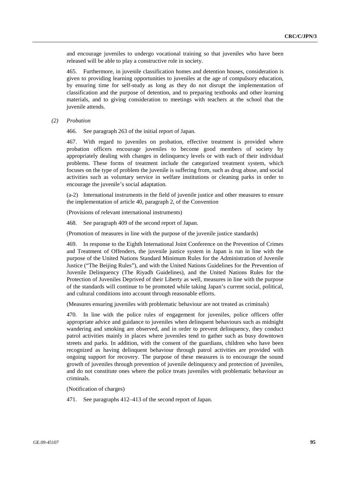and encourage juveniles to undergo vocational training so that juveniles who have been released will be able to play a constructive role in society.

465. Furthermore, in juvenile classification homes and detention houses, consideration is given to providing learning opportunities to juveniles at the age of compulsory education, by ensuring time for self-study as long as they do not disrupt the implementation of classification and the purpose of detention, and to preparing textbooks and other learning materials, and to giving consideration to meetings with teachers at the school that the juvenile attends.

 *(2) Probation* 

466. See paragraph 263 of the initial report of Japan.

467. With regard to juveniles on probation, effective treatment is provided where probation officers encourage juveniles to become good members of society by appropriately dealing with changes in delinquency levels or with each of their individual problems. These forms of treatment include the categorized treatment system, which focuses on the type of problem the juvenile is suffering from, such as drug abuse, and social activities such as voluntary service in welfare institutions or cleaning parks in order to encourage the juvenile's social adaptation.

(a-2) International instruments in the field of juvenile justice and other measures to ensure the implementation of article 40, paragraph 2, of the Convention

(Provisions of relevant international instruments)

468. See paragraph 409 of the second report of Japan.

(Promotion of measures in line with the purpose of the juvenile justice standards)

469. In response to the Eighth International Joint Conference on the Prevention of Crimes and Treatment of Offenders, the juvenile justice system in Japan is run in line with the purpose of the United Nations Standard Minimum Rules for the Administration of Juvenile Justice ("The Beijing Rules"), and with the United Nations Guidelines for the Prevention of Juvenile Delinquency (The Riyadh Guidelines), and the United Nations Rules for the Protection of Juveniles Deprived of their Liberty as well, measures in line with the purpose of the standards will continue to be promoted while taking Japan's current social, political, and cultural conditions into account through reasonable efforts.

(Measures ensuring juveniles with problematic behaviour are not treated as criminals)

470. In line with the police rules of engagement for juveniles, police officers offer appropriate advice and guidance to juveniles when delinquent behaviours such as midnight wandering and smoking are observed, and in order to prevent delinquency, they conduct patrol activities mainly in places where juveniles tend to gather such as busy downtown streets and parks. In addition, with the consent of the guardians, children who have been recognized as having delinquent behaviour through patrol activities are provided with ongoing support for recovery. The purpose of these measures is to encourage the sound growth of juveniles through prevention of juvenile delinquency and protection of juveniles, and do not constitute ones where the police treats juveniles with problematic behaviour as criminals.

(Notification of charges)

471. See paragraphs 412–413 of the second report of Japan.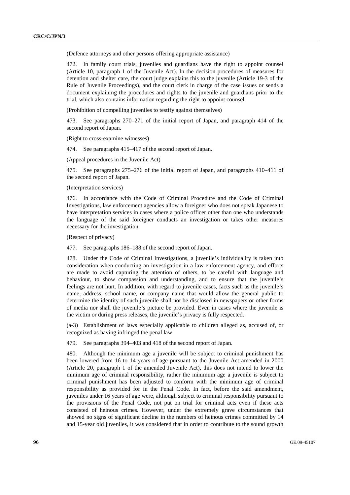(Defence attorneys and other persons offering appropriate assistance)

472. In family court trials, juveniles and guardians have the right to appoint counsel (Article 10, paragraph 1 of the Juvenile Act). In the decision procedures of measures for detention and shelter care, the court judge explains this to the juvenile (Article 19-3 of the Rule of Juvenile Proceedings), and the court clerk in charge of the case issues or sends a document explaining the procedures and rights to the juvenile and guardians prior to the trial, which also contains information regarding the right to appoint counsel.

(Prohibition of compelling juveniles to testify against themselves)

473. See paragraphs 270–271 of the initial report of Japan, and paragraph 414 of the second report of Japan.

(Right to cross-examine witnesses)

474. See paragraphs 415–417 of the second report of Japan.

(Appeal procedures in the Juvenile Act)

475. See paragraphs 275–276 of the initial report of Japan, and paragraphs 410–411 of the second report of Japan.

#### (Interpretation services)

476. In accordance with the Code of Criminal Procedure and the Code of Criminal Investigations, law enforcement agencies allow a foreigner who does not speak Japanese to have interpretation services in cases where a police officer other than one who understands the language of the said foreigner conducts an investigation or takes other measures necessary for the investigation.

(Respect of privacy)

477. See paragraphs 186–188 of the second report of Japan.

478. Under the Code of Criminal Investigations, a juvenile's individuality is taken into consideration when conducting an investigation in a law enforcement agency, and efforts are made to avoid capturing the attention of others, to be careful with language and behaviour, to show compassion and understanding, and to ensure that the juvenile's feelings are not hurt. In addition, with regard to juvenile cases, facts such as the juvenile's name, address, school name, or company name that would allow the general public to determine the identity of such juvenile shall not be disclosed in newspapers or other forms of media nor shall the juvenile's picture be provided. Even in cases where the juvenile is the victim or during press releases, the juvenile's privacy is fully respected.

(a-3) Establishment of laws especially applicable to children alleged as, accused of, or recognized as having infringed the penal law

479. See paragraphs 394–403 and 418 of the second report of Japan.

480. Although the minimum age a juvenile will be subject to criminal punishment has been lowered from 16 to 14 years of age pursuant to the Juvenile Act amended in 2000 (Article 20, paragraph 1 of the amended Juvenile Act), this does not intend to lower the minimum age of criminal responsibility, rather the minimum age a juvenile is subject to criminal punishment has been adjusted to conform with the minimum age of criminal responsibility as provided for in the Penal Code. In fact, before the said amendment, juveniles under 16 years of age were, although subject to criminal responsibility pursuant to the provisions of the Penal Code, not put on trial for criminal acts even if these acts consisted of heinous crimes. However, under the extremely grave circumstances that showed no signs of significant decline in the numbers of heinous crimes committed by 14 and 15-year old juveniles, it was considered that in order to contribute to the sound growth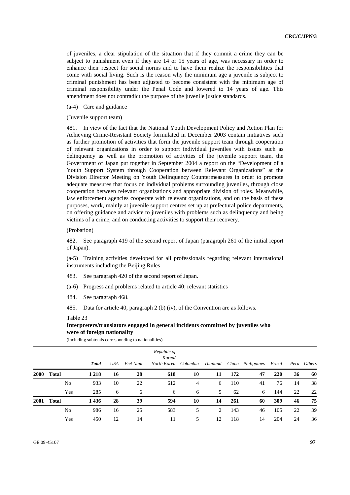of juveniles, a clear stipulation of the situation that if they commit a crime they can be subject to punishment even if they are 14 or 15 years of age, was necessary in order to enhance their respect for social norms and to have them realize the responsibilities that come with social living. Such is the reason why the minimum age a juvenile is subject to criminal punishment has been adjusted to become consistent with the minimum age of criminal responsibility under the Penal Code and lowered to 14 years of age. This amendment does not contradict the purpose of the juvenile justice standards.

(a-4) Care and guidance

(Juvenile support team)

481. In view of the fact that the National Youth Development Policy and Action Plan for Achieving Crime-Resistant Society formulated in December 2003 contain initiatives such as further promotion of activities that form the juvenile support team through cooperation of relevant organizations in order to support individual juveniles with issues such as delinquency as well as the promotion of activities of the juvenile support team, the Government of Japan put together in September 2004 a report on the "Development of a Youth Support System through Cooperation between Relevant Organizations" at the Division Director Meeting on Youth Delinquency Countermeasures in order to promote adequate measures that focus on individual problems surrounding juveniles, through close cooperation between relevant organizations and appropriate division of roles. Meanwhile, law enforcement agencies cooperate with relevant organizations, and on the basis of these purposes, work, mainly at juvenile support centres set up at prefectural police departments, on offering guidance and advice to juveniles with problems such as delinquency and being victims of a crime, and on conducting activities to support their recovery.

#### (Probation)

482. See paragraph 419 of the second report of Japan (paragraph 261 of the initial report of Japan).

(a-5) Training activities developed for all professionals regarding relevant international instruments including the Beijing Rules

- 483. See paragraph 420 of the second report of Japan.
- (a-6) Progress and problems related to article 40; relevant statistics
- 484. See paragraph 468.
- 485. Data for article 40, paragraph 2 (b) (iv), of the Convention are as follows.

#### Table 23

# **Interpreters/translators engaged in general incidents committed by juveniles who were of foreign nationality**

|             |       | <b>Total</b> | USA | Viet Nam | Republic of<br>Korea/<br>North Korea Colombia |    | Thailand |     | China Philippines | Brazil |    | Peru Others |
|-------------|-------|--------------|-----|----------|-----------------------------------------------|----|----------|-----|-------------------|--------|----|-------------|
| <b>2000</b> | Total | 1 2 1 8      | 16  | 28       | 618                                           | 10 | 11       | 172 | 47                | 220    | 36 | 60          |
|             | No    | 933          | 10  | 22       | 612                                           | 4  | 6        | 110 | 41                | 76     | 14 | 38          |
|             | Yes   | 285          | 6   | 6        | 6                                             | 6  | 5        | 62  | 6                 | 144    | 22 | 22          |
| 2001        | Total | 1436         | 28  | 39       | 594                                           | 10 | 14       | 261 | 60                | 309    | 46 | 75          |
|             | No    | 986          | 16  | 25       | 583                                           | 5  | 2        | 143 | 46                | 105    | 22 | 39          |
|             | Yes   | 450          | 12  | 14       | 11                                            | 5  | 12       | 118 | 14                | 204    | 24 | 36          |

(including subtotals corresponding to nationalities)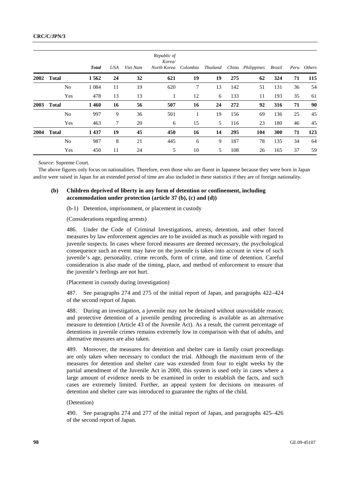|      |              | <b>Total</b> | USA | Viet Nam | Republic of<br>Korea/<br>North Korea | Colombia | Thailand |     | China Philippines | Brazil |    | Peru Others |
|------|--------------|--------------|-----|----------|--------------------------------------|----------|----------|-----|-------------------|--------|----|-------------|
| 2002 | <b>Total</b> | 1562         | 24  | 32       | 621                                  | 19       | 19       | 275 | 62                | 324    | 71 | 115         |
|      | No           | 1 0 8 4      | 11  | 19       | 620                                  | 7        | 13       | 142 | 51                | 131    | 36 | 54          |
|      | Yes          | 478          | 13  | 13       |                                      | 12       | 6        | 133 | 11                | 193    | 35 | 61          |
| 2003 | <b>Total</b> | 1460         | 16  | 56       | 507                                  | 16       | 24       | 272 | 92                | 316    | 71 | 90          |
|      | No           | 997          | 9   | 36       | 501                                  | 1        | 19       | 156 | 69                | 136    | 25 | 45          |
|      | Yes          | 463          | 7   | 20       | 6                                    | 15       | 5        | 116 | 23                | 180    | 46 | 45          |
| 2004 | <b>Total</b> | 1437         | 19  | 45       | 450                                  | 16       | 14       | 295 | 104               | 300    | 71 | 123         |
|      | No           | 987          | 8   | 21       | 445                                  | 6        | 9        | 187 | 78                | 135    | 34 | 64          |
|      | Yes          | 450          | 11  | 24       | 5                                    | 10       | 5        | 108 | 26                | 165    | 37 | 59          |

*Source*: Supreme Court.

The above figures only focus on nationalities. Therefore, even those who are fluent in Japanese because they were born in Japan and/or were raised in Japan for an extended period of time are also included in these statistics if they are of foreign nationality.

## **(b) Children deprived of liberty in any form of detention or confinement, including accommodation under protection (article 37 (b), (c) and (d))**

(b-1) Detention, imprisonment, or placement in custody

(Considerations regarding arrests)

486. Under the Code of Criminal Investigations, arrests, detention, and other forced measures by law enforcement agencies are to be avoided as much as possible with regard to juvenile suspects. In cases where forced measures are deemed necessary, the psychological consequence such an event may have on the juvenile is taken into account in view of such juvenile's age, personality, crime records, form of crime, and time of detention. Careful consideration is also made of the timing, place, and method of enforcement to ensure that the juvenile's feelings are not hurt.

(Placement in custody during investigation)

487. See paragraphs 274 and 275 of the initial report of Japan, and paragraphs 422–424 of the second report of Japan.

488. During an investigation, a juvenile may not be detained without unavoidable reason; and protective detention of a juvenile pending proceeding is available as an alternative measure to detention (Article 43 of the Juvenile Act). As a result, the current percentage of detentions in juvenile crimes remains extremely low in comparison with that of adults, and alternative measures are also taken.

489. Moreover, the measures for detention and shelter care in family court proceedings are only taken when necessary to conduct the trial. Although the maximum term of the measures for detention and shelter care was extended from four to eight weeks by the partial amendment of the Juvenile Act in 2000, this system is used only in cases where a large amount of evidence needs to be examined in order to establish the facts, and such cases are extremely limited. Further, an appeal system for decisions on measures of detention and shelter care was introduced to guarantee the rights of the child.

(Detention)

490. See paragraphs 274 and 277 of the initial report of Japan, and paragraphs 425–426 of the second report of Japan.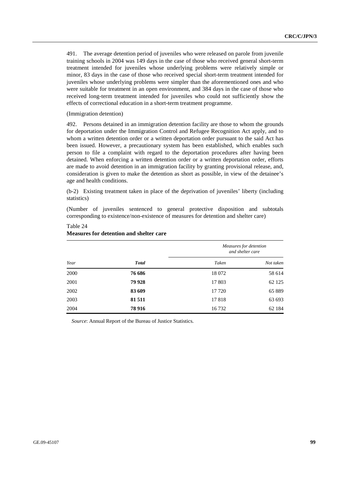491. The average detention period of juveniles who were released on parole from juvenile training schools in 2004 was 149 days in the case of those who received general short-term treatment intended for juveniles whose underlying problems were relatively simple or minor, 83 days in the case of those who received special short-term treatment intended for juveniles whose underlying problems were simpler than the aforementioned ones and who were suitable for treatment in an open environment, and 384 days in the case of those who received long-term treatment intended for juveniles who could not sufficiently show the effects of correctional education in a short-term treatment programme.

#### (Immigration detention)

Table 24

492. Persons detained in an immigration detention facility are those to whom the grounds for deportation under the Immigration Control and Refugee Recognition Act apply, and to whom a written detention order or a written deportation order pursuant to the said Act has been issued. However, a precautionary system has been established, which enables such person to file a complaint with regard to the deportation procedures after having been detained. When enforcing a written detention order or a written deportation order, efforts are made to avoid detention in an immigration facility by granting provisional release, and, consideration is given to make the detention as short as possible, in view of the detainee's age and health conditions.

(b-2) Existing treatment taken in place of the deprivation of juveniles' liberty (including statistics)

(Number of juveniles sentenced to general protective disposition and subtotals corresponding to existence/non-existence of measures for detention and shelter care)

| Year |              | Measures for detention<br>and shelter care |           |  |  |  |
|------|--------------|--------------------------------------------|-----------|--|--|--|
|      | <b>Total</b> | Taken                                      | Not taken |  |  |  |
| 2000 | 76 686       | 18 072                                     | 58 614    |  |  |  |
| 2001 | 79 928       | 17 803                                     | 62 1 25   |  |  |  |
| 2002 | 83 609       | 17 720                                     | 65 889    |  |  |  |
| 2003 | 81 511       | 17818                                      | 63 693    |  |  |  |
| 2004 | 78 9 16      | 16732                                      | 62 184    |  |  |  |

# **Measures for detention and shelter care**

*Source*: Annual Report of the Bureau of Justice Statistics.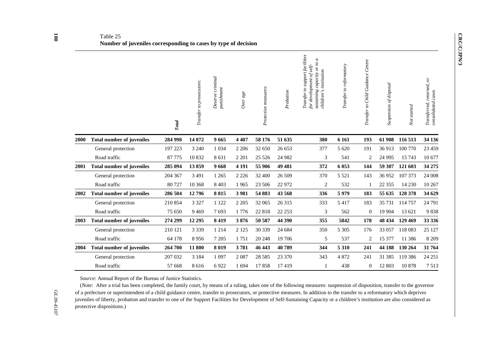# Table 25 **Number of juveniles corresponding to cases by type of decision**

|      |                                  | <b>Total</b> | Transfer to prosecutors: | Deserve criminal<br>punishment | Over a ge | Protective measures: | Probation | Transfer to support facilities<br>p of<br>$of self-$<br>sustaining capacity or<br>children's institution<br>for development | Transfer to reformatory | Transfer to Child Guidance Centre | Suspension of disposal | Not started | returned, or<br>cases<br>consolidated<br><b>Transferred</b> , |
|------|----------------------------------|--------------|--------------------------|--------------------------------|-----------|----------------------|-----------|-----------------------------------------------------------------------------------------------------------------------------|-------------------------|-----------------------------------|------------------------|-------------|---------------------------------------------------------------|
| 2000 | <b>Total number of juveniles</b> | 284 998      | 14 072                   | 9665                           | 4 4 0 7   | 58 176               | 51 635    | 380                                                                                                                         | 6 1 6 1                 | 193                               | 61 908                 | 116 513     | 34 136                                                        |
|      | General protection               | 197 223      | 3 2 4 0                  | 1 0 3 4                        | 2 2 0 6   | 32 650               | 26 653    | 377                                                                                                                         | 5 6 20                  | 191                               | 36913                  | 100 770     | 23 4 5 9                                                      |
|      | Road traffic                     | 87 775       | 10832                    | 8 6 3 1                        | 2 2 0 1   | 25 5 26              | 24 9 82   | 3                                                                                                                           | 541                     | 2                                 | 24 9 95                | 15 7 43     | 10 677                                                        |
| 2001 | <b>Total number of juveniles</b> | 285 094      | 13859                    | 9668                           | 4 1 9 1   | 55 906               | 49 481    | 372                                                                                                                         | 6 0 53                  | 144                               | 59 307                 | 121 603     | 34 275                                                        |
|      | General protection               | 204 367      | 3 4 9 1                  | 1 2 6 5                        | 2 2 2 6   | 32 400               | 26 509    | 370                                                                                                                         | 5 5 2 1                 | 143                               | 36952                  | 107 373     | 24 008                                                        |
|      | Road traffic                     | 80727        | 10 368                   | 8 4 0 3                        | 1965      | 23 506               | 22 972    | $\overline{c}$                                                                                                              | 532                     |                                   | 22 3 5 5               | 14 2 30     | 10 267                                                        |
| 2002 | <b>Total number of juveniles</b> | 286 504      | 12796                    | 8815                           | 3981      | 54 883               | 43 568    | 336                                                                                                                         | 5979                    | 183                               | 55 635                 | 128 378     | 34 629                                                        |
|      | General protection               | 210 854      | 3 3 2 7                  | 1 1 2 2                        | 2 2 0 5   | 32 065               | 26 315    | 333                                                                                                                         | 5 4 1 7                 | 183                               | 35 7 31                | 114 757     | 24 791                                                        |
|      | Road traffic                     | 75 650       | 9 4 6 9                  | 7693                           | 1776      | 22818                | 22 25 3   | 3                                                                                                                           | 562                     | $\mathbf{0}$                      | 19 904                 | 13 621      | 9838                                                          |
| 2003 | <b>Total number of juveniles</b> | 274 299      | 12 29 5                  | 8 4 1 9                        | 3876      | 50 587               | 44 390    | 355                                                                                                                         | 5842                    | 178                               | 48 434                 | 129 469     | 33 336                                                        |
|      | General protection               | 210 121      | 3 3 3 9                  | 1 2 1 4                        | 2 1 2 5   | 30 339               | 24 684    | 350                                                                                                                         | 5 3 0 5                 | 176                               | 33 057                 | 118 083     | 25 1 27                                                       |
|      | Road traffic                     | 64 178       | 8956                     | 7 2 0 5                        | 1751      | 20 24 8              | 19 70 6   | 5                                                                                                                           | 537                     | 2                                 | 15 377                 | 11 386      | 8 2 0 9                                                       |
| 2004 | <b>Total number of juveniles</b> | 264 700      | 11 800                   | 8 0 1 9                        | 3781      | 46 443               | 40789     | 344                                                                                                                         | 5 3 1 0                 | 241                               | 44 188                 | 130 264     | 31764                                                         |
|      | General protection               | 207 032      | 3 1 8 4                  | 1 0 9 7                        | 2 0 8 7   | 28 5 8 5             | 23 370    | 343                                                                                                                         | 4872                    | 241                               | 31 385                 | 119 386     | 24 25 1                                                       |
|      | Road traffic                     | 57 668       | 8616                     | 6922                           | 1694      | 17858                | 17419     |                                                                                                                             | 438                     | $\mathbf{0}$                      | 12 803                 | 10878       | 7513                                                          |

*Source*: Annual Report of the Bureau of Justice Statistics.

(*Note*: After a trial has been completed, the family court, by means of a ruling, takes one of the following measures: suspension of disposition, transfer to the governor of a prefecture or superintendent of a child guidance centre, transfer to prosecutors, or protective measures. In addition to the transfer to a reformatory which deprives juveniles of liberty, probation and transfer to one of the Support Facilities for Development of Self-Sustaining Capacity or a children's institution are also considered as protective dispositions.)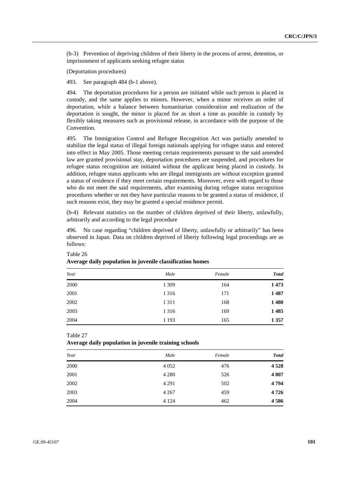(b-3) Prevention of depriving children of their liberty in the process of arrest, detention, or imprisonment of applicants seeking refugee status

(Deportation procedures)

493. See paragraph 484 (b-1 above).

494. The deportation procedures for a person are initiated while such person is placed in custody, and the same applies to minors. However, when a minor receives an order of deportation, while a balance between humanitarian consideration and realization of the deportation is sought, the minor is placed for as short a time as possible in custody by flexibly taking measures such as provisional release, in accordance with the purpose of the Convention.

495. The Immigration Control and Refugee Recognition Act was partially amended to stabilize the legal status of illegal foreign nationals applying for refugee status and entered into effect in May 2005. Those meeting certain requirements pursuant to the said amended law are granted provisional stay, deportation procedures are suspended, and procedures for refugee status recognition are initiated without the applicant being placed in custody. In addition, refugee status applicants who are illegal immigrants are without exception granted a status of residence if they meet certain requirements. Moreover, even with regard to those who do not meet the said requirements, after examining during refugee status recognition procedures whether or not they have particular reasons to be granted a status of residence, if such reasons exist, they may be granted a special residence permit.

(b-4) Relevant statistics on the number of children deprived of their liberty, unlawfully, arbitrarily and according to the legal procedure

496. No case regarding "children deprived of liberty, unlawfully or arbitrarily" has been observed in Japan. Data on children deprived of liberty following legal proceedings are as follows:

| Year | Male    | Female | <b>Total</b> |
|------|---------|--------|--------------|
| 2000 | 1 3 0 9 | 164    | 1473         |
| 2001 | 1 3 1 6 | 171    | 1487         |
| 2002 | 1 3 1 1 | 168    | 1480         |
| 2003 | 1 3 1 6 | 169    | 1485         |
| 2004 | 1 1 9 3 | 165    | 1 3 5 7      |

# Table 26 **Average daily population in juvenile classification homes**

Table 27

**Average daily population in juvenile training schools** 

| Year | Male    | Female | <b>Total</b> |
|------|---------|--------|--------------|
| 2000 | 4 0 5 2 | 476    | 4528         |
| 2001 | 4 2 8 0 | 526    | 4807         |
| 2002 | 4 2 9 1 | 502    | 4794         |
| 2003 | 4 2 6 7 | 459    | 4726         |
| 2004 | 4 1 2 4 | 462    | 4586         |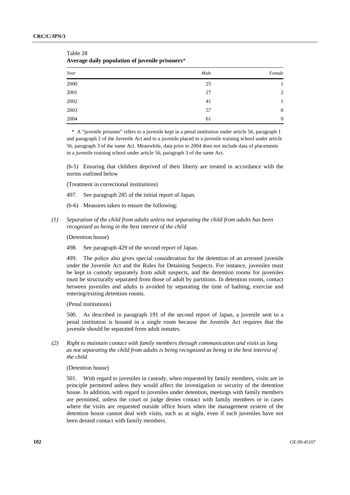| Year     | Male | Female           |
|----------|------|------------------|
| $2000\,$ | 25   |                  |
| 2001     | 27   | 2                |
| 2002     | 41   | 1                |
| 2003     | 57   | $\boldsymbol{0}$ |
| 2004     | 61   | $\mathbf{0}$     |

Table 28 **Average daily population of juvenile prisoners**\*

\* A "juvenile prisoner" refers to a juvenile kept in a penal institution under article 56, paragraph 1 and paragraph 2 of the Juvenile Act and to a juvenile placed in a juvenile training school under article 56, paragraph 3 of the same Act. Meanwhile, data prior to 2004 does not include data of placements in a juvenile training school under article 56, paragraph 3 of the same Act.

(b-5) Ensuring that children deprived of their liberty are treated in accordance with the norms outlined below

(Treatment in correctional institutions)

- 497. See paragraph 285 of the initial report of Japan.
- (b-6) Measures taken to ensure the following:
- *(1) Separation of the child from adults unless not separating the child from adults has been recognized as being in the best interest of the child*

(Detention house)

498. See paragraph 429 of the second report of Japan.

499. The police also gives special consideration for the detention of an arrested juvenile under the Juvenile Act and the Rules for Detaining Suspects. For instance, juveniles must be kept in custody separately from adult suspects, and the detention rooms for juveniles must be structurally separated from those of adult by partitions. In detention rooms, contact between juveniles and adults is avoided by separating the time of bathing, exercise and entering/exiting detention rooms.

(Penal institutions)

500. As described in paragraph 191 of the second report of Japan, a juvenile sent to a penal institution is housed in a single room because the Juvenile Act requires that the juvenile should be separated from adult inmates.

 *(2) Right to maintain contact with family members through communication and visits as long as not separating the child from adults is being recognized as being in the best interest of the child* 

(Detention house)

501. With regard to juveniles in custody, when requested by family members, visits are in principle permitted unless they would affect the investigation or security of the detention house. In addition, with regard to juveniles under detention, meetings with family members are permitted, unless the court or judge denies contact with family members or in cases where the visits are requested outside office hours when the management system of the detention house cannot deal with visits, such as at night, even if such juveniles have not been denied contact with family members.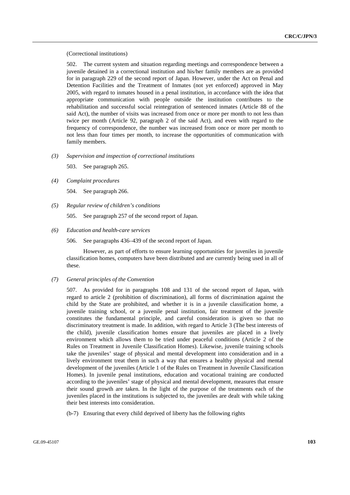(Correctional institutions)

502. The current system and situation regarding meetings and correspondence between a juvenile detained in a correctional institution and his/her family members are as provided for in paragraph 229 of the second report of Japan. However, under the Act on Penal and Detention Facilities and the Treatment of Inmates (not yet enforced) approved in May 2005, with regard to inmates housed in a penal institution, in accordance with the idea that appropriate communication with people outside the institution contributes to the rehabilitation and successful social reintegration of sentenced inmates (Article 88 of the said Act), the number of visits was increased from once or more per month to not less than twice per month (Article 92, paragraph 2 of the said Act), and even with regard to the frequency of correspondence, the number was increased from once or more per month to not less than four times per month, to increase the opportunities of communication with family members.

 *(3) Supervision and inspection of correctional institutions* 

503. See paragraph 265.

 *(4) Complaint procedures* 

504. See paragraph 266.

 *(5) Regular review of children's conditions* 

505. See paragraph 257 of the second report of Japan.

 *(6) Education and health-care services* 

506. See paragraphs 436–439 of the second report of Japan.

 However, as part of efforts to ensure learning opportunities for juveniles in juvenile classification homes, computers have been distributed and are currently being used in all of these.

 *(7) General principles of the Convention* 

507. As provided for in paragraphs 108 and 131 of the second report of Japan, with regard to article 2 (prohibition of discrimination), all forms of discrimination against the child by the State are prohibited, and whether it is in a juvenile classification home, a juvenile training school, or a juvenile penal institution, fair treatment of the juvenile constitutes the fundamental principle, and careful consideration is given so that no discriminatory treatment is made. In addition, with regard to Article 3 (The best interests of the child), juvenile classification homes ensure that juveniles are placed in a lively environment which allows them to be tried under peaceful conditions (Article 2 of the Rules on Treatment in Juvenile Classification Homes). Likewise, juvenile training schools take the juveniles' stage of physical and mental development into consideration and in a lively environment treat them in such a way that ensures a healthy physical and mental development of the juveniles (Article 1 of the Rules on Treatment in Juvenile Classification Homes). In juvenile penal institutions, education and vocational training are conducted according to the juveniles' stage of physical and mental development, measures that ensure their sound growth are taken. In the light of the purpose of the treatments each of the juveniles placed in the institutions is subjected to, the juveniles are dealt with while taking their best interests into consideration.

(b-7) Ensuring that every child deprived of liberty has the following rights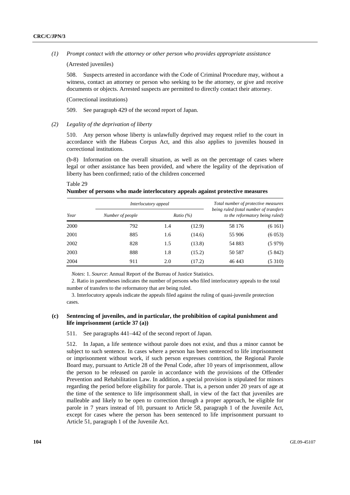*(1) Prompt contact with the attorney or other person who provides appropriate assistance* 

(Arrested juveniles)

508. Suspects arrested in accordance with the Code of Criminal Procedure may, without a witness, contact an attorney or person who seeking to be the attorney, or give and receive documents or objects. Arrested suspects are permitted to directly contact their attorney.

(Correctional institutions)

509. See paragraph 429 of the second report of Japan.

 *(2) Legality of the deprivation of liberty* 

510. Any person whose liberty is unlawfully deprived may request relief to the court in accordance with the Habeas Corpus Act, and this also applies to juveniles housed in correctional institutions.

(b-8) Information on the overall situation, as well as on the percentage of cases where legal or other assistance has been provided, and where the legality of the deprivation of liberty has been confirmed; ratio of the children concerned

Table 29

**Number of persons who made interlocutory appeals against protective measures** 

|      |                  | Interlocutory appeal |                     |                                                                           | Total number of protective measures |  |  |
|------|------------------|----------------------|---------------------|---------------------------------------------------------------------------|-------------------------------------|--|--|
| Year | Number of people |                      | <i>Ratio</i> $(\%)$ | being ruled (total number of transfers<br>to the reformatory being ruled) |                                     |  |  |
| 2000 | 792              | 1.4                  | (12.9)              | 58 176                                                                    | (6161)                              |  |  |
| 2001 | 885              | 1.6                  | (14.6)              | 55 906                                                                    | (6053)                              |  |  |
| 2002 | 828              | 1.5                  | (13.8)              | 54 883                                                                    | (5979)                              |  |  |
| 2003 | 888              | 1.8                  | (15.2)              | 50 587                                                                    | (5842)                              |  |  |
| 2004 | 911              | 2.0                  | (17.2)              | 46 443                                                                    | (5310)                              |  |  |

*Notes*: 1. *Source*: Annual Report of the Bureau of Justice Statistics.

2. Ratio in parentheses indicates the number of persons who filed interlocutory appeals to the total number of transfers to the reformatory that are being ruled.

3. Interlocutory appeals indicate the appeals filed against the ruling of quasi-juvenile protection cases.

## **(c) Sentencing of juveniles, and in particular, the prohibition of capital punishment and life imprisonment (article 37 (a))**

511. See paragraphs 441–442 of the second report of Japan.

512. In Japan, a life sentence without parole does not exist, and thus a minor cannot be subject to such sentence. In cases where a person has been sentenced to life imprisonment or imprisonment without work, if such person expresses contrition, the Regional Parole Board may, pursuant to Article 28 of the Penal Code, after 10 years of imprisonment, allow the person to be released on parole in accordance with the provisions of the Offender Prevention and Rehabilitation Law. In addition, a special provision is stipulated for minors regarding the period before eligibility for parole. That is, a person under 20 years of age at the time of the sentence to life imprisonment shall, in view of the fact that juveniles are malleable and likely to be open to correction through a proper approach, be eligible for parole in 7 years instead of 10, pursuant to Article 58, paragraph 1 of the Juvenile Act, except for cases where the person has been sentenced to life imprisonment pursuant to Article 51, paragraph 1 of the Juvenile Act.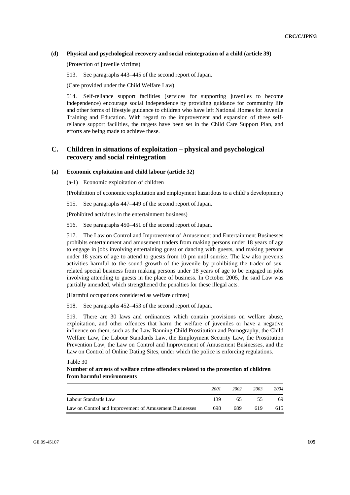## **(d) Physical and psychological recovery and social reintegration of a child (article 39)**

(Protection of juvenile victims)

513. See paragraphs 443–445 of the second report of Japan.

(Care provided under the Child Welfare Law)

514. Self-reliance support facilities (services for supporting juveniles to become independence) encourage social independence by providing guidance for community life and other forms of lifestyle guidance to children who have left National Homes for Juvenile Training and Education. With regard to the improvement and expansion of these selfreliance support facilities, the targets have been set in the Child Care Support Plan, and efforts are being made to achieve these.

# **C. Children in situations of exploitation – physical and psychological recovery and social reintegration**

## **(a) Economic exploitation and child labour (article 32)**

(a-1) Economic exploitation of children

(Prohibition of economic exploitation and employment hazardous to a child's development)

515. See paragraphs 447–449 of the second report of Japan.

(Prohibited activities in the entertainment business)

516. See paragraphs 450–451 of the second report of Japan.

517. The Law on Control and Improvement of Amusement and Entertainment Businesses prohibits entertainment and amusement traders from making persons under 18 years of age to engage in jobs involving entertaining guest or dancing with guests, and making persons under 18 years of age to attend to guests from 10 pm until sunrise. The law also prevents activities harmful to the sound growth of the juvenile by prohibiting the trader of sexrelated special business from making persons under 18 years of age to be engaged in jobs involving attending to guests in the place of business. In October 2005, the said Law was partially amended, which strengthened the penalties for these illegal acts.

(Harmful occupations considered as welfare crimes)

518. See paragraphs 452–453 of the second report of Japan.

519. There are 30 laws and ordinances which contain provisions on welfare abuse, exploitation, and other offences that harm the welfare of juveniles or have a negative influence on them, such as the Law Banning Child Prostitution and Pornography, the Child Welfare Law, the Labour Standards Law, the Employment Security Law, the Prostitution Prevention Law, the Law on Control and Improvement of Amusement Businesses, and the Law on Control of Online Dating Sites, under which the police is enforcing regulations.

Table 30

## **Number of arrests of welfare crime offenders related to the protection of children from harmful environments**

|                                                        | 2001 | 2002 | 2003 | 2004 |
|--------------------------------------------------------|------|------|------|------|
| Labour Standards Law                                   | 139  | 65.  | 55   | 69.  |
| Law on Control and Improvement of Amusement Businesses | 698  | 689  | 619  | 615  |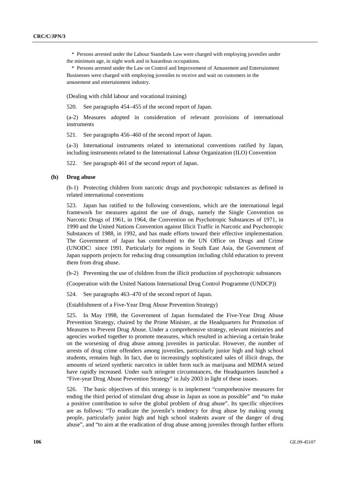\* Persons arrested under the Labour Standards Law were charged with employing juveniles under the minimum age, in night work and in hazardous occupations.

\* Persons arrested under the Law on Control and Improvement of Amusement and Entertainment Businesses were charged with employing juveniles to receive and wait on customers in the amusement and entertainment industry.

(Dealing with child labour and vocational training)

520. See paragraphs 454–455 of the second report of Japan.

(a-2) Measures adopted in consideration of relevant provisions of international instruments

521. See paragraphs 456–460 of the second report of Japan.

(a-3) International instruments related to international conventions ratified by Japan, including instruments related to the International Labour Organization (ILO) Convention

522. See paragraph 461 of the second report of Japan.

### **(b) Drug abuse**

(b-1) Protecting children from narcotic drugs and psychotropic substances as defined in related international conventions

523. Japan has ratified to the following conventions, which are the international legal framework for measures against the use of drugs, namely the Single Convention on Narcotic Drugs of 1961, in 1964, the Convention on Psychotropic Substances of 1971, in 1990 and the United Nations Convention against Illicit Traffic in Narcotic and Psychotropic Substances of 1988, in 1992, and has made efforts toward their effective implementation. The Government of Japan has contributed to the UN Office on Drugs and Crime (UNODC) since 1991. Particularly for regions in South East Asia, the Government of Japan supports projects for reducing drug consumption including child education to prevent them from drug abuse.

(b-2) Preventing the use of children from the illicit production of psychotropic substances

(Cooperation with the United Nations International Drug Control Programme (UNDCP))

524. See paragraphs 463–470 of the second report of Japan.

(Establishment of a Five-Year Drug Abuse Prevention Strategy)

525. In May 1998, the Government of Japan formulated the Five-Year Drug Abuse Prevention Strategy, chaired by the Prime Minister, at the Headquarters for Promotion of Measures to Prevent Drug Abuse. Under a comprehensive strategy, relevant ministries and agencies worked together to promote measures, which resulted in achieving a certain brake on the worsening of drug abuse among juveniles in particular. However, the number of arrests of drug crime offenders among juveniles, particularly junior high and high school students, remains high. In fact, due to increasingly sophisticated sales of illicit drugs, the amounts of seized synthetic narcotics in tablet form such as marijuana and MDMA seized have rapidly increased. Under such stringent circumstances, the Headquarters launched a "Five-year Drug Abuse Prevention Strategy" in July 2003 in light of these issues.

526. The basic objectives of this strategy is to implement "comprehensive measures for ending the third period of stimulant drug abuse in Japan as soon as possible" and "to make a positive contribution to solve the global problem of drug abuse". Its specific objectives are as follows: "To eradicate the juvenile's tendency for drug abuse by making young people, particularly junior high and high school students aware of the danger of drug abuse", and "to aim at the eradication of drug abuse among juveniles through further efforts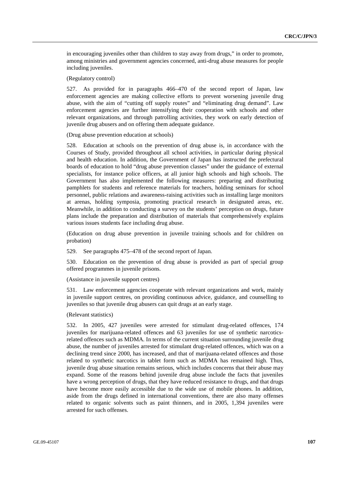in encouraging juveniles other than children to stay away from drugs," in order to promote, among ministries and government agencies concerned, anti-drug abuse measures for people including juveniles.

(Regulatory control)

527. As provided for in paragraphs 466–470 of the second report of Japan, law enforcement agencies are making collective efforts to prevent worsening juvenile drug abuse, with the aim of "cutting off supply routes" and "eliminating drug demand". Law enforcement agencies are further intensifying their cooperation with schools and other relevant organizations, and through patrolling activities, they work on early detection of juvenile drug abusers and on offering them adequate guidance.

(Drug abuse prevention education at schools)

528. Education at schools on the prevention of drug abuse is, in accordance with the Courses of Study, provided throughout all school activities, in particular during physical and health education. In addition, the Government of Japan has instructed the prefectural boards of education to hold "drug abuse prevention classes" under the guidance of external specialists, for instance police officers, at all junior high schools and high schools. The Government has also implemented the following measures: preparing and distributing pamphlets for students and reference materials for teachers, holding seminars for school personnel, public relations and awareness-raising activities such as installing large monitors at arenas, holding symposia, promoting practical research in designated areas, etc. Meanwhile, in addition to conducting a survey on the students' perception on drugs, future plans include the preparation and distribution of materials that comprehensively explains various issues students face including drug abuse.

(Education on drug abuse prevention in juvenile training schools and for children on probation)

529. See paragraphs 475–478 of the second report of Japan.

530. Education on the prevention of drug abuse is provided as part of special group offered programmes in juvenile prisons.

(Assistance in juvenile support centres)

531. Law enforcement agencies cooperate with relevant organizations and work, mainly in juvenile support centres, on providing continuous advice, guidance, and counselling to juveniles so that juvenile drug abusers can quit drugs at an early stage.

#### (Relevant statistics)

532. In 2005, 427 juveniles were arrested for stimulant drug-related offences, 174 juveniles for marijuana-related offences and 63 juveniles for use of synthetic narcoticsrelated offences such as MDMA. In terms of the current situation surrounding juvenile drug abuse, the number of juveniles arrested for stimulant drug-related offences, which was on a declining trend since 2000, has increased, and that of marijuana-related offences and those related to synthetic narcotics in tablet form such as MDMA has remained high. Thus, juvenile drug abuse situation remains serious, which includes concerns that their abuse may expand. Some of the reasons behind juvenile drug abuse include the facts that juveniles have a wrong perception of drugs, that they have reduced resistance to drugs, and that drugs have become more easily accessible due to the wide use of mobile phones. In addition, aside from the drugs defined in international conventions, there are also many offenses related to organic solvents such as paint thinners, and in 2005, 1,394 juveniles were arrested for such offenses.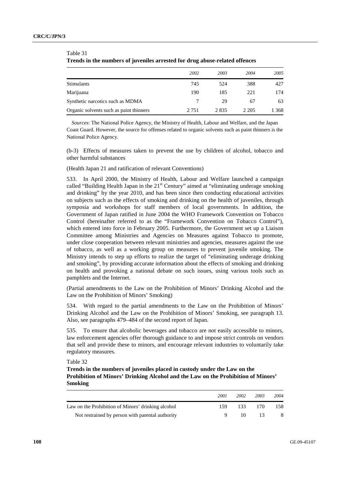| Trenus in the numbers of juvennes arrested for urug abuse-related offences |         |      |       |       |  |
|----------------------------------------------------------------------------|---------|------|-------|-------|--|
|                                                                            | 2002    | 2003 | 2004  | 2005  |  |
| <b>Stimulants</b>                                                          | 745     | 524  | 388   | 427   |  |
| Marijuana                                                                  | 190     | 185  | 221   | 174   |  |
| Synthetic narcotics such as MDMA                                           |         | 29   | 67    | 63    |  |
| Organic solvents such as paint thinners                                    | 2 7 5 1 | 2835 | 2.205 | 1 368 |  |

# Table 31 **Trends in the numbers of juveniles arrested for drug abuse-related offences**

*Sources*: The National Police Agency, the Ministry of Health, Labour and Welfare, and the Japan Coast Guard. However, the source for offenses related to organic solvents such as paint thinners is the National Police Agency.

(b-3) Effects of measures taken to prevent the use by children of alcohol, tobacco and other harmful substances

(Health Japan 21 and ratification of relevant Conventions)

533. In April 2000, the Ministry of Health, Labour and Welfare launched a campaign called "Building Health Japan in the  $21<sup>st</sup>$  Century" aimed at "eliminating underage smoking and drinking" by the year 2010, and has been since then conducting educational activities on subjects such as the effects of smoking and drinking on the health of juveniles, through symposia and workshops for staff members of local governments. In addition, the Government of Japan ratified in June 2004 the WHO Framework Convention on Tobacco Control (hereinafter referred to as the "Framework Convention on Tobacco Control"), which entered into force in February 2005. Furthermore, the Government set up a Liaison Committee among Ministries and Agencies on Measures against Tobacco to promote, under close cooperation between relevant ministries and agencies, measures against the use of tobacco, as well as a working group on measures to prevent juvenile smoking. The Ministry intends to step up efforts to realize the target of "eliminating underage drinking and smoking", by providing accurate information about the effects of smoking and drinking on health and provoking a national debate on such issues, using various tools such as pamphlets and the Internet.

(Partial amendments to the Law on the Prohibition of Minors' Drinking Alcohol and the Law on the Prohibition of Minors' Smoking)

534. With regard to the partial amendments to the Law on the Prohibition of Minors' Drinking Alcohol and the Law on the Prohibition of Minors' Smoking, see paragraph 13. Also, see paragraphs 479–484 of the second report of Japan.

535. To ensure that alcoholic beverages and tobacco are not easily accessible to minors, law enforcement agencies offer thorough guidance to and impose strict controls on vendors that sell and provide these to minors, and encourage relevant industries to voluntarily take regulatory measures.

Table 32

**Trends in the numbers of juveniles placed in custody under the Law on the Prohibition of Minors' Drinking Alcohol and the Law on the Prohibition of Minors' Smoking** 

|                                                    | 2001 | 2002   | 2003 | 2004 |
|----------------------------------------------------|------|--------|------|------|
| Law on the Prohibition of Minors' drinking alcohol | 159. | 133    | 170. | 158  |
| Not restrained by person with parental authority   |      | $10 -$ | 13   | - 8  |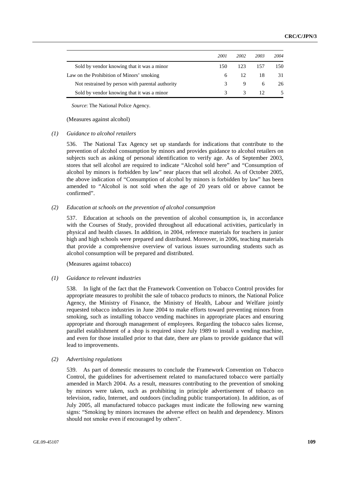|                                                  | 2001 | 2002 | 2003            | 2004 |
|--------------------------------------------------|------|------|-----------------|------|
| Sold by vendor knowing that it was a minor       | 150  | 123. | 157             | 150  |
| Law on the Prohibition of Minors' smoking        | 6.   | -12. | 18              | 31   |
| Not restrained by person with parental authority |      | 9    | 6               | 26   |
| Sold by vendor knowing that it was a minor       |      |      | 12 <sup>2</sup> |      |

*Source*: The National Police Agency.

(Measures against alcohol)

#### *(1) Guidance to alcohol retailers*

536. The National Tax Agency set up standards for indications that contribute to the prevention of alcohol consumption by minors and provides guidance to alcohol retailers on subjects such as asking of personal identification to verify age. As of September 2003, stores that sell alcohol are required to indicate "Alcohol sold here" and "Consumption of alcohol by minors is forbidden by law" near places that sell alcohol. As of October 2005, the above indication of "Consumption of alcohol by minors is forbidden by law" has been amended to "Alcohol is not sold when the age of 20 years old or above cannot be confirmed".

#### *(2) Education at schools on the prevention of alcohol consumption*

537. Education at schools on the prevention of alcohol consumption is, in accordance with the Courses of Study, provided throughout all educational activities, particularly in physical and health classes. In addition, in 2004, reference materials for teachers in junior high and high schools were prepared and distributed. Moreover, in 2006, teaching materials that provide a comprehensive overview of various issues surrounding students such as alcohol consumption will be prepared and distributed.

(Measures against tobacco)

#### *(1) Guidance to relevant industries*

538. In light of the fact that the Framework Convention on Tobacco Control provides for appropriate measures to prohibit the sale of tobacco products to minors, the National Police Agency, the Ministry of Finance, the Ministry of Health, Labour and Welfare jointly requested tobacco industries in June 2004 to make efforts toward preventing minors from smoking, such as installing tobacco vending machines in appropriate places and ensuring appropriate and thorough management of employees. Regarding the tobacco sales license, parallel establishment of a shop is required since July 1989 to install a vending machine, and even for those installed prior to that date, there are plans to provide guidance that will lead to improvements.

### *(2) Advertising regulations*

539. As part of domestic measures to conclude the Framework Convention on Tobacco Control, the guidelines for advertisement related to manufactured tobacco were partially amended in March 2004. As a result, measures contributing to the prevention of smoking by minors were taken, such as prohibiting in principle advertisement of tobacco on television, radio, Internet, and outdoors (including public transportation). In addition, as of July 2005, all manufactured tobacco packages must indicate the following new warning signs: "Smoking by minors increases the adverse effect on health and dependency. Minors should not smoke even if encouraged by others".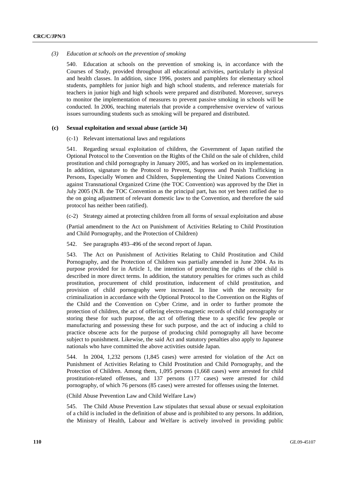#### *(3) Education at schools on the prevention of smoking*

540. Education at schools on the prevention of smoking is, in accordance with the Courses of Study, provided throughout all educational activities, particularly in physical and health classes. In addition, since 1996, posters and pamphlets for elementary school students, pamphlets for junior high and high school students, and reference materials for teachers in junior high and high schools were prepared and distributed. Moreover, surveys to monitor the implementation of measures to prevent passive smoking in schools will be conducted. In 2006, teaching materials that provide a comprehensive overview of various issues surrounding students such as smoking will be prepared and distributed.

# **(c) Sexual exploitation and sexual abuse (article 34)**

## (c-1) Relevant international laws and regulations

541. Regarding sexual exploitation of children, the Government of Japan ratified the Optional Protocol to the Convention on the Rights of the Child on the sale of children, child prostitution and child pornography in January 2005, and has worked on its implementation. In addition, signature to the Protocol to Prevent, Suppress and Punish Trafficking in Persons, Especially Women and Children, Supplementing the United Nations Convention against Transnational Organized Crime (the TOC Convention) was approved by the Diet in July 2005 (N.B. the TOC Convention as the principal part, has not yet been ratified due to the on going adjustment of relevant domestic law to the Convention, and therefore the said protocol has neither been ratified).

(c-2) Strategy aimed at protecting children from all forms of sexual exploitation and abuse

(Partial amendment to the Act on Punishment of Activities Relating to Child Prostitution and Child Pornography, and the Protection of Children)

542. See paragraphs 493–496 of the second report of Japan.

543. The Act on Punishment of Activities Relating to Child Prostitution and Child Pornography, and the Protection of Children was partially amended in June 2004. As its purpose provided for in Article 1, the intention of protecting the rights of the child is described in more direct terms. In addition, the statutory penalties for crimes such as child prostitution, procurement of child prostitution, inducement of child prostitution, and provision of child pornography were increased. In line with the necessity for criminalization in accordance with the Optional Protocol to the Convention on the Rights of the Child and the Convention on Cyber Crime, and in order to further promote the protection of children, the act of offering electro-magnetic records of child pornography or storing these for such purpose, the act of offering these to a specific few people or manufacturing and possessing these for such purpose, and the act of inducing a child to practice obscene acts for the purpose of producing child pornography all have become subject to punishment. Likewise, the said Act and statutory penalties also apply to Japanese nationals who have committed the above activities outside Japan.

544. In 2004, 1,232 persons (1,845 cases) were arrested for violation of the Act on Punishment of Activities Relating to Child Prostitution and Child Pornography, and the Protection of Children. Among them, 1,095 persons (1,668 cases) were arrested for child prostitution-related offenses, and 137 persons (177 cases) were arrested for child pornography, of which 76 persons (85 cases) were arrested for offenses using the Internet.

(Child Abuse Prevention Law and Child Welfare Law)

545. The Child Abuse Prevention Law stipulates that sexual abuse or sexual exploitation of a child is included in the definition of abuse and is prohibited to any persons. In addition, the Ministry of Health, Labour and Welfare is actively involved in providing public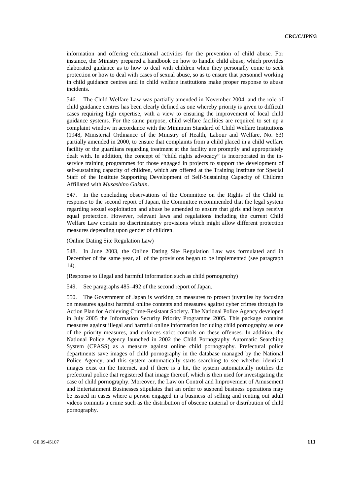information and offering educational activities for the prevention of child abuse. For instance, the Ministry prepared a handbook on how to handle child abuse, which provides elaborated guidance as to how to deal with children when they personally come to seek protection or how to deal with cases of sexual abuse, so as to ensure that personnel working in child guidance centres and in child welfare institutions make proper response to abuse incidents.

546. The Child Welfare Law was partially amended in November 2004, and the role of child guidance centres has been clearly defined as one whereby priority is given to difficult cases requiring high expertise, with a view to ensuring the improvement of local child guidance systems. For the same purpose, child welfare facilities are required to set up a complaint window in accordance with the Minimum Standard of Child Welfare Institutions (1948, Ministerial Ordinance of the Ministry of Health, Labour and Welfare, No. 63) partially amended in 2000, to ensure that complaints from a child placed in a child welfare facility or the guardians regarding treatment at the facility are promptly and appropriately dealt with. In addition, the concept of "child rights advocacy" is incorporated in the inservice training programmes for those engaged in projects to support the development of self-sustaining capacity of children, which are offered at the Training Institute for Special Staff of the Institute Supporting Development of Self-Sustaining Capacity of Children Affiliated with *Musashino Gakuin*.

547. In the concluding observations of the Committee on the Rights of the Child in response to the second report of Japan, the Committee recommended that the legal system regarding sexual exploitation and abuse be amended to ensure that girls and boys receive equal protection. However, relevant laws and regulations including the current Child Welfare Law contain no discriminatory provisions which might allow different protection measures depending upon gender of children.

(Online Dating Site Regulation Law)

548. In June 2003, the Online Dating Site Regulation Law was formulated and in December of the same year, all of the provisions began to be implemented (see paragraph 14).

(Response to illegal and harmful information such as child pornography)

549. See paragraphs 485–492 of the second report of Japan.

550. The Government of Japan is working on measures to protect juveniles by focusing on measures against harmful online contents and measures against cyber crimes through its Action Plan for Achieving Crime-Resistant Society. The National Police Agency developed in July 2005 the Information Security Priority Programme 2005. This package contains measures against illegal and harmful online information including child pornography as one of the priority measures, and enforces strict controls on these offenses. In addition, the National Police Agency launched in 2002 the Child Pornography Automatic Searching System (CPASS) as a measure against online child pornography. Prefectural police departments save images of child pornography in the database managed by the National Police Agency, and this system automatically starts searching to see whether identical images exist on the Internet, and if there is a hit, the system automatically notifies the prefectural police that registered that image thereof, which is then used for investigating the case of child pornography. Moreover, the Law on Control and Improvement of Amusement and Entertainment Businesses stipulates that an order to suspend business operations may be issued in cases where a person engaged in a business of selling and renting out adult videos commits a crime such as the distribution of obscene material or distribution of child pornography.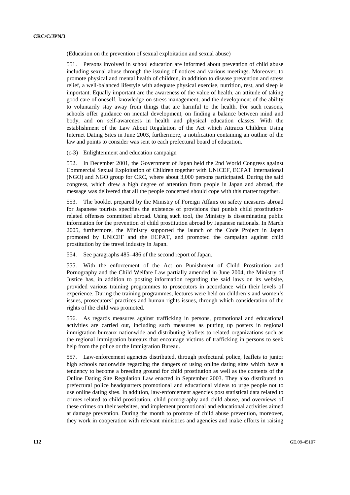(Education on the prevention of sexual exploitation and sexual abuse)

551. Persons involved in school education are informed about prevention of child abuse including sexual abuse through the issuing of notices and various meetings. Moreover, to promote physical and mental health of children, in addition to disease prevention and stress relief, a well-balanced lifestyle with adequate physical exercise, nutrition, rest, and sleep is important. Equally important are the awareness of the value of health, an attitude of taking good care of oneself, knowledge on stress management, and the development of the ability to voluntarily stay away from things that are harmful to the health. For such reasons, schools offer guidance on mental development, on finding a balance between mind and body, and on self-awareness in health and physical education classes. With the establishment of the Law About Regulation of the Act which Attracts Children Using Internet Dating Sites in June 2003, furthermore, a notification containing an outline of the law and points to consider was sent to each prefectural board of education.

(c-3) Enlightenment and education campaign

552. In December 2001, the Government of Japan held the 2nd World Congress against Commercial Sexual Exploitation of Children together with UNICEF, ECPAT International (NGO) and NGO group for CRC, where about 3,000 persons participated. During the said congress, which drew a high degree of attention from people in Japan and abroad, the message was delivered that all the people concerned should cope with this matter together.

553. The booklet prepared by the Ministry of Foreign Affairs on safety measures abroad for Japanese tourists specifies the existence of provisions that punish child prostitutionrelated offenses committed abroad. Using such tool, the Ministry is disseminating public information for the prevention of child prostitution abroad by Japanese nationals. In March 2005, furthermore, the Ministry supported the launch of the Code Project in Japan promoted by UNICEF and the ECPAT, and promoted the campaign against child prostitution by the travel industry in Japan.

554. See paragraphs 485–486 of the second report of Japan.

555. With the enforcement of the Act on Punishment of Child Prostitution and Pornography and the Child Welfare Law partially amended in June 2004, the Ministry of Justice has, in addition to posting information regarding the said laws on its website, provided various training programmes to prosecutors in accordance with their levels of experience. During the training programmes, lectures were held on children's and women's issues, prosecutors' practices and human rights issues, through which consideration of the rights of the child was promoted.

556. As regards measures against trafficking in persons, promotional and educational activities are carried out, including such measures as putting up posters in regional immigration bureaux nationwide and distributing leaflets to related organizations such as the regional immigration bureaux that encourage victims of trafficking in persons to seek help from the police or the Immigration Bureau.

557. Law-enforcement agencies distributed, through prefectural police, leaflets to junior high schools nationwide regarding the dangers of using online dating sites which have a tendency to become a breeding ground for child prostitution as well as the contents of the Online Dating Site Regulation Law enacted in September 2003. They also distributed to prefectural police headquarters promotional and educational videos to urge people not to use online dating sites. In addition, law-enforcement agencies post statistical data related to crimes related to child prostitution, child pornography and child abuse, and overviews of these crimes on their websites, and implement promotional and educational activities aimed at damage prevention. During the month to promote of child abuse prevention, moreover, they work in cooperation with relevant ministries and agencies and make efforts in raising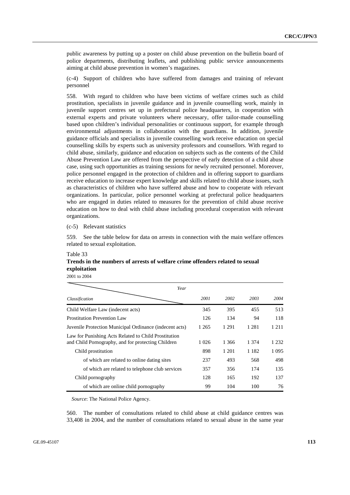public awareness by putting up a poster on child abuse prevention on the bulletin board of police departments, distributing leaflets, and publishing public service announcements aiming at child abuse prevention in women's magazines.

(c-4) Support of children who have suffered from damages and training of relevant personnel

558. With regard to children who have been victims of welfare crimes such as child prostitution, specialists in juvenile guidance and in juvenile counselling work, mainly in juvenile support centres set up in prefectural police headquarters, in cooperation with external experts and private volunteers where necessary, offer tailor-made counselling based upon children's individual personalities or continuous support, for example through environmental adjustments in collaboration with the guardians. In addition, juvenile guidance officials and specialists in juvenile counselling work receive education on special counselling skills by experts such as university professors and counsellors. With regard to child abuse, similarly, guidance and education on subjects such as the contents of the Child Abuse Prevention Law are offered from the perspective of early detection of a child abuse case, using such opportunities as training sessions for newly recruited personnel. Moreover, police personnel engaged in the protection of children and in offering support to guardians receive education to increase expert knowledge and skills related to child abuse issues, such as characteristics of children who have suffered abuse and how to cooperate with relevant organizations. In particular, police personnel working at prefectural police headquarters who are engaged in duties related to measures for the prevention of child abuse receive education on how to deal with child abuse including procedural cooperation with relevant organizations.

## (c-5) Relevant statistics

559. See the table below for data on arrests in connection with the main welfare offences related to sexual exploitation.

### Table 33

# **Trends in the numbers of arrests of welfare crime offenders related to sexual exploitation**

2001 to 2004

| Year                                                                                                       |         |         |         |         |  |
|------------------------------------------------------------------------------------------------------------|---------|---------|---------|---------|--|
| Classification                                                                                             | 2001    | 2002    | 2003    | 2004    |  |
| Child Welfare Law (indecent acts)                                                                          | 345     | 395     | 455     | 513     |  |
| <b>Prostitution Prevention Law</b>                                                                         | 126     | 134     | 94      | 118     |  |
| Juvenile Protection Municipal Ordinance (indecent acts)                                                    | 1 2 6 5 | 1 2 9 1 | 1 2 8 1 | 1 2 1 1 |  |
| Law for Punishing Acts Related to Child Prostitution<br>and Child Pornography, and for protecting Children | 1 0 2 6 | 1 3 6 6 | 1 374   | 1 2 3 2 |  |
| Child prostitution                                                                                         | 898     | 1 201   | 1 1 8 2 | 1 0 9 5 |  |
| of which are related to online dating sites                                                                | 237     | 493     | 568     | 498     |  |
| of which are related to telephone club services                                                            | 357     | 356     | 174     | 135     |  |
| Child pornography                                                                                          | 128     | 165     | 192     | 137     |  |
| of which are online child pornography                                                                      | 99      | 104     | 100     | 76      |  |

*Source*: The National Police Agency.

560. The number of consultations related to child abuse at child guidance centres was 33,408 in 2004, and the number of consultations related to sexual abuse in the same year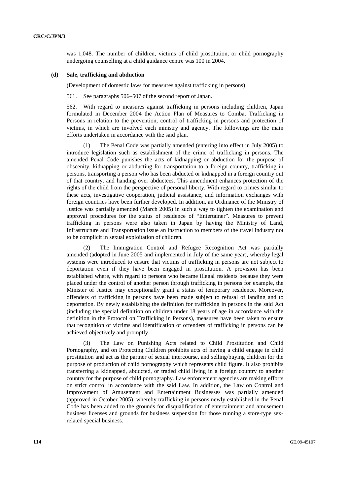was 1,048. The number of children, victims of child prostitution, or child pornography undergoing counselling at a child guidance centre was 100 in 2004.

# **(d) Sale, trafficking and abduction**

(Development of domestic laws for measures against trafficking in persons)

561. See paragraphs 506–507 of the second report of Japan.

562. With regard to measures against trafficking in persons including children, Japan formulated in December 2004 the Action Plan of Measures to Combat Trafficking in Persons in relation to the prevention, control of trafficking in persons and protection of victims, in which are involved each ministry and agency. The followings are the main efforts undertaken in accordance with the said plan.

 (1) The Penal Code was partially amended (entering into effect in July 2005) to introduce legislation such as establishment of the crime of trafficking in persons. The amended Penal Code punishes the acts of kidnapping or abduction for the purpose of obscenity, kidnapping or abducting for transportation to a foreign country, trafficking in persons, transporting a person who has been abducted or kidnapped in a foreign country out of that country, and handing over abductees. This amendment enhances protection of the rights of the child from the perspective of personal liberty. With regard to crimes similar to these acts, investigative cooperation, judicial assistance, and information exchanges with foreign countries have been further developed. In addition, an Ordinance of the Ministry of Justice was partially amended (March 2005) in such a way to tighten the examination and approval procedures for the status of residence of "Entertainer". Measures to prevent trafficking in persons were also taken in Japan by having the Ministry of Land, Infrastructure and Transportation issue an instruction to members of the travel industry not to be complicit in sexual exploitation of children.

 (2) The Immigration Control and Refugee Recognition Act was partially amended (adopted in June 2005 and implemented in July of the same year), whereby legal systems were introduced to ensure that victims of trafficking in persons are not subject to deportation even if they have been engaged in prostitution. A provision has been established where, with regard to persons who became illegal residents because they were placed under the control of another person through trafficking in persons for example, the Minister of Justice may exceptionally grant a status of temporary residence. Moreover, offenders of trafficking in persons have been made subject to refusal of landing and to deportation. By newly establishing the definition for trafficking in persons in the said Act (including the special definition on children under 18 years of age in accordance with the definition in the Protocol on Trafficking in Persons), measures have been taken to ensure that recognition of victims and identification of offenders of trafficking in persons can be achieved objectively and promptly.

 (3) The Law on Punishing Acts related to Child Prostitution and Child Pornography, and on Protecting Children prohibits acts of having a child engage in child prostitution and act as the partner of sexual intercourse, and selling/buying children for the purpose of production of child pornography which represents child figure. It also prohibits transferring a kidnapped, abducted, or traded child living in a foreign country to another country for the purpose of child pornography. Law enforcement agencies are making efforts on strict control in accordance with the said Law. In addition, the Law on Control and Improvement of Amusement and Entertainment Businesses was partially amended (approved in October 2005), whereby trafficking in persons newly established in the Penal Code has been added to the grounds for disqualification of entertainment and amusement business licenses and grounds for business suspension for those running a store-type sexrelated special business.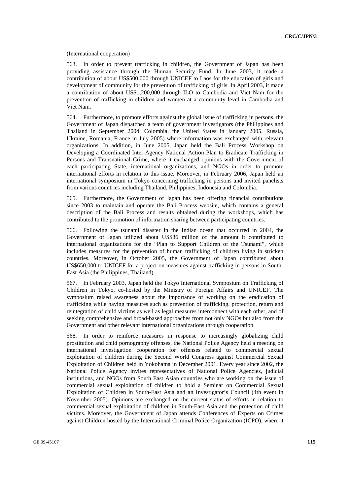(International cooperation)

563. In order to prevent trafficking in children, the Government of Japan has been providing assistance through the Human Security Fund. In June 2003, it made a contribution of about US\$500,000 through UNICEF to Laos for the education of girls and development of community for the prevention of trafficking of girls. In April 2003, it made a contribution of about US\$1,200,000 through ILO to Cambodia and Viet Nam for the prevention of trafficking in children and women at a community level in Cambodia and Viet Nam.

564. Furthermore, to promote efforts against the global issue of trafficking in persons, the Government of Japan dispatched a team of government investigators (the Philippines and Thailand in September 2004, Colombia, the United States in January 2005, Russia, Ukraine, Romania, France in July 2005) where information was exchanged with relevant organizations. In addition, in June 2005, Japan held the Bali Process Workshop on Developing a Coordinated Inter-Agency National Action Plan to Eradicate Trafficking in Persons and Transnational Crime, where it exchanged opinions with the Government of each participating State, international organizations, and NGOs in order to promote international efforts in relation to this issue. Moreover, in February 2006, Japan held an international symposium in Tokyo concerning trafficking in persons and invited panelists from various countries including Thailand, Philippines, Indonesia and Colombia.

565. Furthermore, the Government of Japan has been offering financial contributions since 2003 to maintain and operate the Bali Process website, which contains a general description of the Bali Process and results obtained during the workshops, which has contributed to the promotion of information sharing between participating countries.

566. Following the tsunami disaster in the Indian ocean that occurred in 2004, the Government of Japan utilized about US\$86 million of the amount it contributed to international organizations for the "Plan to Support Children of the Tsunami", which includes measures for the prevention of human trafficking of children living in stricken countries. Moreover, in October 2005, the Government of Japan contributed about US\$650,000 to UNICEF for a project on measures against trafficking in persons in South-East Asia (the Philippines, Thailand).

567. In February 2003, Japan held the Tokyo International Symposium on Trafficking of Children in Tokyo, co-hosted by the Ministry of Foreign Affairs and UNICEF. The symposium raised awareness about the importance of working on the eradication of trafficking while having measures such as prevention of trafficking, protection, return and reintegration of child victims as well as legal measures interconnect with each other, and of seeking comprehensive and broad-based approaches from not only NGOs but also from the Government and other relevant international organizations through cooperation.

568. In order to reinforce measures in response to increasingly globalizing child prostitution and child pornography offenses, the National Police Agency held a meeting on international investigation cooperation for offenses related to commercial sexual exploitation of children during the Second World Congress against Commercial Sexual Exploitation of Children held in Yokohama in December 2001. Every year since 2002, the National Police Agency invites representatives of National Police Agencies, judicial institutions, and NGOs from South East Asian countries who are working on the issue of commercial sexual exploitation of children to hold a Seminar on Commercial Sexual Exploitation of Children in South-East Asia and an Investigator's Council (4th event in November 2005). Opinions are exchanged on the current status of efforts in relation to commercial sexual exploitation of children in South-East Asia and the protection of child victims. Moreover, the Government of Japan attends Conferences of Experts on Crimes against Children hosted by the International Criminal Police Organization (ICPO), where it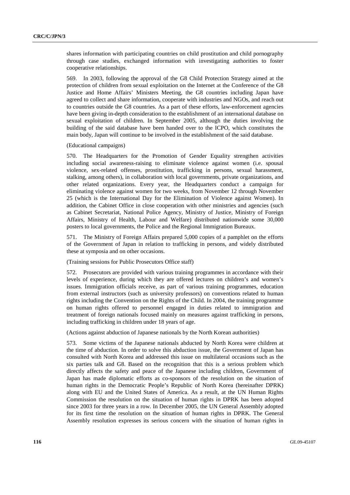shares information with participating countries on child prostitution and child pornography through case studies, exchanged information with investigating authorities to foster cooperative relationships.

569. In 2003, following the approval of the G8 Child Protection Strategy aimed at the protection of children from sexual exploitation on the Internet at the Conference of the G8 Justice and Home Affairs' Ministers Meeting, the G8 countries including Japan have agreed to collect and share information, cooperate with industries and NGOs, and reach out to countries outside the G8 countries. As a part of these efforts, law-enforcement agencies have been giving in-depth consideration to the establishment of an international database on sexual exploitation of children. In September 2005, although the duties involving the building of the said database have been handed over to the ICPO, which constitutes the main body, Japan will continue to be involved in the establishment of the said database.

(Educational campaigns)

570. The Headquarters for the Promotion of Gender Equality strengthen activities including social awareness-raising to eliminate violence against women (i.e. spousal violence, sex-related offenses, prostitution, trafficking in persons, sexual harassment, stalking, among others), in collaboration with local governments, private organizations, and other related organizations. Every year, the Headquarters conduct a campaign for eliminating violence against women for two weeks, from November 12 through November 25 (which is the International Day for the Elimination of Violence against Women). In addition, the Cabinet Office in close cooperation with other ministries and agencies (such as Cabinet Secretariat, National Police Agency, Ministry of Justice, Ministry of Foreign Affairs, Ministry of Health, Labour and Welfare) distributed nationwide some 30,000 posters to local governments, the Police and the Regional Immigration Bureaux.

571. The Ministry of Foreign Affairs prepared 5,000 copies of a pamphlet on the efforts of the Government of Japan in relation to trafficking in persons, and widely distributed these at symposia and on other occasions.

(Training sessions for Public Prosecutors Office staff)

572. Prosecutors are provided with various training programmes in accordance with their levels of experience, during which they are offered lectures on children's and women's issues. Immigration officials receive, as part of various training programmes, education from external instructors (such as university professors) on conventions related to human rights including the Convention on the Rights of the Child. In 2004, the training programme on human rights offered to personnel engaged in duties related to immigration and treatment of foreign nationals focused mainly on measures against trafficking in persons, including trafficking in children under 18 years of age.

(Actions against abduction of Japanese nationals by the North Korean authorities)

573. Some victims of the Japanese nationals abducted by North Korea were children at the time of abduction. In order to solve this abduction issue, the Government of Japan has consulted with North Korea and addressed this issue on multilateral occasions such as the six parties talk and G8. Based on the recognition that this is a serious problem which directly affects the safety and peace of the Japanese including children, Government of Japan has made diplomatic efforts as co-sponsors of the resolution on the situation of human rights in the Democratic People's Republic of North Korea (hereinafter DPRK) along with EU and the United States of America. As a result, at the UN Human Rights Commission the resolution on the situation of human rights in DPRK has been adopted since 2003 for three years in a row. In December 2005, the UN General Assembly adopted for its first time the resolution on the situation of human rights in DPRK. The General Assembly resolution expresses its serious concern with the situation of human rights in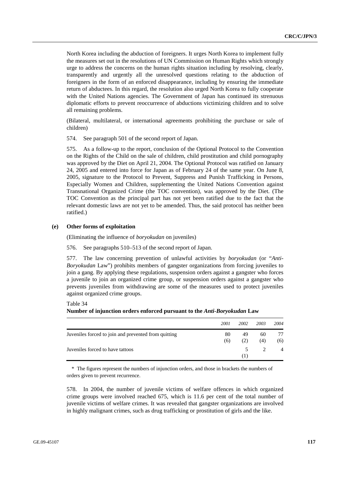North Korea including the abduction of foreigners. It urges North Korea to implement fully the measures set out in the resolutions of UN Commission on Human Rights which strongly urge to address the concerns on the human rights situation including by resolving, clearly, transparently and urgently all the unresolved questions relating to the abduction of foreigners in the form of an enforced disappearance, including by ensuring the immediate return of abductees. In this regard, the resolution also urged North Korea to fully cooperate with the United Nations agencies. The Government of Japan has continued its strenuous diplomatic efforts to prevent reoccurrence of abductions victimizing children and to solve all remaining problems.

(Bilateral, multilateral, or international agreements prohibiting the purchase or sale of children)

574. See paragraph 501 of the second report of Japan.

575. As a follow-up to the report, conclusion of the Optional Protocol to the Convention on the Rights of the Child on the sale of children, child prostitution and child pornography was approved by the Diet on April 21, 2004. The Optional Protocol was ratified on January 24, 2005 and entered into force for Japan as of February 24 of the same year. On June 8, 2005, signature to the Protocol to Prevent, Suppress and Punish Trafficking in Persons, Especially Women and Children, supplementing the United Nations Convention against Transnational Organized Crime (the TOC convention), was approved by the Diet. (The TOC Convention as the principal part has not yet been ratified due to the fact that the relevant domestic laws are not yet to be amended. Thus, the said protocol has neither been ratified.)

#### **(e) Other forms of exploitation**

(Eliminating the influence of *boryokudan* on juveniles)

576. See paragraphs 510–513 of the second report of Japan.

577. The law concerning prevention of unlawful activities by *boryokudan* (or "*Anti-Boryokudan* Law") prohibits members of gangster organizations from forcing juveniles to join a gang. By applying these regulations, suspension orders against a gangster who forces a juvenile to join an organized crime group, or suspension orders against a gangster who prevents juveniles from withdrawing are some of the measures used to protect juveniles against organized crime groups.

Table 34

#### **Number of injunction orders enforced pursuant to the** *Anti-Boryokudan* **Law**

|                                                      | 2001 | 2002  | 2003 | 2004           |
|------------------------------------------------------|------|-------|------|----------------|
| Juveniles forced to join and prevented from quitting | 80   | 49    | 60   | 77             |
|                                                      | (6)  | (2)   | (4)  | (6)            |
| Juveniles forced to have tattoos                     |      | 5.    |      | $\overline{4}$ |
|                                                      |      | ( 1 ) |      |                |

\* The figures represent the numbers of injunction orders, and those in brackets the numbers of orders given to prevent recurrence.

578. In 2004, the number of juvenile victims of welfare offences in which organized crime groups were involved reached 675, which is 11.6 per cent of the total number of juvenile victims of welfare crimes. It was revealed that gangster organizations are involved in highly malignant crimes, such as drug trafficking or prostitution of girls and the like.